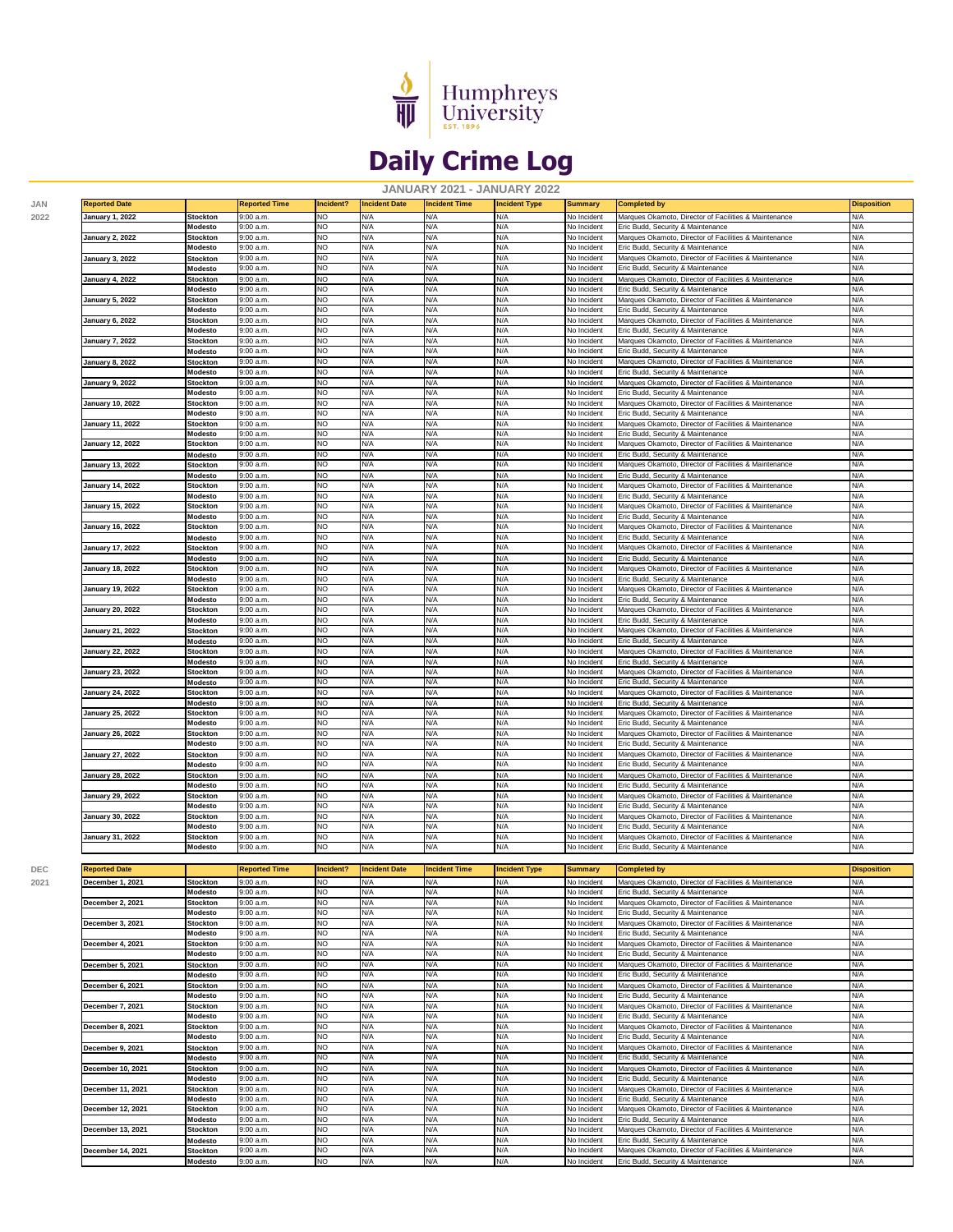

## **Daily Crime Log**

**JANUARY 2021 - JANUARY 2022**

| <b>January 2, 2022</b>                                   | Modesto                    | 9:00 a.m.              | NO                     | N/A                  | N/A                  | N/A                  | No Incident                       | Eric Budd, Security & Maintenance                                                          | N/A                |
|----------------------------------------------------------|----------------------------|------------------------|------------------------|----------------------|----------------------|----------------------|-----------------------------------|--------------------------------------------------------------------------------------------|--------------------|
|                                                          | <b>Stockton</b>            | 9:00 a.m.              | NO                     | N/A                  | N/A                  | N/A                  | No Incident                       | Marques Okamoto, Director of Facilities & Maintenance                                      | N/A                |
|                                                          | Modesto                    | 9:00 a.m.              | NO.                    | N/A                  | N/A                  | N/A                  | No Incident                       | Eric Budd, Security & Maintenance                                                          | N/A                |
| <b>January 3, 2022</b>                                   | <b>Stockton</b>            | 9:00 a.m.<br>9:00 a.m. | NO<br><b>NO</b>        | N/A<br>N/A           | N/A<br>N/A           | N/A<br>N/A           | No Inciden<br>No Incident         | Marques Okamoto, Director of Facilities & Maintenance<br>Eric Budd, Security & Maintenance | N/A<br>N/A         |
|                                                          | Modesto                    |                        | NO                     |                      | N/A                  |                      |                                   |                                                                                            | N/A                |
| <b>January 4, 2022</b>                                   | Stockton<br>Modesto        | 9:00 a.m.<br>9:00 a.m. | NO                     | N/A<br>N/A           | N/A                  | N/A<br>N/A           | <b>No Incident</b><br>No Incident | Marques Okamoto, Director of Facilities & Maintenance<br>Eric Budd, Security & Maintenance | N/A                |
| January 5, 2022                                          | <b>Stockton</b>            | 9:00 a.m.              | NO                     | N/A                  | N/A                  | N/A                  | No Incident                       | Marques Okamoto, Director of Facilities & Maintenance                                      | N/A                |
|                                                          | Modesto                    | 9:00 a.m.              | NO                     | N/A                  | N/A                  | N/A                  | No Incident                       | Eric Budd, Security & Maintenance                                                          | N/A                |
| January 6, 2022                                          | <b>Stockton</b>            | 9:00 a.m.              | NO                     | N/A                  | N/A                  | N/A                  | No Incident                       | Marques Okamoto, Director of Facilities & Maintenance                                      | N/A                |
|                                                          | Modesto                    | 9:00 a.m.              | NO                     | N/A                  | N/A                  | N/A                  | No Incident                       | Eric Budd, Security & Maintenance                                                          | N/A                |
| January 7, 2022                                          | <b>Stockton</b>            | 9:00 a.m.              | NO                     | N/A                  | N/A                  | N/A                  | No Incident                       | Marques Okamoto, Director of Facilities & Maintenance                                      | N/A                |
|                                                          | Modesto                    | 9:00 a.m.              | <b>NO</b>              | N/A                  | N/A                  | N/A                  | No Incident                       | Eric Budd, Security & Maintenance                                                          | N/A                |
| January 8, 2022                                          | <b>Stockton</b>            | 9:00 a.m.              | NO                     | N/A                  | N/A                  | N/A                  | No Incident                       | Marques Okamoto, Director of Facilities & Maintenance                                      | N/A                |
|                                                          | Modesto                    | 9:00 a.m.              | NO                     | N/A                  | N/A                  | N/A                  | No Incident                       | Eric Budd, Security & Maintenance                                                          | N/A                |
| January 9, 2022                                          | Stockton                   | 9:00 a.m.              | NO                     | N/A                  | N/A                  | N/A                  | No Incident                       | Marques Okamoto, Director of Facilities & Maintenance                                      | N/A                |
|                                                          | Modesto                    | 9:00 a.m.<br>9:00 a.m. | NO<br>NO               | N/A<br>N/A           | N/A<br>N/A           | N/A<br>N/A           | No Incident<br>No Incident        | Eric Budd, Security & Maintenance                                                          | N/A<br>N/A         |
| January 10, 2022                                         | <b>Stockton</b><br>Modesto | 9:00 a.m.              | NO                     | N/A                  | N/A                  | N/A                  | No Incident                       | Marques Okamoto, Director of Facilities & Maintenance<br>Eric Budd, Security & Maintenance | N/A                |
| January 11, 2022                                         | <b>Stockton</b>            | 9:00 a.m.              | NO                     | N/A                  | N/A                  | N/A                  | No Incident                       | Marques Okamoto, Director of Facilities & Maintenance                                      | N/A                |
|                                                          | Modesto                    | 9:00 a.m.              | NO                     | N/A                  | N/A                  | N/A                  | No Incident                       | Eric Budd, Security & Maintenance                                                          | N/A                |
| <b>January 12, 2022</b>                                  | <b>Stockton</b>            | 9:00 a.m.              | NO                     | N/A                  | N/A                  | N/A                  | No Incident                       | Marques Okamoto, Director of Facilities & Maintenance                                      | N/A                |
|                                                          | Modesto                    | 9:00 a.m.              | NO                     | N/A                  | N/A                  | N/A                  | No Incident                       | Eric Budd, Security & Maintenance                                                          | N/A                |
| January 13, 2022                                         | <b>Stockton</b>            | 9:00 a.m.              | NO                     | N/A                  | N/A                  | N/A                  | No Incident                       | Marques Okamoto, Director of Facilities & Maintenance                                      | N/A                |
|                                                          | Modesto                    | 9:00 a.m.              | NO                     | N/A                  | N/A                  | N/A                  | <b>Vo Incident</b>                | Eric Budd, Security & Maintenance                                                          | N/A                |
| January 14, 2022                                         | Stockton                   | 9:00 a.m.              | NO                     | N/A                  | N/A                  | N/A                  | No Incident                       | Marques Okamoto, Director of Facilities & Maintenance                                      | N/A                |
|                                                          | Modesto                    | 9:00 a.m.              | NO                     | N/A                  | N/A                  | N/A                  | No Incident                       | Eric Budd, Security & Maintenance                                                          | N/A                |
| January 15, 2022                                         | Stockton                   | 9:00 a.m.              | NO                     | N/A                  | N/A                  | N/A                  | No Incident                       | Marques Okamoto, Director of Facilities & Maintenance                                      | N/A                |
| January 16, 2022                                         | Modesto<br><b>Stockton</b> | 9:00 a.m.<br>9:00 a.m. | NO<br>NO               | N/A<br>N/A           | N/A<br>N/A           | N/A<br>N/A           | No Incident<br>No Incident        | Eric Budd, Security & Maintenance<br>Marques Okamoto, Director of Facilities & Maintenance | N/A<br>N/A         |
|                                                          | Modesto                    | 9:00 a.m.              | NO                     | N/A                  | N/A                  | N/A                  | No Incident                       | Eric Budd, Security & Maintenance                                                          | N/A                |
| January 17, 2022                                         | <b>Stockton</b>            | 9:00 a.m.              | <b>NO</b>              | N/A                  | N/A                  | N/A                  | No Incident                       | Marques Okamoto, Director of Facilities & Maintenance                                      | N/A                |
|                                                          | Modesto                    | 9:00 a.m.              | NO                     | N/A                  | N/A                  | N/A                  | No Incident                       | Eric Budd, Security & Maintenance                                                          | N/A                |
| <b>January 18, 2022</b>                                  | Stockton                   | 9:00 a.m.              | NO                     | N/A                  | N/A                  | N/A                  | No Incident                       | Marques Okamoto, Director of Facilities & Maintenance                                      | N/A                |
|                                                          | Modesto                    | 9:00 a.m.              | ΖŌ                     | N/A                  | N/A                  | N/A                  | No Incident                       | Eric Budd, Security & Maintenance                                                          | N/A                |
| <b>January 19, 2022</b>                                  | <b>Stockton</b>            | 9:00 a.m.              | NO                     | N/A                  | N/A                  | N/A                  | No Incident                       | Marques Okamoto, Director of Facilities & Maintenance                                      | N/A                |
|                                                          | Modesto                    | 9:00 a.m.              | NO                     | N/A                  | N/A                  | N/A                  | No Incident                       | Eric Budd, Security & Maintenance                                                          | N/A                |
| January 20, 2022                                         | Stockton                   | 9:00 a.m.              | NO                     | N/A                  | N/A                  | N/A                  | No Incident                       | Marques Okamoto, Director of Facilities & Maintenance                                      | N/A                |
|                                                          | Modesto                    | $9:00$ a.m.            | NO                     | N/A                  | N/A                  | N/A                  | No Incident                       | Eric Budd, Security & Maintenance                                                          | N/A                |
| January 21, 2022                                         | <b>Stockton</b>            | 9:00 a.m.              | NO                     | N/A                  | N/A                  | N/A                  | No Incident                       | Marques Okamoto, Director of Facilities & Maintenance                                      | N/A                |
| <b>January 22, 2022</b>                                  | Modesto<br><b>Stockton</b> | 9:00 a.m.<br>9:00 a.m. | NO<br>NO               | N/A<br>N/A           | N/A<br>N/A           | N/A<br>N/A           | No Incident<br>No Incident        | Eric Budd, Security & Maintenance<br>Marques Okamoto, Director of Facilities & Maintenance | N/A<br>N/A         |
|                                                          | Modesto                    | 9:00 a.m.              | NO                     | N/A                  | N/A                  | N/A                  | <b>No Incident</b>                | Eric Budd, Security & Maintenance                                                          | N/A                |
| <b>January 23, 2022</b>                                  | Stockton                   | 9:00 a.m.              | NO                     | N/A                  | N/A                  | N/A                  | No Incident                       | Marques Okamoto, Director of Facilities & Maintenance                                      | N/A                |
|                                                          | Modesto                    | 9:00 a.m.              | NO                     | N/A                  | N/A                  | N/A                  | No Incident                       | Eric Budd, Security & Maintenance                                                          | N/A                |
| <b>January 24, 2022</b>                                  | <b>Stockton</b>            | 9:00 a.m.              | NO                     | N/A                  | N/A                  | N/A                  | No Incident                       | Marques Okamoto, Director of Facilities & Maintenance                                      | N/A                |
|                                                          | Modesto                    | 9:00 a.m.              | NO                     | N/A                  | N/A                  | N/A                  | No Incident                       | Eric Budd, Security & Maintenance                                                          | N/A                |
| <b>January 25, 2022</b>                                  | Stockton                   | 9:00 a.m.              | NO                     | N/A                  | N/A                  | N/A                  | No Incident                       | Marques Okamoto, Director of Facilities & Maintenance                                      | N/A                |
|                                                          | Modesto                    | 9:00 a.m.              | NO                     | N/A                  | N/A                  | N/A                  | No Incident                       | Eric Budd, Security & Maintenance                                                          | N/A                |
| <b>January 26, 2022</b>                                  | <b>Stockton</b>            | 9:00 a.m.              | NO                     | N/A                  | N/A                  | N/A                  | No Incident                       | Marques Okamoto, Director of Facilities & Maintenance                                      | N/A                |
|                                                          | Modesto                    | 9:00 a.m.              | <b>NO</b>              | N/A                  | N/A                  | N/A                  | No Incident                       | Eric Budd, Security & Maintenance                                                          | N/A                |
| <b>January 27, 2022</b>                                  | <b>Stockton</b><br>Modesto | 9:00 a.m.              | NO                     | N/A                  | N/A                  | N/A                  | No Incident                       | Marques Okamoto, Director of Facilities & Maintenance                                      | N/A                |
|                                                          |                            | 9:00 a.m.              | NO<br>ΝO               | N/A<br>N/A           | N/A<br>N/A           | N/A<br>N/A           | No Incident<br>No Incident        | Eric Budd, Security & Maintenance<br>Marques Okamoto, Director of Facilities & Maintenance | N/A<br>N/A         |
|                                                          |                            |                        |                        |                      |                      |                      |                                   |                                                                                            |                    |
| <b>January 28, 2022</b>                                  | <b>Stockton</b>            | 9:00a.m                |                        |                      |                      |                      |                                   |                                                                                            |                    |
|                                                          | Modesto                    | 9:00 a.m.              | NO                     | N/A                  | N/A                  | N/A                  | No Incident                       | Eric Budd, Security & Maintenance                                                          | N/A                |
| January 29, 2022                                         | <b>Stockton</b>            | 9:00 a.m.              | NO                     | N/A                  | N/A                  | N/A                  | No Incident                       | Marques Okamoto, Director of Facilities & Maintenance                                      | N/A                |
|                                                          | Modesto                    | 9:00 a.m.<br>9:00 a.m. | NO<br>NO               | N/A<br>N/A           | N/A<br>N/A           | N/A<br>N/A           | No Incident<br>No Incident        | Eric Budd, Security & Maintenance                                                          | N/A<br>N/A         |
| January 30, 2022                                         | Stockton<br>Modesto        | 9:00 a.m.              | NO                     | N/A                  | N/A                  | N/A                  | No Incident                       | Marques Okamoto, Director of Facilities & Maintenance<br>Eric Budd, Security & Maintenance | N/A                |
| January 31, 2022                                         | <b>Stockton</b>            | 9:00 a.m.              | NO                     | N/A                  | N/A                  | N/A                  | No Incident                       | Marques Okamoto, Director of Facilities & Maintenance                                      | N/A                |
|                                                          | Modesto                    | 9:00 a.m.              | NO                     | N/A                  | N/A                  | N/A                  | No Incident                       | Eric Budd, Security & Maintenance                                                          | N/A                |
|                                                          |                            |                        |                        |                      |                      |                      |                                   |                                                                                            |                    |
| <b>Reported Date</b>                                     |                            | <b>Reported Time</b>   | Incident?              | <b>Incident Date</b> | <b>Incident Time</b> | <b>Incident Type</b> | <b>Summary</b>                    | <b>Completed by</b>                                                                        | <b>Disposition</b> |
|                                                          | Stockton                   | 9:00 a.m.              | NO                     | N/A                  | N/A                  | N/A                  | No Incident                       | Marques Okamoto, Director of Facilities & Maintenance                                      | N/A                |
|                                                          | Modesto                    | 9:00 a.m               | NO                     | N/A                  | N/A                  | N/A                  | No Incident                       | Eric Budd, Security & Maintenance                                                          | N/A                |
| December 1, 2021<br>December 2, 2021                     | <b>Stockton</b>            | 9:00 a.m.              | NO                     | N/A                  | N/A                  | N/A                  | No Incident                       | Marques Okamoto, Director of Facilities & Maintenance                                      | N/A                |
|                                                          | Modesto                    | 9:00 a.m.              | NO                     | N/A                  | N/A                  | N/A                  | No Incident                       | Eric Budd, Security & Maintenance                                                          | N/A                |
| December 3, 2021                                         | Stockton                   | 9:00 a.m               | ۹U                     | N/A                  | N/A                  | in/A                 | No Incident                       | warques Okamoto, Director or Facilities & Maintenance                                      | N/A                |
|                                                          | Modesto                    | $9:00$ a.m.            | NO                     | N/A                  | N/A                  | N/A                  | No Incident                       | Eric Budd, Security & Maintenance                                                          | N/A                |
| December 4, 2021                                         | <b>Stockton</b>            | 9:00 a.m.              | <b>NO</b>              | N/A                  | N/A                  | N/A                  | No Incident                       | Marques Okamoto, Director of Facilities & Maintenance                                      | N/A                |
|                                                          | Modesto                    | 9:00 a.m.              | NO                     | N/A                  | N/A                  | N/A                  | No Incident                       | Eric Budd, Security & Maintenance                                                          | N/A                |
| December 5, 2021                                         | Stockton<br>Modesto        | 9:00 a.m.<br>9:00a.m.  | <b>NO</b><br><b>NO</b> | N/A<br>N/A           | N/A<br>N/A           | N/A<br>N/A           | No Incident<br>No Incident        | Marques Okamoto, Director of Facilities & Maintenance<br>Eric Budd, Security & Maintenance | N/A<br>N/A         |
| December 6, 2021                                         | Stockton                   | 9:00 a.m.              | NO                     | N/A                  | N/A                  | N/A                  | No Incident                       | Marques Okamoto, Director of Facilities & Maintenance                                      | N/A                |
|                                                          | Modesto                    | 9:00 a.m.              | <b>NO</b>              | N/A                  | N/A                  | N/A                  | No Incident                       | Eric Budd, Security & Maintenance                                                          | N/A                |
|                                                          | <b>Stockton</b>            | 9:00 a.m.              | NO                     | N/A                  | N/A                  | N/A                  | No Incident                       | Marques Okamoto, Director of Facilities & Maintenance                                      | N/A                |
|                                                          | Modesto                    | 9:00 a.m.              | <b>NO</b>              | N/A                  | N/A                  | N/A                  | No Incident                       | Eric Budd, Security & Maintenance                                                          | N/A                |
|                                                          | <b>Stockton</b>            | 9:00 a.m.              | NO                     | N/A                  | N/A                  | N/A                  | No Incident                       | Marques Okamoto, Director of Facilities & Maintenance                                      | N/A                |
|                                                          | Modesto                    | 9:00 a.m.              | NO                     | N/A                  | N/A                  | N/A                  | No Incident                       | Eric Budd, Security & Maintenance                                                          | N/A                |
| December 7, 2021<br>December 8, 2021<br>December 9, 2021 | <b>Stockton</b>            | 9:00 a.m.              | NO                     | N/A                  | N/A                  | N/A                  | No Incident                       | Marques Okamoto, Director of Facilities & Maintenance                                      | N/A                |
|                                                          | Modesto                    | 9:00 a.m.              | NO                     | N/A                  | N/A                  | N/A                  | No Incident                       | Eric Budd, Security & Maintenance                                                          | N/A                |
| December 10, 2021                                        | <b>Stockton</b>            | 9:00 a.m.              | NO.                    | N/A                  | N/A                  | N/A                  | No Incident                       | Marques Okamoto, Director of Facilities & Maintenance                                      | N/A                |
|                                                          | Modesto                    | 9:00 a.m.              | NO.                    | N/A                  | N/A                  | N/A                  | No Incident                       | Eric Budd, Security & Maintenance                                                          | N/A                |
| December 11, 2021                                        | <b>Stockton</b><br>Modesto | 9:00 a.m.<br>9:00 a.m. | NO<br>NO               | N/A<br>N/A           | N/A<br>N/A           | N/A<br>N/A           | No Incident                       | Marques Okamoto, Director of Facilities & Maintenance<br>Eric Budd, Security & Maintenance | N/A<br>N/A         |
| December 12, 2021                                        | <b>Stockton</b>            | 9:00 a.m.              | NO                     | N/A                  | N/A                  | N/A                  | No Incident<br>No Incident        | Marques Okamoto, Director of Facilities & Maintenance                                      | N/A                |
|                                                          | Modesto                    | 9:00 a.m.              | NO.                    | N/A                  | N/A                  | N/A                  | No Incident                       | Eric Budd, Security & Maintenance                                                          | N/A                |
| December 13, 2021                                        | Stockton                   | 9:00 a.m.              | NO                     | N/A                  | N/A                  | N/A                  | No Incident                       | Marques Okamoto, Director of Facilities & Maintenance                                      | N/A                |
|                                                          | Modesto                    | 9:00 a.m.              | NO                     | N/A                  | N/A                  | N/A                  | No Incident                       | Eric Budd, Security & Maintenance                                                          | N/A                |
| December 14, 2021                                        | Stockton<br>Modesto        | 9:00 a.m.<br>9:00 a.m. | NO.<br><b>NO</b>       | N/A<br>N/A           | N/A<br>N/A           | N/A<br>N/A           | No Incident<br>No Incident        | Marques Okamoto, Director of Facilities & Maintenance<br>Eric Budd, Security & Maintenance | N/A<br>N/A         |

**JAN Reported Date Reported Time Incident? Incident Date Incident Time Incident Type Summary Completed by Disposition 2022 January 1, 2022 Stockton** 9:00 a.m. NO N/A N/A N/A No Incident Marques Okamoto, Director of Facilities & Maintenance N/A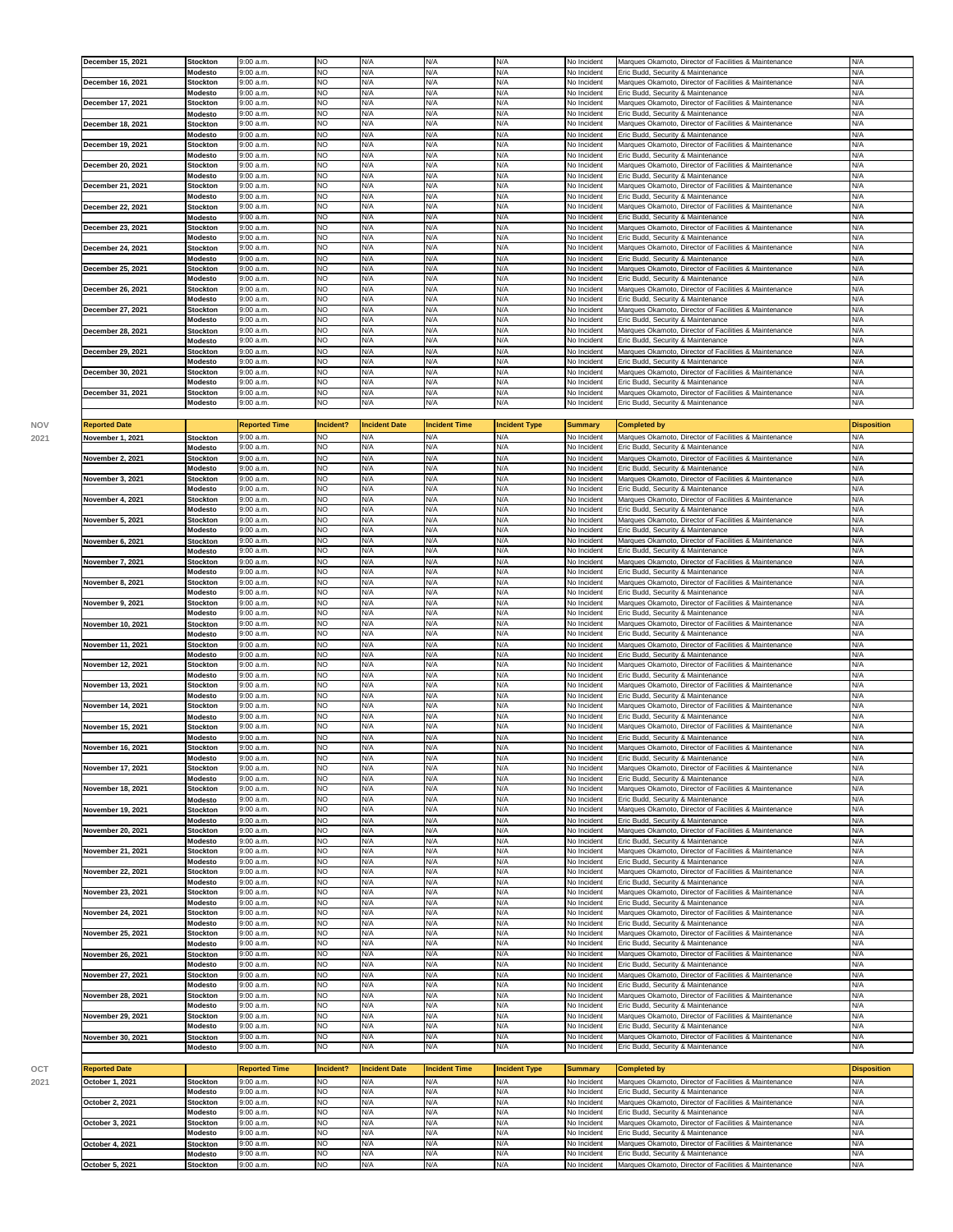| December 15, 2021 | <b>Stockton</b> | 9:00 a.m. | <b>NO</b> | N/A | N/A | N/A | No Incident | Marques Okamoto, Director of Facilities & Maintenance | N/A |
|-------------------|-----------------|-----------|-----------|-----|-----|-----|-------------|-------------------------------------------------------|-----|
|                   | <b>Modesto</b>  | 9:00 a.m. | <b>NO</b> | N/A | N/A | N/A | No Incident | Eric Budd, Security & Maintenance                     | N/A |
| December 16, 2021 | <b>Stockton</b> | 9:00 a.m. | <b>NO</b> | N/A | N/A | N/A | No Incident | Marques Okamoto, Director of Facilities & Maintenance | N/A |
|                   | <b>Modesto</b>  | 9:00 a.m. | <b>NO</b> | N/A | N/A | N/A | No Incident | Eric Budd, Security & Maintenance                     | N/A |
| December 17, 2021 | <b>Stockton</b> | 9:00 a.m. | <b>NO</b> | N/A | N/A | N/A | No Incident | Marques Okamoto, Director of Facilities & Maintenance | N/A |
|                   | Modesto         | 9:00a.m.  | <b>NO</b> | N/A | N/A | N/A | No Incident | Eric Budd, Security & Maintenance                     | N/A |
| December 18, 2021 | <b>Stockton</b> | 9:00 a.m. | <b>NO</b> | N/A | N/A | N/A | No Incident | Marques Okamoto, Director of Facilities & Maintenance | N/A |
|                   | Modesto         | 9:00 a.m. | <b>NO</b> | N/A | N/A | N/A | No Incident | Eric Budd, Security & Maintenance                     | N/A |
| December 19, 2021 | <b>Stockton</b> | 9:00 a.m. | <b>NO</b> | N/A | N/A | N/A | No Incident | Marques Okamoto, Director of Facilities & Maintenance | N/A |
|                   | Modesto         | 9:00 a.m. | <b>NO</b> | N/A | N/A | N/A | No Incident | Eric Budd, Security & Maintenance                     | N/A |
| December 20, 2021 | <b>Stockton</b> | 9:00 a.m. | <b>NO</b> | N/A | N/A | N/A | No Incident | Marques Okamoto, Director of Facilities & Maintenance | N/A |
|                   | Modesto         | 9:00 a.m. | <b>NO</b> | N/A | N/A | N/A | No Incident | Eric Budd, Security & Maintenance                     | N/A |
| December 21, 2021 | Stockton        | 9:00 a.m. | <b>NO</b> | N/A | N/A | N/A | No Incident | Marques Okamoto, Director of Facilities & Maintenance | N/A |
|                   | Modesto         | 9:00 a.m. | <b>NO</b> | N/A | N/A | N/A | No Incident | Eric Budd, Security & Maintenance                     | N/A |
| December 22, 2021 | <b>Stockton</b> | 9:00 a.m. | <b>NO</b> | N/A | N/A | N/A | No Incident | Marques Okamoto, Director of Facilities & Maintenance | N/A |
|                   | Modesto         | 9:00a.m.  | <b>NO</b> | N/A | N/A | N/A | No Incident | Eric Budd, Security & Maintenance                     | N/A |
| December 23, 2021 | <b>Stockton</b> | 9:00 a.m. | <b>NO</b> | N/A | N/A | N/A | No Incident | Marques Okamoto, Director of Facilities & Maintenance | N/A |
|                   | Modesto         | 9:00a.m.  | <b>NO</b> | N/A | N/A | N/A | No Incident | Eric Budd, Security & Maintenance                     | N/A |
| December 24, 2021 | <b>Stockton</b> | 9:00 a.m. | <b>NO</b> | N/A | N/A | N/A | No Incident | Marques Okamoto, Director of Facilities & Maintenance | N/A |
|                   | Modesto         | 9:00a.m.  | <b>NO</b> | N/A | N/A | N/A | No Incident | Eric Budd, Security & Maintenance                     | N/A |
| December 25, 2021 | <b>Stockton</b> | 9:00 a.m. | <b>NO</b> | N/A | N/A | N/A | No Incident | Marques Okamoto, Director of Facilities & Maintenance | N/A |
|                   | Modesto         | 9:00 a.m. | <b>NO</b> | N/A | N/A | N/A | No Incident | Eric Budd, Security & Maintenance                     | N/A |
| December 26, 2021 | <b>Stockton</b> | 9:00 a.m. | <b>NO</b> | N/A | N/A | N/A | No Incident | Marques Okamoto, Director of Facilities & Maintenance | N/A |
|                   | <b>Modesto</b>  | 9:00 a.m. | <b>NO</b> | N/A | N/A | N/A | No Incident | Eric Budd, Security & Maintenance                     | N/A |
| December 27, 2021 | <b>Stockton</b> | 9:00 a.m. | <b>NO</b> | N/A | N/A | N/A | No Incident | Marques Okamoto, Director of Facilities & Maintenance | N/A |
|                   | Modesto         | 9:00a.m.  | <b>NO</b> | N/A | N/A | N/A | No Incident | Eric Budd, Security & Maintenance                     | N/A |
| December 28, 2021 | <b>Stockton</b> | 9:00 a.m. | <b>NO</b> | N/A | N/A | N/A | No Incident | Marques Okamoto, Director of Facilities & Maintenance | N/A |
|                   | Modesto         | 9:00 a.m. | <b>NO</b> | N/A | N/A | N/A | No Incident | Eric Budd, Security & Maintenance                     | N/A |
| December 29, 2021 | <b>Stockton</b> | 9:00 a.m. | <b>NO</b> | N/A | N/A | N/A | No Incident | Marques Okamoto, Director of Facilities & Maintenance | N/A |
|                   | Modesto         | 9:00 a.m. | <b>NO</b> | N/A | N/A | N/A | No Incident | Eric Budd, Security & Maintenance                     | N/A |
| December 30, 2021 | <b>Stockton</b> | 9:00 a.m. | <b>NO</b> | N/A | N/A | N/A | No Incident | Marques Okamoto, Director of Facilities & Maintenance | N/A |
|                   | Modesto         | 9:00 a.m. | <b>NO</b> | N/A | N/A | N/A | No Incident | Eric Budd, Security & Maintenance                     | N/A |
| December 31, 2021 | Stockton        | 9:00 a.m. | <b>NO</b> | N/A | N/A | N/A | No Incident | Marques Okamoto, Director of Facilities & Maintenance | N/A |
|                   | <b>Modesto</b>  | 9:00a.m.  | <b>NO</b> | N/A | N/A | N/A | No Incident | Eric Budd, Security & Maintenance                     | N/A |

| 9:00 a.m.<br>NO.<br>N/A<br>N/A<br>N/A<br>No Incident<br>Marques Okamoto, Director of Facilities & Maintenance<br>N/A<br>November 1, 2021<br><b>Stockton</b><br>9:00 a.m.<br>NO<br>N/A<br>N/A<br>N/A<br>No Incident<br>Eric Budd, Security & Maintenance<br>N/A<br>Modesto<br>NO.<br>N/A<br>N/A<br>November 2, 2021<br><b>Stockton</b><br>9:00a.m.<br>N/A<br>No Incident<br>Marques Okamoto, Director of Facilities & Maintenance<br>N/A<br>NO<br>N/A<br>N/A<br>N/A<br>N/A<br>9:00 a.m.<br>Modesto<br>No Incident<br>Eric Budd, Security & Maintenance<br>9:00 a.m.<br>NO.<br>N/A<br>N/A<br>N/A<br>Marques Okamoto, Director of Facilities & Maintenance<br>N/A<br>No Incident<br>November 3, 2021<br><b>Stockton</b><br>NO<br>N/A<br>9:00 a.m.<br>N/A<br>N/A<br>No Incident<br>Eric Budd, Security & Maintenance<br>N/A<br>Modesto<br>N <sub>O</sub><br>N/A<br>N/A<br>N/A<br>N/A<br>November 4, 2021<br><b>Stockton</b><br>9:00 a.m.<br>No Incident<br>Marques Okamoto, Director of Facilities & Maintenance<br>NO.<br>N/A<br>N/A<br>N/A<br>Modesto<br>9:00a.m.<br>No Incident<br>Eric Budd, Security & Maintenance<br>N/A<br>NO.<br>N/A<br>N/A<br>N/A<br>N/A<br>November 5, 2021<br><b>Stockton</b><br>9:00a.m.<br>No Incident<br>Marques Okamoto, Director of Facilities & Maintenance<br>NO<br>N/A<br>N/A<br>N/A<br>N/A<br>9:00 a.m.<br>No Incident<br>Eric Budd, Security & Maintenance<br>Modesto<br>N/A<br>N/A<br>November 6, 2021<br>9:00 a.m.<br>NO<br>N/A<br>Marques Okamoto, Director of Facilities & Maintenance<br>N/A<br><b>Stockton</b><br>No Incident<br>N/A<br>N/A<br>NO<br>N/A<br>N/A<br>Modesto<br>9:00 a.m.<br>No Incident<br>Eric Budd, Security & Maintenance<br>NO<br>N/A<br>N/A<br>N/A<br>November 7, 2021<br>N/A<br><b>Stockton</b><br>9:00 a.m.<br>No Incident<br>Marques Okamoto, Director of Facilities & Maintenance<br>NO.<br>N/A<br>N/A<br>N/A<br>Modesto<br>9:00a.m.<br>No Incident<br>Eric Budd, Security & Maintenance<br>N/A<br>N/A<br>N/A<br>November 8, 2021<br><b>Stockton</b><br>9:00a.m.<br>N <sub>O</sub><br>N/A<br>No Incident<br>Marques Okamoto, Director of Facilities & Maintenance<br>N/A<br>NO<br>N/A<br>N/A<br>N/A<br>N/A<br>Modesto<br>9:00 a.m.<br>No Incident<br>Eric Budd, Security & Maintenance<br>N/A<br>N/A<br>November 9, 2021<br><b>Stockton</b><br>9:00 a.m.<br>NO.<br>N/A<br>Marques Okamoto, Director of Facilities & Maintenance<br>N/A<br>No Incident<br>N/A<br>N/A<br>NO<br>N/A<br>N/A<br>Modesto<br>9:00 a.m.<br>No Incident<br>Eric Budd, Security & Maintenance<br>NO<br>N/A<br>N/A<br>N/A<br>N/A<br>November 10, 2021<br>9:00 a.m.<br>Marques Okamoto, Director of Facilities & Maintenance<br><b>Stockton</b><br>No Incident<br>N/A<br>Modesto<br>9:00a.m<br>NO.<br>N/A<br>N/A<br>Eric Budd, Security & Maintenance<br>N/A<br>No Incident<br><b>NO</b><br>N/A<br>N/A<br>November 11, 2021<br><b>Stockton</b><br>9:00 a.m.<br>N/A<br>No Incident<br>Marques Okamoto, Director of Facilities & Maintenance<br>N/A<br>0.00 a.m.<br>NO<br>N/A<br>N/A<br>N/A<br>No Incident<br>N/A<br>Modesto<br>Eric Budd, Security & Maintenance<br>N/A<br>N/A<br>NO.<br>N/A<br>Marques Okamoto, Director of Facilities & Maintenance<br>N/A<br>November 12, 2021<br><b>Stockton</b><br>9:00 a.m.<br>No Incident<br>NO<br>N/A<br>N/A<br>N/A<br>N/A<br>9:00 a.m.<br>Eric Budd, Security & Maintenance<br>Modesto<br>No Incident<br>N/A<br><b>November 13, 2021</b><br><b>Stockton</b><br>9:00a.m.<br>NO.<br>N/A<br>N/A<br>Marques Okamoto, Director of Facilities & Maintenance<br>N/A<br>No Incident<br>N/A<br>N/A<br>Modesto<br>9:00 a.m.<br>NO.<br>N/A<br>No Incident<br>Eric Budd, Security & Maintenance<br>N/A<br>N/A<br>November 14, 2021<br>9:00 a.m.<br><b>NO</b><br>N/A<br>N/A<br>Marques Okamoto, Director of Facilities & Maintenance<br>N/A<br><b>Stockton</b><br>No Incident<br>Modesto<br>9:00 a.m.<br>NO.<br>N/A<br>N/A<br>N/A<br>N/A<br>No Incident<br>Eric Budd, Security & Maintenance<br>NO<br>N/A<br>N/A<br>N/A<br>N/A<br>November 15, 2021<br><b>Stockton</b><br>9:00a.m.<br>No Incident<br>Marques Okamoto, Director of Facilities & Maintenance<br>9:00 a.m.<br><b>NO</b><br>N/A<br>N/A<br>N/A<br>N/A<br>Modesto<br>No Incident<br>Eric Budd, Security & Maintenance<br><b>NO</b><br>N/A<br>N/A<br>November 16, 2021<br><b>Stockton</b><br>9:00 a.m.<br>N/A<br>No Incident<br>Marques Okamoto, Director of Facilities & Maintenance<br>N/A<br>NO<br>N/A<br>N/A<br>N/A<br>N/A<br>9:00 a.m.<br>No Incident<br>Eric Budd, Security & Maintenance<br>Modesto<br>9:00 a.m.<br>NO.<br>N/A<br>N/A<br>N/A<br>Marques Okamoto, Director of Facilities & Maintenance<br>N/A<br>November 17, 2021<br><b>Stockton</b><br>No Incident<br>Modesto<br>9:00 a.m.<br>NO.<br>N/A<br>N/A<br>N/A<br>No Incident<br>Eric Budd, Security & Maintenance<br>N/A<br>NO.<br>N/A<br>N/A<br>N/A<br>November 18, 2021<br><b>Stockton</b><br>9:00a.m.<br>N/A<br>No Incident<br>Marques Okamoto, Director of Facilities & Maintenance<br>9:00 a.m<br>NO<br>N/A<br>N/A<br>N/A<br>N/A<br>No Incident<br>Eric Budd, Security & Maintenance<br>Modesto<br>NO<br>N/A<br>N/A<br>N/A<br>N/A<br>Marques Okamoto, Director of Facilities & Maintenance<br>9:00 a.m<br>No Incident<br>November 19, 2021<br><b>Stockton</b><br>NO<br>N/A<br>N/A<br>N/A<br>N/A<br>9:00 a.m.<br>Eric Budd, Security & Maintenance<br>Modesto<br>No Incident<br>November 20, 2021<br>9:00a.m<br>NO.<br>N/A<br>N/A<br>N/A<br>Marques Okamoto, Director of Facilities & Maintenance<br>N/A<br><b>Stockton</b><br>No Incident<br>NO<br>N/A<br>N/A<br>N/A<br>Modesto<br>9:00 a.m.<br>No Incident<br>Eric Budd, Security & Maintenance<br>N/A<br>NO<br>N/A<br>N/A<br>N/A<br>November 21, 2021<br>9:00 a.m.<br>No Incident<br>Marques Okamoto, Director of Facilities & Maintenance<br>N/A<br><b>Stockton</b><br>9:00 a.m.<br>NO<br>N/A<br>N/A<br>N/A<br>Eric Budd, Security & Maintenance<br>N/A<br>Modesto<br>No Incident<br>NO<br>N/A<br>N/A<br>N/A<br>N/A<br>November 22, 2021<br>9:00 a.m.<br>Marques Okamoto, Director of Facilities & Maintenance<br><b>Stockton</b><br>No Incident<br>NO.<br>9:00a.m.<br>N/A<br>N/A<br>N/A<br>No Incident<br>Eric Budd, Security & Maintenance<br>N/A<br>Modesto<br>NO.<br>N/A<br>N/A<br>November 23, 2021<br>9:00 a.m.<br>N/A<br>No Incident<br>Marques Okamoto, Director of Facilities & Maintenance<br>N/A<br><b>Stockton</b><br>9:00 a.m.<br>NO<br>N/A<br>N/A<br>N/A<br>No Incident<br>Eric Budd, Security & Maintenance<br>N/A<br>Modesto<br>N/A<br>N/A<br>NO<br>N/A<br>N/A<br>9:00 a.m.<br>No Incident<br>Marques Okamoto, Director of Facilities & Maintenance<br>November 24, 2021<br><b>Stockton</b><br>NO<br>N/A<br>N/A<br>N/A<br>N/A<br>Modesto<br>9:00 a.m.<br>No Incident<br>Eric Budd, Security & Maintenance<br><b>NO</b><br>N/A<br>N/A<br>November 25, 2021<br><b>Stockton</b><br>9:00a.m.<br>N/A<br>No Incident<br>Marques Okamoto, Director of Facilities & Maintenance<br>N/A<br>N/A<br>N/A<br>NO<br>N/A<br>N/A<br>9:00 a.m.<br>Modesto<br>No Incident<br>Eric Budd, Security & Maintenance<br>9:00 a.m.<br>NO<br>N/A<br>N/A<br>N/A<br>Marques Okamoto, Director of Facilities & Maintenance<br>N/A<br>No Incident<br>November 26, 2021<br>Stockton<br>NO<br>N/A<br>N/A<br>N/A<br>9:00 a.m.<br>No Incident<br>Eric Budd, Security & Maintenance<br>N/A<br>Modesto<br>NO<br>N/A<br>N/A<br>November 27, 2021<br>9:00 a.m.<br>N/A<br>Marques Okamoto, Director of Facilities & Maintenance<br>N/A<br><b>Stockton</b><br>No Incident<br>NO.<br>N/A<br>N/A<br>Modesto<br>9:00a.m.<br>N/A<br>No Incident<br>Eric Budd, Security & Maintenance<br>N/A<br>November 28, 2021<br>9:00a.m<br>NO.<br>N/A<br>N/A<br>N/A<br>No Incident<br>Marques Okamoto, Director of Facilities & Maintenance<br>N/A<br><b>Stockton</b><br>9:00 a.m.<br>NO<br>N/A<br>N/A<br>N/A<br>Eric Budd, Security & Maintenance<br>N/A<br>No Incident<br>Modesto<br>NO<br>November 29, 2021<br><b>Stockton</b><br>9:00 a.m.<br>N/A<br>N/A<br>N/A<br>Marques Okamoto, Director of Facilities & Maintenance<br>N/A<br>No Incident<br>NO<br>N/A<br>N/A<br>N/A<br>N/A<br>Modesto<br>9:00 a.m.<br>No Incident<br>Eric Budd, Security & Maintenance<br>9:00 a.m.<br>NO<br>N/A<br>N/A<br>N/A<br>No Incident<br>Marques Okamoto, Director of Facilities & Maintenance<br>N/A<br>November 30, 2021<br><b>Stockton</b><br>NO.<br>N/A<br>N/A<br>N/A<br>No Incident<br>Eric Budd, Security & Maintenance<br>N/A<br>Modesto<br>9:00 a.m.<br><b>Reported Date</b><br><b>Reported Time</b><br>Incident?<br><b>Incident Date</b><br><b>Incident Time</b><br><b>Incident Type</b><br><b>Summary</b><br><b>Completed by</b><br><b>Disposition</b><br>October 1, 2021<br>9:00 a.m.<br>NO<br>N/A<br>N/A<br>N/A<br>N/A<br>Stockton<br>No Incident<br>Marques Okamoto, Director of Facilities & Maintenance | <b>Reported Date</b> | <b>Reported Time</b> | Incident? | <b>Incident Date</b> | <b>Incident Time</b> | <b>Incident Type</b> | <b>Summary</b> | <b>Completed by</b> | <b>Disposition</b> |
|------------------------------------------------------------------------------------------------------------------------------------------------------------------------------------------------------------------------------------------------------------------------------------------------------------------------------------------------------------------------------------------------------------------------------------------------------------------------------------------------------------------------------------------------------------------------------------------------------------------------------------------------------------------------------------------------------------------------------------------------------------------------------------------------------------------------------------------------------------------------------------------------------------------------------------------------------------------------------------------------------------------------------------------------------------------------------------------------------------------------------------------------------------------------------------------------------------------------------------------------------------------------------------------------------------------------------------------------------------------------------------------------------------------------------------------------------------------------------------------------------------------------------------------------------------------------------------------------------------------------------------------------------------------------------------------------------------------------------------------------------------------------------------------------------------------------------------------------------------------------------------------------------------------------------------------------------------------------------------------------------------------------------------------------------------------------------------------------------------------------------------------------------------------------------------------------------------------------------------------------------------------------------------------------------------------------------------------------------------------------------------------------------------------------------------------------------------------------------------------------------------------------------------------------------------------------------------------------------------------------------------------------------------------------------------------------------------------------------------------------------------------------------------------------------------------------------------------------------------------------------------------------------------------------------------------------------------------------------------------------------------------------------------------------------------------------------------------------------------------------------------------------------------------------------------------------------------------------------------------------------------------------------------------------------------------------------------------------------------------------------------------------------------------------------------------------------------------------------------------------------------------------------------------------------------------------------------------------------------------------------------------------------------------------------------------------------------------------------------------------------------------------------------------------------------------------------------------------------------------------------------------------------------------------------------------------------------------------------------------------------------------------------------------------------------------------------------------------------------------------------------------------------------------------------------------------------------------------------------------------------------------------------------------------------------------------------------------------------------------------------------------------------------------------------------------------------------------------------------------------------------------------------------------------------------------------------------------------------------------------------------------------------------------------------------------------------------------------------------------------------------------------------------------------------------------------------------------------------------------------------------------------------------------------------------------------------------------------------------------------------------------------------------------------------------------------------------------------------------------------------------------------------------------------------------------------------------------------------------------------------------------------------------------------------------------------------------------------------------------------------------------------------------------------------------------------------------------------------------------------------------------------------------------------------------------------------------------------------------------------------------------------------------------------------------------------------------------------------------------------------------------------------------------------------------------------------------------------------------------------------------------------------------------------------------------------------------------------------------------------------------------------------------------------------------------------------------------------------------------------------------------------------------------------------------------------------------------------------------------------------------------------------------------------------------------------------------------------------------------------------------------------------------------------------------------------------------------------------------------------------------------------------------------------------------------------------------------------------------------------------------------------------------------------------------------------------------------------------------------------------------------------------------------------------------------------------------------------------------------------------------------------------------------------------------------------------------------------------------------------------------------------------------------------------------------------------------------------------------------------------------------------------------------------------------------------------------------------------------------------------------------------------------------------------------------------------------------------------------------------------------------------------------------------------------------------------------------------------------------------------------------------------------------------------------------------------------------------------------------------------------------------------------------------------------------------------------------------------------------------------------------------------------------------------------------------------------------------------------------------------------------------------------------------------------------------------------------------------------------------------------------------------------------------------------------------------------------------------------------------------------------------------------------------------------------------------------------------------------------------------------------------------------------------------------------------------------------------------------------------------------------------------------------------------------------------------------------------------------------------------------------------------------------------------------------------------------------------------------------------------------------------------------------------------------------------------------------------------------------------------------------------------------------------------------------|----------------------|----------------------|-----------|----------------------|----------------------|----------------------|----------------|---------------------|--------------------|
|                                                                                                                                                                                                                                                                                                                                                                                                                                                                                                                                                                                                                                                                                                                                                                                                                                                                                                                                                                                                                                                                                                                                                                                                                                                                                                                                                                                                                                                                                                                                                                                                                                                                                                                                                                                                                                                                                                                                                                                                                                                                                                                                                                                                                                                                                                                                                                                                                                                                                                                                                                                                                                                                                                                                                                                                                                                                                                                                                                                                                                                                                                                                                                                                                                                                                                                                                                                                                                                                                                                                                                                                                                                                                                                                                                                                                                                                                                                                                                                                                                                                                                                                                                                                                                                                                                                                                                                                                                                                                                                                                                                                                                                                                                                                                                                                                                                                                                                                                                                                                                                                                                                                                                                                                                                                                                                                                                                                                                                                                                                                                                                                                                                                                                                                                                                                                                                                                                                                                                                                                                                                                                                                                                                                                                                                                                                                                                                                                                                                                                                                                                                                                                                                                                                                                                                                                                                                                                                                                                                                                                                                                                                                                                                                                                                                                                                                                                                                                                                                                                                                                                                                                                                                                                                                                                                                                                                                                                                                                                                                                                                                                                                                                                                                                                                                                                                                                                                                                                                                                                                                                                                                                                                                                                                                                                                                                  |                      |                      |           |                      |                      |                      |                |                     |                    |
|                                                                                                                                                                                                                                                                                                                                                                                                                                                                                                                                                                                                                                                                                                                                                                                                                                                                                                                                                                                                                                                                                                                                                                                                                                                                                                                                                                                                                                                                                                                                                                                                                                                                                                                                                                                                                                                                                                                                                                                                                                                                                                                                                                                                                                                                                                                                                                                                                                                                                                                                                                                                                                                                                                                                                                                                                                                                                                                                                                                                                                                                                                                                                                                                                                                                                                                                                                                                                                                                                                                                                                                                                                                                                                                                                                                                                                                                                                                                                                                                                                                                                                                                                                                                                                                                                                                                                                                                                                                                                                                                                                                                                                                                                                                                                                                                                                                                                                                                                                                                                                                                                                                                                                                                                                                                                                                                                                                                                                                                                                                                                                                                                                                                                                                                                                                                                                                                                                                                                                                                                                                                                                                                                                                                                                                                                                                                                                                                                                                                                                                                                                                                                                                                                                                                                                                                                                                                                                                                                                                                                                                                                                                                                                                                                                                                                                                                                                                                                                                                                                                                                                                                                                                                                                                                                                                                                                                                                                                                                                                                                                                                                                                                                                                                                                                                                                                                                                                                                                                                                                                                                                                                                                                                                                                                                                                                                  |                      |                      |           |                      |                      |                      |                |                     |                    |
|                                                                                                                                                                                                                                                                                                                                                                                                                                                                                                                                                                                                                                                                                                                                                                                                                                                                                                                                                                                                                                                                                                                                                                                                                                                                                                                                                                                                                                                                                                                                                                                                                                                                                                                                                                                                                                                                                                                                                                                                                                                                                                                                                                                                                                                                                                                                                                                                                                                                                                                                                                                                                                                                                                                                                                                                                                                                                                                                                                                                                                                                                                                                                                                                                                                                                                                                                                                                                                                                                                                                                                                                                                                                                                                                                                                                                                                                                                                                                                                                                                                                                                                                                                                                                                                                                                                                                                                                                                                                                                                                                                                                                                                                                                                                                                                                                                                                                                                                                                                                                                                                                                                                                                                                                                                                                                                                                                                                                                                                                                                                                                                                                                                                                                                                                                                                                                                                                                                                                                                                                                                                                                                                                                                                                                                                                                                                                                                                                                                                                                                                                                                                                                                                                                                                                                                                                                                                                                                                                                                                                                                                                                                                                                                                                                                                                                                                                                                                                                                                                                                                                                                                                                                                                                                                                                                                                                                                                                                                                                                                                                                                                                                                                                                                                                                                                                                                                                                                                                                                                                                                                                                                                                                                                                                                                                                                                  |                      |                      |           |                      |                      |                      |                |                     |                    |
|                                                                                                                                                                                                                                                                                                                                                                                                                                                                                                                                                                                                                                                                                                                                                                                                                                                                                                                                                                                                                                                                                                                                                                                                                                                                                                                                                                                                                                                                                                                                                                                                                                                                                                                                                                                                                                                                                                                                                                                                                                                                                                                                                                                                                                                                                                                                                                                                                                                                                                                                                                                                                                                                                                                                                                                                                                                                                                                                                                                                                                                                                                                                                                                                                                                                                                                                                                                                                                                                                                                                                                                                                                                                                                                                                                                                                                                                                                                                                                                                                                                                                                                                                                                                                                                                                                                                                                                                                                                                                                                                                                                                                                                                                                                                                                                                                                                                                                                                                                                                                                                                                                                                                                                                                                                                                                                                                                                                                                                                                                                                                                                                                                                                                                                                                                                                                                                                                                                                                                                                                                                                                                                                                                                                                                                                                                                                                                                                                                                                                                                                                                                                                                                                                                                                                                                                                                                                                                                                                                                                                                                                                                                                                                                                                                                                                                                                                                                                                                                                                                                                                                                                                                                                                                                                                                                                                                                                                                                                                                                                                                                                                                                                                                                                                                                                                                                                                                                                                                                                                                                                                                                                                                                                                                                                                                                                                  |                      |                      |           |                      |                      |                      |                |                     |                    |
|                                                                                                                                                                                                                                                                                                                                                                                                                                                                                                                                                                                                                                                                                                                                                                                                                                                                                                                                                                                                                                                                                                                                                                                                                                                                                                                                                                                                                                                                                                                                                                                                                                                                                                                                                                                                                                                                                                                                                                                                                                                                                                                                                                                                                                                                                                                                                                                                                                                                                                                                                                                                                                                                                                                                                                                                                                                                                                                                                                                                                                                                                                                                                                                                                                                                                                                                                                                                                                                                                                                                                                                                                                                                                                                                                                                                                                                                                                                                                                                                                                                                                                                                                                                                                                                                                                                                                                                                                                                                                                                                                                                                                                                                                                                                                                                                                                                                                                                                                                                                                                                                                                                                                                                                                                                                                                                                                                                                                                                                                                                                                                                                                                                                                                                                                                                                                                                                                                                                                                                                                                                                                                                                                                                                                                                                                                                                                                                                                                                                                                                                                                                                                                                                                                                                                                                                                                                                                                                                                                                                                                                                                                                                                                                                                                                                                                                                                                                                                                                                                                                                                                                                                                                                                                                                                                                                                                                                                                                                                                                                                                                                                                                                                                                                                                                                                                                                                                                                                                                                                                                                                                                                                                                                                                                                                                                                                  |                      |                      |           |                      |                      |                      |                |                     |                    |
|                                                                                                                                                                                                                                                                                                                                                                                                                                                                                                                                                                                                                                                                                                                                                                                                                                                                                                                                                                                                                                                                                                                                                                                                                                                                                                                                                                                                                                                                                                                                                                                                                                                                                                                                                                                                                                                                                                                                                                                                                                                                                                                                                                                                                                                                                                                                                                                                                                                                                                                                                                                                                                                                                                                                                                                                                                                                                                                                                                                                                                                                                                                                                                                                                                                                                                                                                                                                                                                                                                                                                                                                                                                                                                                                                                                                                                                                                                                                                                                                                                                                                                                                                                                                                                                                                                                                                                                                                                                                                                                                                                                                                                                                                                                                                                                                                                                                                                                                                                                                                                                                                                                                                                                                                                                                                                                                                                                                                                                                                                                                                                                                                                                                                                                                                                                                                                                                                                                                                                                                                                                                                                                                                                                                                                                                                                                                                                                                                                                                                                                                                                                                                                                                                                                                                                                                                                                                                                                                                                                                                                                                                                                                                                                                                                                                                                                                                                                                                                                                                                                                                                                                                                                                                                                                                                                                                                                                                                                                                                                                                                                                                                                                                                                                                                                                                                                                                                                                                                                                                                                                                                                                                                                                                                                                                                                                                  |                      |                      |           |                      |                      |                      |                |                     |                    |
|                                                                                                                                                                                                                                                                                                                                                                                                                                                                                                                                                                                                                                                                                                                                                                                                                                                                                                                                                                                                                                                                                                                                                                                                                                                                                                                                                                                                                                                                                                                                                                                                                                                                                                                                                                                                                                                                                                                                                                                                                                                                                                                                                                                                                                                                                                                                                                                                                                                                                                                                                                                                                                                                                                                                                                                                                                                                                                                                                                                                                                                                                                                                                                                                                                                                                                                                                                                                                                                                                                                                                                                                                                                                                                                                                                                                                                                                                                                                                                                                                                                                                                                                                                                                                                                                                                                                                                                                                                                                                                                                                                                                                                                                                                                                                                                                                                                                                                                                                                                                                                                                                                                                                                                                                                                                                                                                                                                                                                                                                                                                                                                                                                                                                                                                                                                                                                                                                                                                                                                                                                                                                                                                                                                                                                                                                                                                                                                                                                                                                                                                                                                                                                                                                                                                                                                                                                                                                                                                                                                                                                                                                                                                                                                                                                                                                                                                                                                                                                                                                                                                                                                                                                                                                                                                                                                                                                                                                                                                                                                                                                                                                                                                                                                                                                                                                                                                                                                                                                                                                                                                                                                                                                                                                                                                                                                                                  |                      |                      |           |                      |                      |                      |                |                     |                    |
|                                                                                                                                                                                                                                                                                                                                                                                                                                                                                                                                                                                                                                                                                                                                                                                                                                                                                                                                                                                                                                                                                                                                                                                                                                                                                                                                                                                                                                                                                                                                                                                                                                                                                                                                                                                                                                                                                                                                                                                                                                                                                                                                                                                                                                                                                                                                                                                                                                                                                                                                                                                                                                                                                                                                                                                                                                                                                                                                                                                                                                                                                                                                                                                                                                                                                                                                                                                                                                                                                                                                                                                                                                                                                                                                                                                                                                                                                                                                                                                                                                                                                                                                                                                                                                                                                                                                                                                                                                                                                                                                                                                                                                                                                                                                                                                                                                                                                                                                                                                                                                                                                                                                                                                                                                                                                                                                                                                                                                                                                                                                                                                                                                                                                                                                                                                                                                                                                                                                                                                                                                                                                                                                                                                                                                                                                                                                                                                                                                                                                                                                                                                                                                                                                                                                                                                                                                                                                                                                                                                                                                                                                                                                                                                                                                                                                                                                                                                                                                                                                                                                                                                                                                                                                                                                                                                                                                                                                                                                                                                                                                                                                                                                                                                                                                                                                                                                                                                                                                                                                                                                                                                                                                                                                                                                                                                                                  |                      |                      |           |                      |                      |                      |                |                     |                    |
|                                                                                                                                                                                                                                                                                                                                                                                                                                                                                                                                                                                                                                                                                                                                                                                                                                                                                                                                                                                                                                                                                                                                                                                                                                                                                                                                                                                                                                                                                                                                                                                                                                                                                                                                                                                                                                                                                                                                                                                                                                                                                                                                                                                                                                                                                                                                                                                                                                                                                                                                                                                                                                                                                                                                                                                                                                                                                                                                                                                                                                                                                                                                                                                                                                                                                                                                                                                                                                                                                                                                                                                                                                                                                                                                                                                                                                                                                                                                                                                                                                                                                                                                                                                                                                                                                                                                                                                                                                                                                                                                                                                                                                                                                                                                                                                                                                                                                                                                                                                                                                                                                                                                                                                                                                                                                                                                                                                                                                                                                                                                                                                                                                                                                                                                                                                                                                                                                                                                                                                                                                                                                                                                                                                                                                                                                                                                                                                                                                                                                                                                                                                                                                                                                                                                                                                                                                                                                                                                                                                                                                                                                                                                                                                                                                                                                                                                                                                                                                                                                                                                                                                                                                                                                                                                                                                                                                                                                                                                                                                                                                                                                                                                                                                                                                                                                                                                                                                                                                                                                                                                                                                                                                                                                                                                                                                                                  |                      |                      |           |                      |                      |                      |                |                     |                    |
|                                                                                                                                                                                                                                                                                                                                                                                                                                                                                                                                                                                                                                                                                                                                                                                                                                                                                                                                                                                                                                                                                                                                                                                                                                                                                                                                                                                                                                                                                                                                                                                                                                                                                                                                                                                                                                                                                                                                                                                                                                                                                                                                                                                                                                                                                                                                                                                                                                                                                                                                                                                                                                                                                                                                                                                                                                                                                                                                                                                                                                                                                                                                                                                                                                                                                                                                                                                                                                                                                                                                                                                                                                                                                                                                                                                                                                                                                                                                                                                                                                                                                                                                                                                                                                                                                                                                                                                                                                                                                                                                                                                                                                                                                                                                                                                                                                                                                                                                                                                                                                                                                                                                                                                                                                                                                                                                                                                                                                                                                                                                                                                                                                                                                                                                                                                                                                                                                                                                                                                                                                                                                                                                                                                                                                                                                                                                                                                                                                                                                                                                                                                                                                                                                                                                                                                                                                                                                                                                                                                                                                                                                                                                                                                                                                                                                                                                                                                                                                                                                                                                                                                                                                                                                                                                                                                                                                                                                                                                                                                                                                                                                                                                                                                                                                                                                                                                                                                                                                                                                                                                                                                                                                                                                                                                                                                                                  |                      |                      |           |                      |                      |                      |                |                     |                    |
|                                                                                                                                                                                                                                                                                                                                                                                                                                                                                                                                                                                                                                                                                                                                                                                                                                                                                                                                                                                                                                                                                                                                                                                                                                                                                                                                                                                                                                                                                                                                                                                                                                                                                                                                                                                                                                                                                                                                                                                                                                                                                                                                                                                                                                                                                                                                                                                                                                                                                                                                                                                                                                                                                                                                                                                                                                                                                                                                                                                                                                                                                                                                                                                                                                                                                                                                                                                                                                                                                                                                                                                                                                                                                                                                                                                                                                                                                                                                                                                                                                                                                                                                                                                                                                                                                                                                                                                                                                                                                                                                                                                                                                                                                                                                                                                                                                                                                                                                                                                                                                                                                                                                                                                                                                                                                                                                                                                                                                                                                                                                                                                                                                                                                                                                                                                                                                                                                                                                                                                                                                                                                                                                                                                                                                                                                                                                                                                                                                                                                                                                                                                                                                                                                                                                                                                                                                                                                                                                                                                                                                                                                                                                                                                                                                                                                                                                                                                                                                                                                                                                                                                                                                                                                                                                                                                                                                                                                                                                                                                                                                                                                                                                                                                                                                                                                                                                                                                                                                                                                                                                                                                                                                                                                                                                                                                                                  |                      |                      |           |                      |                      |                      |                |                     |                    |
|                                                                                                                                                                                                                                                                                                                                                                                                                                                                                                                                                                                                                                                                                                                                                                                                                                                                                                                                                                                                                                                                                                                                                                                                                                                                                                                                                                                                                                                                                                                                                                                                                                                                                                                                                                                                                                                                                                                                                                                                                                                                                                                                                                                                                                                                                                                                                                                                                                                                                                                                                                                                                                                                                                                                                                                                                                                                                                                                                                                                                                                                                                                                                                                                                                                                                                                                                                                                                                                                                                                                                                                                                                                                                                                                                                                                                                                                                                                                                                                                                                                                                                                                                                                                                                                                                                                                                                                                                                                                                                                                                                                                                                                                                                                                                                                                                                                                                                                                                                                                                                                                                                                                                                                                                                                                                                                                                                                                                                                                                                                                                                                                                                                                                                                                                                                                                                                                                                                                                                                                                                                                                                                                                                                                                                                                                                                                                                                                                                                                                                                                                                                                                                                                                                                                                                                                                                                                                                                                                                                                                                                                                                                                                                                                                                                                                                                                                                                                                                                                                                                                                                                                                                                                                                                                                                                                                                                                                                                                                                                                                                                                                                                                                                                                                                                                                                                                                                                                                                                                                                                                                                                                                                                                                                                                                                                                                  |                      |                      |           |                      |                      |                      |                |                     |                    |
|                                                                                                                                                                                                                                                                                                                                                                                                                                                                                                                                                                                                                                                                                                                                                                                                                                                                                                                                                                                                                                                                                                                                                                                                                                                                                                                                                                                                                                                                                                                                                                                                                                                                                                                                                                                                                                                                                                                                                                                                                                                                                                                                                                                                                                                                                                                                                                                                                                                                                                                                                                                                                                                                                                                                                                                                                                                                                                                                                                                                                                                                                                                                                                                                                                                                                                                                                                                                                                                                                                                                                                                                                                                                                                                                                                                                                                                                                                                                                                                                                                                                                                                                                                                                                                                                                                                                                                                                                                                                                                                                                                                                                                                                                                                                                                                                                                                                                                                                                                                                                                                                                                                                                                                                                                                                                                                                                                                                                                                                                                                                                                                                                                                                                                                                                                                                                                                                                                                                                                                                                                                                                                                                                                                                                                                                                                                                                                                                                                                                                                                                                                                                                                                                                                                                                                                                                                                                                                                                                                                                                                                                                                                                                                                                                                                                                                                                                                                                                                                                                                                                                                                                                                                                                                                                                                                                                                                                                                                                                                                                                                                                                                                                                                                                                                                                                                                                                                                                                                                                                                                                                                                                                                                                                                                                                                                                                  |                      |                      |           |                      |                      |                      |                |                     |                    |
|                                                                                                                                                                                                                                                                                                                                                                                                                                                                                                                                                                                                                                                                                                                                                                                                                                                                                                                                                                                                                                                                                                                                                                                                                                                                                                                                                                                                                                                                                                                                                                                                                                                                                                                                                                                                                                                                                                                                                                                                                                                                                                                                                                                                                                                                                                                                                                                                                                                                                                                                                                                                                                                                                                                                                                                                                                                                                                                                                                                                                                                                                                                                                                                                                                                                                                                                                                                                                                                                                                                                                                                                                                                                                                                                                                                                                                                                                                                                                                                                                                                                                                                                                                                                                                                                                                                                                                                                                                                                                                                                                                                                                                                                                                                                                                                                                                                                                                                                                                                                                                                                                                                                                                                                                                                                                                                                                                                                                                                                                                                                                                                                                                                                                                                                                                                                                                                                                                                                                                                                                                                                                                                                                                                                                                                                                                                                                                                                                                                                                                                                                                                                                                                                                                                                                                                                                                                                                                                                                                                                                                                                                                                                                                                                                                                                                                                                                                                                                                                                                                                                                                                                                                                                                                                                                                                                                                                                                                                                                                                                                                                                                                                                                                                                                                                                                                                                                                                                                                                                                                                                                                                                                                                                                                                                                                                                                  |                      |                      |           |                      |                      |                      |                |                     |                    |
|                                                                                                                                                                                                                                                                                                                                                                                                                                                                                                                                                                                                                                                                                                                                                                                                                                                                                                                                                                                                                                                                                                                                                                                                                                                                                                                                                                                                                                                                                                                                                                                                                                                                                                                                                                                                                                                                                                                                                                                                                                                                                                                                                                                                                                                                                                                                                                                                                                                                                                                                                                                                                                                                                                                                                                                                                                                                                                                                                                                                                                                                                                                                                                                                                                                                                                                                                                                                                                                                                                                                                                                                                                                                                                                                                                                                                                                                                                                                                                                                                                                                                                                                                                                                                                                                                                                                                                                                                                                                                                                                                                                                                                                                                                                                                                                                                                                                                                                                                                                                                                                                                                                                                                                                                                                                                                                                                                                                                                                                                                                                                                                                                                                                                                                                                                                                                                                                                                                                                                                                                                                                                                                                                                                                                                                                                                                                                                                                                                                                                                                                                                                                                                                                                                                                                                                                                                                                                                                                                                                                                                                                                                                                                                                                                                                                                                                                                                                                                                                                                                                                                                                                                                                                                                                                                                                                                                                                                                                                                                                                                                                                                                                                                                                                                                                                                                                                                                                                                                                                                                                                                                                                                                                                                                                                                                                                                  |                      |                      |           |                      |                      |                      |                |                     |                    |
|                                                                                                                                                                                                                                                                                                                                                                                                                                                                                                                                                                                                                                                                                                                                                                                                                                                                                                                                                                                                                                                                                                                                                                                                                                                                                                                                                                                                                                                                                                                                                                                                                                                                                                                                                                                                                                                                                                                                                                                                                                                                                                                                                                                                                                                                                                                                                                                                                                                                                                                                                                                                                                                                                                                                                                                                                                                                                                                                                                                                                                                                                                                                                                                                                                                                                                                                                                                                                                                                                                                                                                                                                                                                                                                                                                                                                                                                                                                                                                                                                                                                                                                                                                                                                                                                                                                                                                                                                                                                                                                                                                                                                                                                                                                                                                                                                                                                                                                                                                                                                                                                                                                                                                                                                                                                                                                                                                                                                                                                                                                                                                                                                                                                                                                                                                                                                                                                                                                                                                                                                                                                                                                                                                                                                                                                                                                                                                                                                                                                                                                                                                                                                                                                                                                                                                                                                                                                                                                                                                                                                                                                                                                                                                                                                                                                                                                                                                                                                                                                                                                                                                                                                                                                                                                                                                                                                                                                                                                                                                                                                                                                                                                                                                                                                                                                                                                                                                                                                                                                                                                                                                                                                                                                                                                                                                                                                  |                      |                      |           |                      |                      |                      |                |                     |                    |
|                                                                                                                                                                                                                                                                                                                                                                                                                                                                                                                                                                                                                                                                                                                                                                                                                                                                                                                                                                                                                                                                                                                                                                                                                                                                                                                                                                                                                                                                                                                                                                                                                                                                                                                                                                                                                                                                                                                                                                                                                                                                                                                                                                                                                                                                                                                                                                                                                                                                                                                                                                                                                                                                                                                                                                                                                                                                                                                                                                                                                                                                                                                                                                                                                                                                                                                                                                                                                                                                                                                                                                                                                                                                                                                                                                                                                                                                                                                                                                                                                                                                                                                                                                                                                                                                                                                                                                                                                                                                                                                                                                                                                                                                                                                                                                                                                                                                                                                                                                                                                                                                                                                                                                                                                                                                                                                                                                                                                                                                                                                                                                                                                                                                                                                                                                                                                                                                                                                                                                                                                                                                                                                                                                                                                                                                                                                                                                                                                                                                                                                                                                                                                                                                                                                                                                                                                                                                                                                                                                                                                                                                                                                                                                                                                                                                                                                                                                                                                                                                                                                                                                                                                                                                                                                                                                                                                                                                                                                                                                                                                                                                                                                                                                                                                                                                                                                                                                                                                                                                                                                                                                                                                                                                                                                                                                                                                  |                      |                      |           |                      |                      |                      |                |                     |                    |
|                                                                                                                                                                                                                                                                                                                                                                                                                                                                                                                                                                                                                                                                                                                                                                                                                                                                                                                                                                                                                                                                                                                                                                                                                                                                                                                                                                                                                                                                                                                                                                                                                                                                                                                                                                                                                                                                                                                                                                                                                                                                                                                                                                                                                                                                                                                                                                                                                                                                                                                                                                                                                                                                                                                                                                                                                                                                                                                                                                                                                                                                                                                                                                                                                                                                                                                                                                                                                                                                                                                                                                                                                                                                                                                                                                                                                                                                                                                                                                                                                                                                                                                                                                                                                                                                                                                                                                                                                                                                                                                                                                                                                                                                                                                                                                                                                                                                                                                                                                                                                                                                                                                                                                                                                                                                                                                                                                                                                                                                                                                                                                                                                                                                                                                                                                                                                                                                                                                                                                                                                                                                                                                                                                                                                                                                                                                                                                                                                                                                                                                                                                                                                                                                                                                                                                                                                                                                                                                                                                                                                                                                                                                                                                                                                                                                                                                                                                                                                                                                                                                                                                                                                                                                                                                                                                                                                                                                                                                                                                                                                                                                                                                                                                                                                                                                                                                                                                                                                                                                                                                                                                                                                                                                                                                                                                                                                  |                      |                      |           |                      |                      |                      |                |                     |                    |
|                                                                                                                                                                                                                                                                                                                                                                                                                                                                                                                                                                                                                                                                                                                                                                                                                                                                                                                                                                                                                                                                                                                                                                                                                                                                                                                                                                                                                                                                                                                                                                                                                                                                                                                                                                                                                                                                                                                                                                                                                                                                                                                                                                                                                                                                                                                                                                                                                                                                                                                                                                                                                                                                                                                                                                                                                                                                                                                                                                                                                                                                                                                                                                                                                                                                                                                                                                                                                                                                                                                                                                                                                                                                                                                                                                                                                                                                                                                                                                                                                                                                                                                                                                                                                                                                                                                                                                                                                                                                                                                                                                                                                                                                                                                                                                                                                                                                                                                                                                                                                                                                                                                                                                                                                                                                                                                                                                                                                                                                                                                                                                                                                                                                                                                                                                                                                                                                                                                                                                                                                                                                                                                                                                                                                                                                                                                                                                                                                                                                                                                                                                                                                                                                                                                                                                                                                                                                                                                                                                                                                                                                                                                                                                                                                                                                                                                                                                                                                                                                                                                                                                                                                                                                                                                                                                                                                                                                                                                                                                                                                                                                                                                                                                                                                                                                                                                                                                                                                                                                                                                                                                                                                                                                                                                                                                                                                  |                      |                      |           |                      |                      |                      |                |                     |                    |
|                                                                                                                                                                                                                                                                                                                                                                                                                                                                                                                                                                                                                                                                                                                                                                                                                                                                                                                                                                                                                                                                                                                                                                                                                                                                                                                                                                                                                                                                                                                                                                                                                                                                                                                                                                                                                                                                                                                                                                                                                                                                                                                                                                                                                                                                                                                                                                                                                                                                                                                                                                                                                                                                                                                                                                                                                                                                                                                                                                                                                                                                                                                                                                                                                                                                                                                                                                                                                                                                                                                                                                                                                                                                                                                                                                                                                                                                                                                                                                                                                                                                                                                                                                                                                                                                                                                                                                                                                                                                                                                                                                                                                                                                                                                                                                                                                                                                                                                                                                                                                                                                                                                                                                                                                                                                                                                                                                                                                                                                                                                                                                                                                                                                                                                                                                                                                                                                                                                                                                                                                                                                                                                                                                                                                                                                                                                                                                                                                                                                                                                                                                                                                                                                                                                                                                                                                                                                                                                                                                                                                                                                                                                                                                                                                                                                                                                                                                                                                                                                                                                                                                                                                                                                                                                                                                                                                                                                                                                                                                                                                                                                                                                                                                                                                                                                                                                                                                                                                                                                                                                                                                                                                                                                                                                                                                                                                  |                      |                      |           |                      |                      |                      |                |                     |                    |
|                                                                                                                                                                                                                                                                                                                                                                                                                                                                                                                                                                                                                                                                                                                                                                                                                                                                                                                                                                                                                                                                                                                                                                                                                                                                                                                                                                                                                                                                                                                                                                                                                                                                                                                                                                                                                                                                                                                                                                                                                                                                                                                                                                                                                                                                                                                                                                                                                                                                                                                                                                                                                                                                                                                                                                                                                                                                                                                                                                                                                                                                                                                                                                                                                                                                                                                                                                                                                                                                                                                                                                                                                                                                                                                                                                                                                                                                                                                                                                                                                                                                                                                                                                                                                                                                                                                                                                                                                                                                                                                                                                                                                                                                                                                                                                                                                                                                                                                                                                                                                                                                                                                                                                                                                                                                                                                                                                                                                                                                                                                                                                                                                                                                                                                                                                                                                                                                                                                                                                                                                                                                                                                                                                                                                                                                                                                                                                                                                                                                                                                                                                                                                                                                                                                                                                                                                                                                                                                                                                                                                                                                                                                                                                                                                                                                                                                                                                                                                                                                                                                                                                                                                                                                                                                                                                                                                                                                                                                                                                                                                                                                                                                                                                                                                                                                                                                                                                                                                                                                                                                                                                                                                                                                                                                                                                                                                  |                      |                      |           |                      |                      |                      |                |                     |                    |
|                                                                                                                                                                                                                                                                                                                                                                                                                                                                                                                                                                                                                                                                                                                                                                                                                                                                                                                                                                                                                                                                                                                                                                                                                                                                                                                                                                                                                                                                                                                                                                                                                                                                                                                                                                                                                                                                                                                                                                                                                                                                                                                                                                                                                                                                                                                                                                                                                                                                                                                                                                                                                                                                                                                                                                                                                                                                                                                                                                                                                                                                                                                                                                                                                                                                                                                                                                                                                                                                                                                                                                                                                                                                                                                                                                                                                                                                                                                                                                                                                                                                                                                                                                                                                                                                                                                                                                                                                                                                                                                                                                                                                                                                                                                                                                                                                                                                                                                                                                                                                                                                                                                                                                                                                                                                                                                                                                                                                                                                                                                                                                                                                                                                                                                                                                                                                                                                                                                                                                                                                                                                                                                                                                                                                                                                                                                                                                                                                                                                                                                                                                                                                                                                                                                                                                                                                                                                                                                                                                                                                                                                                                                                                                                                                                                                                                                                                                                                                                                                                                                                                                                                                                                                                                                                                                                                                                                                                                                                                                                                                                                                                                                                                                                                                                                                                                                                                                                                                                                                                                                                                                                                                                                                                                                                                                                                                  |                      |                      |           |                      |                      |                      |                |                     |                    |
|                                                                                                                                                                                                                                                                                                                                                                                                                                                                                                                                                                                                                                                                                                                                                                                                                                                                                                                                                                                                                                                                                                                                                                                                                                                                                                                                                                                                                                                                                                                                                                                                                                                                                                                                                                                                                                                                                                                                                                                                                                                                                                                                                                                                                                                                                                                                                                                                                                                                                                                                                                                                                                                                                                                                                                                                                                                                                                                                                                                                                                                                                                                                                                                                                                                                                                                                                                                                                                                                                                                                                                                                                                                                                                                                                                                                                                                                                                                                                                                                                                                                                                                                                                                                                                                                                                                                                                                                                                                                                                                                                                                                                                                                                                                                                                                                                                                                                                                                                                                                                                                                                                                                                                                                                                                                                                                                                                                                                                                                                                                                                                                                                                                                                                                                                                                                                                                                                                                                                                                                                                                                                                                                                                                                                                                                                                                                                                                                                                                                                                                                                                                                                                                                                                                                                                                                                                                                                                                                                                                                                                                                                                                                                                                                                                                                                                                                                                                                                                                                                                                                                                                                                                                                                                                                                                                                                                                                                                                                                                                                                                                                                                                                                                                                                                                                                                                                                                                                                                                                                                                                                                                                                                                                                                                                                                                                                  |                      |                      |           |                      |                      |                      |                |                     |                    |
|                                                                                                                                                                                                                                                                                                                                                                                                                                                                                                                                                                                                                                                                                                                                                                                                                                                                                                                                                                                                                                                                                                                                                                                                                                                                                                                                                                                                                                                                                                                                                                                                                                                                                                                                                                                                                                                                                                                                                                                                                                                                                                                                                                                                                                                                                                                                                                                                                                                                                                                                                                                                                                                                                                                                                                                                                                                                                                                                                                                                                                                                                                                                                                                                                                                                                                                                                                                                                                                                                                                                                                                                                                                                                                                                                                                                                                                                                                                                                                                                                                                                                                                                                                                                                                                                                                                                                                                                                                                                                                                                                                                                                                                                                                                                                                                                                                                                                                                                                                                                                                                                                                                                                                                                                                                                                                                                                                                                                                                                                                                                                                                                                                                                                                                                                                                                                                                                                                                                                                                                                                                                                                                                                                                                                                                                                                                                                                                                                                                                                                                                                                                                                                                                                                                                                                                                                                                                                                                                                                                                                                                                                                                                                                                                                                                                                                                                                                                                                                                                                                                                                                                                                                                                                                                                                                                                                                                                                                                                                                                                                                                                                                                                                                                                                                                                                                                                                                                                                                                                                                                                                                                                                                                                                                                                                                                                                  |                      |                      |           |                      |                      |                      |                |                     |                    |
|                                                                                                                                                                                                                                                                                                                                                                                                                                                                                                                                                                                                                                                                                                                                                                                                                                                                                                                                                                                                                                                                                                                                                                                                                                                                                                                                                                                                                                                                                                                                                                                                                                                                                                                                                                                                                                                                                                                                                                                                                                                                                                                                                                                                                                                                                                                                                                                                                                                                                                                                                                                                                                                                                                                                                                                                                                                                                                                                                                                                                                                                                                                                                                                                                                                                                                                                                                                                                                                                                                                                                                                                                                                                                                                                                                                                                                                                                                                                                                                                                                                                                                                                                                                                                                                                                                                                                                                                                                                                                                                                                                                                                                                                                                                                                                                                                                                                                                                                                                                                                                                                                                                                                                                                                                                                                                                                                                                                                                                                                                                                                                                                                                                                                                                                                                                                                                                                                                                                                                                                                                                                                                                                                                                                                                                                                                                                                                                                                                                                                                                                                                                                                                                                                                                                                                                                                                                                                                                                                                                                                                                                                                                                                                                                                                                                                                                                                                                                                                                                                                                                                                                                                                                                                                                                                                                                                                                                                                                                                                                                                                                                                                                                                                                                                                                                                                                                                                                                                                                                                                                                                                                                                                                                                                                                                                                                                  |                      |                      |           |                      |                      |                      |                |                     |                    |
|                                                                                                                                                                                                                                                                                                                                                                                                                                                                                                                                                                                                                                                                                                                                                                                                                                                                                                                                                                                                                                                                                                                                                                                                                                                                                                                                                                                                                                                                                                                                                                                                                                                                                                                                                                                                                                                                                                                                                                                                                                                                                                                                                                                                                                                                                                                                                                                                                                                                                                                                                                                                                                                                                                                                                                                                                                                                                                                                                                                                                                                                                                                                                                                                                                                                                                                                                                                                                                                                                                                                                                                                                                                                                                                                                                                                                                                                                                                                                                                                                                                                                                                                                                                                                                                                                                                                                                                                                                                                                                                                                                                                                                                                                                                                                                                                                                                                                                                                                                                                                                                                                                                                                                                                                                                                                                                                                                                                                                                                                                                                                                                                                                                                                                                                                                                                                                                                                                                                                                                                                                                                                                                                                                                                                                                                                                                                                                                                                                                                                                                                                                                                                                                                                                                                                                                                                                                                                                                                                                                                                                                                                                                                                                                                                                                                                                                                                                                                                                                                                                                                                                                                                                                                                                                                                                                                                                                                                                                                                                                                                                                                                                                                                                                                                                                                                                                                                                                                                                                                                                                                                                                                                                                                                                                                                                                                                  |                      |                      |           |                      |                      |                      |                |                     |                    |
|                                                                                                                                                                                                                                                                                                                                                                                                                                                                                                                                                                                                                                                                                                                                                                                                                                                                                                                                                                                                                                                                                                                                                                                                                                                                                                                                                                                                                                                                                                                                                                                                                                                                                                                                                                                                                                                                                                                                                                                                                                                                                                                                                                                                                                                                                                                                                                                                                                                                                                                                                                                                                                                                                                                                                                                                                                                                                                                                                                                                                                                                                                                                                                                                                                                                                                                                                                                                                                                                                                                                                                                                                                                                                                                                                                                                                                                                                                                                                                                                                                                                                                                                                                                                                                                                                                                                                                                                                                                                                                                                                                                                                                                                                                                                                                                                                                                                                                                                                                                                                                                                                                                                                                                                                                                                                                                                                                                                                                                                                                                                                                                                                                                                                                                                                                                                                                                                                                                                                                                                                                                                                                                                                                                                                                                                                                                                                                                                                                                                                                                                                                                                                                                                                                                                                                                                                                                                                                                                                                                                                                                                                                                                                                                                                                                                                                                                                                                                                                                                                                                                                                                                                                                                                                                                                                                                                                                                                                                                                                                                                                                                                                                                                                                                                                                                                                                                                                                                                                                                                                                                                                                                                                                                                                                                                                                                                  |                      |                      |           |                      |                      |                      |                |                     |                    |
|                                                                                                                                                                                                                                                                                                                                                                                                                                                                                                                                                                                                                                                                                                                                                                                                                                                                                                                                                                                                                                                                                                                                                                                                                                                                                                                                                                                                                                                                                                                                                                                                                                                                                                                                                                                                                                                                                                                                                                                                                                                                                                                                                                                                                                                                                                                                                                                                                                                                                                                                                                                                                                                                                                                                                                                                                                                                                                                                                                                                                                                                                                                                                                                                                                                                                                                                                                                                                                                                                                                                                                                                                                                                                                                                                                                                                                                                                                                                                                                                                                                                                                                                                                                                                                                                                                                                                                                                                                                                                                                                                                                                                                                                                                                                                                                                                                                                                                                                                                                                                                                                                                                                                                                                                                                                                                                                                                                                                                                                                                                                                                                                                                                                                                                                                                                                                                                                                                                                                                                                                                                                                                                                                                                                                                                                                                                                                                                                                                                                                                                                                                                                                                                                                                                                                                                                                                                                                                                                                                                                                                                                                                                                                                                                                                                                                                                                                                                                                                                                                                                                                                                                                                                                                                                                                                                                                                                                                                                                                                                                                                                                                                                                                                                                                                                                                                                                                                                                                                                                                                                                                                                                                                                                                                                                                                                                                  |                      |                      |           |                      |                      |                      |                |                     |                    |
|                                                                                                                                                                                                                                                                                                                                                                                                                                                                                                                                                                                                                                                                                                                                                                                                                                                                                                                                                                                                                                                                                                                                                                                                                                                                                                                                                                                                                                                                                                                                                                                                                                                                                                                                                                                                                                                                                                                                                                                                                                                                                                                                                                                                                                                                                                                                                                                                                                                                                                                                                                                                                                                                                                                                                                                                                                                                                                                                                                                                                                                                                                                                                                                                                                                                                                                                                                                                                                                                                                                                                                                                                                                                                                                                                                                                                                                                                                                                                                                                                                                                                                                                                                                                                                                                                                                                                                                                                                                                                                                                                                                                                                                                                                                                                                                                                                                                                                                                                                                                                                                                                                                                                                                                                                                                                                                                                                                                                                                                                                                                                                                                                                                                                                                                                                                                                                                                                                                                                                                                                                                                                                                                                                                                                                                                                                                                                                                                                                                                                                                                                                                                                                                                                                                                                                                                                                                                                                                                                                                                                                                                                                                                                                                                                                                                                                                                                                                                                                                                                                                                                                                                                                                                                                                                                                                                                                                                                                                                                                                                                                                                                                                                                                                                                                                                                                                                                                                                                                                                                                                                                                                                                                                                                                                                                                                                                  |                      |                      |           |                      |                      |                      |                |                     |                    |
|                                                                                                                                                                                                                                                                                                                                                                                                                                                                                                                                                                                                                                                                                                                                                                                                                                                                                                                                                                                                                                                                                                                                                                                                                                                                                                                                                                                                                                                                                                                                                                                                                                                                                                                                                                                                                                                                                                                                                                                                                                                                                                                                                                                                                                                                                                                                                                                                                                                                                                                                                                                                                                                                                                                                                                                                                                                                                                                                                                                                                                                                                                                                                                                                                                                                                                                                                                                                                                                                                                                                                                                                                                                                                                                                                                                                                                                                                                                                                                                                                                                                                                                                                                                                                                                                                                                                                                                                                                                                                                                                                                                                                                                                                                                                                                                                                                                                                                                                                                                                                                                                                                                                                                                                                                                                                                                                                                                                                                                                                                                                                                                                                                                                                                                                                                                                                                                                                                                                                                                                                                                                                                                                                                                                                                                                                                                                                                                                                                                                                                                                                                                                                                                                                                                                                                                                                                                                                                                                                                                                                                                                                                                                                                                                                                                                                                                                                                                                                                                                                                                                                                                                                                                                                                                                                                                                                                                                                                                                                                                                                                                                                                                                                                                                                                                                                                                                                                                                                                                                                                                                                                                                                                                                                                                                                                                                                  |                      |                      |           |                      |                      |                      |                |                     |                    |
|                                                                                                                                                                                                                                                                                                                                                                                                                                                                                                                                                                                                                                                                                                                                                                                                                                                                                                                                                                                                                                                                                                                                                                                                                                                                                                                                                                                                                                                                                                                                                                                                                                                                                                                                                                                                                                                                                                                                                                                                                                                                                                                                                                                                                                                                                                                                                                                                                                                                                                                                                                                                                                                                                                                                                                                                                                                                                                                                                                                                                                                                                                                                                                                                                                                                                                                                                                                                                                                                                                                                                                                                                                                                                                                                                                                                                                                                                                                                                                                                                                                                                                                                                                                                                                                                                                                                                                                                                                                                                                                                                                                                                                                                                                                                                                                                                                                                                                                                                                                                                                                                                                                                                                                                                                                                                                                                                                                                                                                                                                                                                                                                                                                                                                                                                                                                                                                                                                                                                                                                                                                                                                                                                                                                                                                                                                                                                                                                                                                                                                                                                                                                                                                                                                                                                                                                                                                                                                                                                                                                                                                                                                                                                                                                                                                                                                                                                                                                                                                                                                                                                                                                                                                                                                                                                                                                                                                                                                                                                                                                                                                                                                                                                                                                                                                                                                                                                                                                                                                                                                                                                                                                                                                                                                                                                                                                                  |                      |                      |           |                      |                      |                      |                |                     |                    |
|                                                                                                                                                                                                                                                                                                                                                                                                                                                                                                                                                                                                                                                                                                                                                                                                                                                                                                                                                                                                                                                                                                                                                                                                                                                                                                                                                                                                                                                                                                                                                                                                                                                                                                                                                                                                                                                                                                                                                                                                                                                                                                                                                                                                                                                                                                                                                                                                                                                                                                                                                                                                                                                                                                                                                                                                                                                                                                                                                                                                                                                                                                                                                                                                                                                                                                                                                                                                                                                                                                                                                                                                                                                                                                                                                                                                                                                                                                                                                                                                                                                                                                                                                                                                                                                                                                                                                                                                                                                                                                                                                                                                                                                                                                                                                                                                                                                                                                                                                                                                                                                                                                                                                                                                                                                                                                                                                                                                                                                                                                                                                                                                                                                                                                                                                                                                                                                                                                                                                                                                                                                                                                                                                                                                                                                                                                                                                                                                                                                                                                                                                                                                                                                                                                                                                                                                                                                                                                                                                                                                                                                                                                                                                                                                                                                                                                                                                                                                                                                                                                                                                                                                                                                                                                                                                                                                                                                                                                                                                                                                                                                                                                                                                                                                                                                                                                                                                                                                                                                                                                                                                                                                                                                                                                                                                                                                                  |                      |                      |           |                      |                      |                      |                |                     |                    |
|                                                                                                                                                                                                                                                                                                                                                                                                                                                                                                                                                                                                                                                                                                                                                                                                                                                                                                                                                                                                                                                                                                                                                                                                                                                                                                                                                                                                                                                                                                                                                                                                                                                                                                                                                                                                                                                                                                                                                                                                                                                                                                                                                                                                                                                                                                                                                                                                                                                                                                                                                                                                                                                                                                                                                                                                                                                                                                                                                                                                                                                                                                                                                                                                                                                                                                                                                                                                                                                                                                                                                                                                                                                                                                                                                                                                                                                                                                                                                                                                                                                                                                                                                                                                                                                                                                                                                                                                                                                                                                                                                                                                                                                                                                                                                                                                                                                                                                                                                                                                                                                                                                                                                                                                                                                                                                                                                                                                                                                                                                                                                                                                                                                                                                                                                                                                                                                                                                                                                                                                                                                                                                                                                                                                                                                                                                                                                                                                                                                                                                                                                                                                                                                                                                                                                                                                                                                                                                                                                                                                                                                                                                                                                                                                                                                                                                                                                                                                                                                                                                                                                                                                                                                                                                                                                                                                                                                                                                                                                                                                                                                                                                                                                                                                                                                                                                                                                                                                                                                                                                                                                                                                                                                                                                                                                                                                                  |                      |                      |           |                      |                      |                      |                |                     |                    |
|                                                                                                                                                                                                                                                                                                                                                                                                                                                                                                                                                                                                                                                                                                                                                                                                                                                                                                                                                                                                                                                                                                                                                                                                                                                                                                                                                                                                                                                                                                                                                                                                                                                                                                                                                                                                                                                                                                                                                                                                                                                                                                                                                                                                                                                                                                                                                                                                                                                                                                                                                                                                                                                                                                                                                                                                                                                                                                                                                                                                                                                                                                                                                                                                                                                                                                                                                                                                                                                                                                                                                                                                                                                                                                                                                                                                                                                                                                                                                                                                                                                                                                                                                                                                                                                                                                                                                                                                                                                                                                                                                                                                                                                                                                                                                                                                                                                                                                                                                                                                                                                                                                                                                                                                                                                                                                                                                                                                                                                                                                                                                                                                                                                                                                                                                                                                                                                                                                                                                                                                                                                                                                                                                                                                                                                                                                                                                                                                                                                                                                                                                                                                                                                                                                                                                                                                                                                                                                                                                                                                                                                                                                                                                                                                                                                                                                                                                                                                                                                                                                                                                                                                                                                                                                                                                                                                                                                                                                                                                                                                                                                                                                                                                                                                                                                                                                                                                                                                                                                                                                                                                                                                                                                                                                                                                                                                                  |                      |                      |           |                      |                      |                      |                |                     |                    |
|                                                                                                                                                                                                                                                                                                                                                                                                                                                                                                                                                                                                                                                                                                                                                                                                                                                                                                                                                                                                                                                                                                                                                                                                                                                                                                                                                                                                                                                                                                                                                                                                                                                                                                                                                                                                                                                                                                                                                                                                                                                                                                                                                                                                                                                                                                                                                                                                                                                                                                                                                                                                                                                                                                                                                                                                                                                                                                                                                                                                                                                                                                                                                                                                                                                                                                                                                                                                                                                                                                                                                                                                                                                                                                                                                                                                                                                                                                                                                                                                                                                                                                                                                                                                                                                                                                                                                                                                                                                                                                                                                                                                                                                                                                                                                                                                                                                                                                                                                                                                                                                                                                                                                                                                                                                                                                                                                                                                                                                                                                                                                                                                                                                                                                                                                                                                                                                                                                                                                                                                                                                                                                                                                                                                                                                                                                                                                                                                                                                                                                                                                                                                                                                                                                                                                                                                                                                                                                                                                                                                                                                                                                                                                                                                                                                                                                                                                                                                                                                                                                                                                                                                                                                                                                                                                                                                                                                                                                                                                                                                                                                                                                                                                                                                                                                                                                                                                                                                                                                                                                                                                                                                                                                                                                                                                                                                                  |                      |                      |           |                      |                      |                      |                |                     |                    |
|                                                                                                                                                                                                                                                                                                                                                                                                                                                                                                                                                                                                                                                                                                                                                                                                                                                                                                                                                                                                                                                                                                                                                                                                                                                                                                                                                                                                                                                                                                                                                                                                                                                                                                                                                                                                                                                                                                                                                                                                                                                                                                                                                                                                                                                                                                                                                                                                                                                                                                                                                                                                                                                                                                                                                                                                                                                                                                                                                                                                                                                                                                                                                                                                                                                                                                                                                                                                                                                                                                                                                                                                                                                                                                                                                                                                                                                                                                                                                                                                                                                                                                                                                                                                                                                                                                                                                                                                                                                                                                                                                                                                                                                                                                                                                                                                                                                                                                                                                                                                                                                                                                                                                                                                                                                                                                                                                                                                                                                                                                                                                                                                                                                                                                                                                                                                                                                                                                                                                                                                                                                                                                                                                                                                                                                                                                                                                                                                                                                                                                                                                                                                                                                                                                                                                                                                                                                                                                                                                                                                                                                                                                                                                                                                                                                                                                                                                                                                                                                                                                                                                                                                                                                                                                                                                                                                                                                                                                                                                                                                                                                                                                                                                                                                                                                                                                                                                                                                                                                                                                                                                                                                                                                                                                                                                                                                                  |                      |                      |           |                      |                      |                      |                |                     |                    |
|                                                                                                                                                                                                                                                                                                                                                                                                                                                                                                                                                                                                                                                                                                                                                                                                                                                                                                                                                                                                                                                                                                                                                                                                                                                                                                                                                                                                                                                                                                                                                                                                                                                                                                                                                                                                                                                                                                                                                                                                                                                                                                                                                                                                                                                                                                                                                                                                                                                                                                                                                                                                                                                                                                                                                                                                                                                                                                                                                                                                                                                                                                                                                                                                                                                                                                                                                                                                                                                                                                                                                                                                                                                                                                                                                                                                                                                                                                                                                                                                                                                                                                                                                                                                                                                                                                                                                                                                                                                                                                                                                                                                                                                                                                                                                                                                                                                                                                                                                                                                                                                                                                                                                                                                                                                                                                                                                                                                                                                                                                                                                                                                                                                                                                                                                                                                                                                                                                                                                                                                                                                                                                                                                                                                                                                                                                                                                                                                                                                                                                                                                                                                                                                                                                                                                                                                                                                                                                                                                                                                                                                                                                                                                                                                                                                                                                                                                                                                                                                                                                                                                                                                                                                                                                                                                                                                                                                                                                                                                                                                                                                                                                                                                                                                                                                                                                                                                                                                                                                                                                                                                                                                                                                                                                                                                                                                                  |                      |                      |           |                      |                      |                      |                |                     |                    |
|                                                                                                                                                                                                                                                                                                                                                                                                                                                                                                                                                                                                                                                                                                                                                                                                                                                                                                                                                                                                                                                                                                                                                                                                                                                                                                                                                                                                                                                                                                                                                                                                                                                                                                                                                                                                                                                                                                                                                                                                                                                                                                                                                                                                                                                                                                                                                                                                                                                                                                                                                                                                                                                                                                                                                                                                                                                                                                                                                                                                                                                                                                                                                                                                                                                                                                                                                                                                                                                                                                                                                                                                                                                                                                                                                                                                                                                                                                                                                                                                                                                                                                                                                                                                                                                                                                                                                                                                                                                                                                                                                                                                                                                                                                                                                                                                                                                                                                                                                                                                                                                                                                                                                                                                                                                                                                                                                                                                                                                                                                                                                                                                                                                                                                                                                                                                                                                                                                                                                                                                                                                                                                                                                                                                                                                                                                                                                                                                                                                                                                                                                                                                                                                                                                                                                                                                                                                                                                                                                                                                                                                                                                                                                                                                                                                                                                                                                                                                                                                                                                                                                                                                                                                                                                                                                                                                                                                                                                                                                                                                                                                                                                                                                                                                                                                                                                                                                                                                                                                                                                                                                                                                                                                                                                                                                                                                                  |                      |                      |           |                      |                      |                      |                |                     |                    |
|                                                                                                                                                                                                                                                                                                                                                                                                                                                                                                                                                                                                                                                                                                                                                                                                                                                                                                                                                                                                                                                                                                                                                                                                                                                                                                                                                                                                                                                                                                                                                                                                                                                                                                                                                                                                                                                                                                                                                                                                                                                                                                                                                                                                                                                                                                                                                                                                                                                                                                                                                                                                                                                                                                                                                                                                                                                                                                                                                                                                                                                                                                                                                                                                                                                                                                                                                                                                                                                                                                                                                                                                                                                                                                                                                                                                                                                                                                                                                                                                                                                                                                                                                                                                                                                                                                                                                                                                                                                                                                                                                                                                                                                                                                                                                                                                                                                                                                                                                                                                                                                                                                                                                                                                                                                                                                                                                                                                                                                                                                                                                                                                                                                                                                                                                                                                                                                                                                                                                                                                                                                                                                                                                                                                                                                                                                                                                                                                                                                                                                                                                                                                                                                                                                                                                                                                                                                                                                                                                                                                                                                                                                                                                                                                                                                                                                                                                                                                                                                                                                                                                                                                                                                                                                                                                                                                                                                                                                                                                                                                                                                                                                                                                                                                                                                                                                                                                                                                                                                                                                                                                                                                                                                                                                                                                                                                                  |                      |                      |           |                      |                      |                      |                |                     |                    |
|                                                                                                                                                                                                                                                                                                                                                                                                                                                                                                                                                                                                                                                                                                                                                                                                                                                                                                                                                                                                                                                                                                                                                                                                                                                                                                                                                                                                                                                                                                                                                                                                                                                                                                                                                                                                                                                                                                                                                                                                                                                                                                                                                                                                                                                                                                                                                                                                                                                                                                                                                                                                                                                                                                                                                                                                                                                                                                                                                                                                                                                                                                                                                                                                                                                                                                                                                                                                                                                                                                                                                                                                                                                                                                                                                                                                                                                                                                                                                                                                                                                                                                                                                                                                                                                                                                                                                                                                                                                                                                                                                                                                                                                                                                                                                                                                                                                                                                                                                                                                                                                                                                                                                                                                                                                                                                                                                                                                                                                                                                                                                                                                                                                                                                                                                                                                                                                                                                                                                                                                                                                                                                                                                                                                                                                                                                                                                                                                                                                                                                                                                                                                                                                                                                                                                                                                                                                                                                                                                                                                                                                                                                                                                                                                                                                                                                                                                                                                                                                                                                                                                                                                                                                                                                                                                                                                                                                                                                                                                                                                                                                                                                                                                                                                                                                                                                                                                                                                                                                                                                                                                                                                                                                                                                                                                                                                                  |                      |                      |           |                      |                      |                      |                |                     |                    |
|                                                                                                                                                                                                                                                                                                                                                                                                                                                                                                                                                                                                                                                                                                                                                                                                                                                                                                                                                                                                                                                                                                                                                                                                                                                                                                                                                                                                                                                                                                                                                                                                                                                                                                                                                                                                                                                                                                                                                                                                                                                                                                                                                                                                                                                                                                                                                                                                                                                                                                                                                                                                                                                                                                                                                                                                                                                                                                                                                                                                                                                                                                                                                                                                                                                                                                                                                                                                                                                                                                                                                                                                                                                                                                                                                                                                                                                                                                                                                                                                                                                                                                                                                                                                                                                                                                                                                                                                                                                                                                                                                                                                                                                                                                                                                                                                                                                                                                                                                                                                                                                                                                                                                                                                                                                                                                                                                                                                                                                                                                                                                                                                                                                                                                                                                                                                                                                                                                                                                                                                                                                                                                                                                                                                                                                                                                                                                                                                                                                                                                                                                                                                                                                                                                                                                                                                                                                                                                                                                                                                                                                                                                                                                                                                                                                                                                                                                                                                                                                                                                                                                                                                                                                                                                                                                                                                                                                                                                                                                                                                                                                                                                                                                                                                                                                                                                                                                                                                                                                                                                                                                                                                                                                                                                                                                                                                                  |                      |                      |           |                      |                      |                      |                |                     |                    |
|                                                                                                                                                                                                                                                                                                                                                                                                                                                                                                                                                                                                                                                                                                                                                                                                                                                                                                                                                                                                                                                                                                                                                                                                                                                                                                                                                                                                                                                                                                                                                                                                                                                                                                                                                                                                                                                                                                                                                                                                                                                                                                                                                                                                                                                                                                                                                                                                                                                                                                                                                                                                                                                                                                                                                                                                                                                                                                                                                                                                                                                                                                                                                                                                                                                                                                                                                                                                                                                                                                                                                                                                                                                                                                                                                                                                                                                                                                                                                                                                                                                                                                                                                                                                                                                                                                                                                                                                                                                                                                                                                                                                                                                                                                                                                                                                                                                                                                                                                                                                                                                                                                                                                                                                                                                                                                                                                                                                                                                                                                                                                                                                                                                                                                                                                                                                                                                                                                                                                                                                                                                                                                                                                                                                                                                                                                                                                                                                                                                                                                                                                                                                                                                                                                                                                                                                                                                                                                                                                                                                                                                                                                                                                                                                                                                                                                                                                                                                                                                                                                                                                                                                                                                                                                                                                                                                                                                                                                                                                                                                                                                                                                                                                                                                                                                                                                                                                                                                                                                                                                                                                                                                                                                                                                                                                                                                                  |                      |                      |           |                      |                      |                      |                |                     |                    |
|                                                                                                                                                                                                                                                                                                                                                                                                                                                                                                                                                                                                                                                                                                                                                                                                                                                                                                                                                                                                                                                                                                                                                                                                                                                                                                                                                                                                                                                                                                                                                                                                                                                                                                                                                                                                                                                                                                                                                                                                                                                                                                                                                                                                                                                                                                                                                                                                                                                                                                                                                                                                                                                                                                                                                                                                                                                                                                                                                                                                                                                                                                                                                                                                                                                                                                                                                                                                                                                                                                                                                                                                                                                                                                                                                                                                                                                                                                                                                                                                                                                                                                                                                                                                                                                                                                                                                                                                                                                                                                                                                                                                                                                                                                                                                                                                                                                                                                                                                                                                                                                                                                                                                                                                                                                                                                                                                                                                                                                                                                                                                                                                                                                                                                                                                                                                                                                                                                                                                                                                                                                                                                                                                                                                                                                                                                                                                                                                                                                                                                                                                                                                                                                                                                                                                                                                                                                                                                                                                                                                                                                                                                                                                                                                                                                                                                                                                                                                                                                                                                                                                                                                                                                                                                                                                                                                                                                                                                                                                                                                                                                                                                                                                                                                                                                                                                                                                                                                                                                                                                                                                                                                                                                                                                                                                                                                                  |                      |                      |           |                      |                      |                      |                |                     |                    |
|                                                                                                                                                                                                                                                                                                                                                                                                                                                                                                                                                                                                                                                                                                                                                                                                                                                                                                                                                                                                                                                                                                                                                                                                                                                                                                                                                                                                                                                                                                                                                                                                                                                                                                                                                                                                                                                                                                                                                                                                                                                                                                                                                                                                                                                                                                                                                                                                                                                                                                                                                                                                                                                                                                                                                                                                                                                                                                                                                                                                                                                                                                                                                                                                                                                                                                                                                                                                                                                                                                                                                                                                                                                                                                                                                                                                                                                                                                                                                                                                                                                                                                                                                                                                                                                                                                                                                                                                                                                                                                                                                                                                                                                                                                                                                                                                                                                                                                                                                                                                                                                                                                                                                                                                                                                                                                                                                                                                                                                                                                                                                                                                                                                                                                                                                                                                                                                                                                                                                                                                                                                                                                                                                                                                                                                                                                                                                                                                                                                                                                                                                                                                                                                                                                                                                                                                                                                                                                                                                                                                                                                                                                                                                                                                                                                                                                                                                                                                                                                                                                                                                                                                                                                                                                                                                                                                                                                                                                                                                                                                                                                                                                                                                                                                                                                                                                                                                                                                                                                                                                                                                                                                                                                                                                                                                                                                                  |                      |                      |           |                      |                      |                      |                |                     |                    |
|                                                                                                                                                                                                                                                                                                                                                                                                                                                                                                                                                                                                                                                                                                                                                                                                                                                                                                                                                                                                                                                                                                                                                                                                                                                                                                                                                                                                                                                                                                                                                                                                                                                                                                                                                                                                                                                                                                                                                                                                                                                                                                                                                                                                                                                                                                                                                                                                                                                                                                                                                                                                                                                                                                                                                                                                                                                                                                                                                                                                                                                                                                                                                                                                                                                                                                                                                                                                                                                                                                                                                                                                                                                                                                                                                                                                                                                                                                                                                                                                                                                                                                                                                                                                                                                                                                                                                                                                                                                                                                                                                                                                                                                                                                                                                                                                                                                                                                                                                                                                                                                                                                                                                                                                                                                                                                                                                                                                                                                                                                                                                                                                                                                                                                                                                                                                                                                                                                                                                                                                                                                                                                                                                                                                                                                                                                                                                                                                                                                                                                                                                                                                                                                                                                                                                                                                                                                                                                                                                                                                                                                                                                                                                                                                                                                                                                                                                                                                                                                                                                                                                                                                                                                                                                                                                                                                                                                                                                                                                                                                                                                                                                                                                                                                                                                                                                                                                                                                                                                                                                                                                                                                                                                                                                                                                                                                                  |                      |                      |           |                      |                      |                      |                |                     |                    |
|                                                                                                                                                                                                                                                                                                                                                                                                                                                                                                                                                                                                                                                                                                                                                                                                                                                                                                                                                                                                                                                                                                                                                                                                                                                                                                                                                                                                                                                                                                                                                                                                                                                                                                                                                                                                                                                                                                                                                                                                                                                                                                                                                                                                                                                                                                                                                                                                                                                                                                                                                                                                                                                                                                                                                                                                                                                                                                                                                                                                                                                                                                                                                                                                                                                                                                                                                                                                                                                                                                                                                                                                                                                                                                                                                                                                                                                                                                                                                                                                                                                                                                                                                                                                                                                                                                                                                                                                                                                                                                                                                                                                                                                                                                                                                                                                                                                                                                                                                                                                                                                                                                                                                                                                                                                                                                                                                                                                                                                                                                                                                                                                                                                                                                                                                                                                                                                                                                                                                                                                                                                                                                                                                                                                                                                                                                                                                                                                                                                                                                                                                                                                                                                                                                                                                                                                                                                                                                                                                                                                                                                                                                                                                                                                                                                                                                                                                                                                                                                                                                                                                                                                                                                                                                                                                                                                                                                                                                                                                                                                                                                                                                                                                                                                                                                                                                                                                                                                                                                                                                                                                                                                                                                                                                                                                                                                                  |                      |                      |           |                      |                      |                      |                |                     |                    |
|                                                                                                                                                                                                                                                                                                                                                                                                                                                                                                                                                                                                                                                                                                                                                                                                                                                                                                                                                                                                                                                                                                                                                                                                                                                                                                                                                                                                                                                                                                                                                                                                                                                                                                                                                                                                                                                                                                                                                                                                                                                                                                                                                                                                                                                                                                                                                                                                                                                                                                                                                                                                                                                                                                                                                                                                                                                                                                                                                                                                                                                                                                                                                                                                                                                                                                                                                                                                                                                                                                                                                                                                                                                                                                                                                                                                                                                                                                                                                                                                                                                                                                                                                                                                                                                                                                                                                                                                                                                                                                                                                                                                                                                                                                                                                                                                                                                                                                                                                                                                                                                                                                                                                                                                                                                                                                                                                                                                                                                                                                                                                                                                                                                                                                                                                                                                                                                                                                                                                                                                                                                                                                                                                                                                                                                                                                                                                                                                                                                                                                                                                                                                                                                                                                                                                                                                                                                                                                                                                                                                                                                                                                                                                                                                                                                                                                                                                                                                                                                                                                                                                                                                                                                                                                                                                                                                                                                                                                                                                                                                                                                                                                                                                                                                                                                                                                                                                                                                                                                                                                                                                                                                                                                                                                                                                                                                                  |                      |                      |           |                      |                      |                      |                |                     |                    |
|                                                                                                                                                                                                                                                                                                                                                                                                                                                                                                                                                                                                                                                                                                                                                                                                                                                                                                                                                                                                                                                                                                                                                                                                                                                                                                                                                                                                                                                                                                                                                                                                                                                                                                                                                                                                                                                                                                                                                                                                                                                                                                                                                                                                                                                                                                                                                                                                                                                                                                                                                                                                                                                                                                                                                                                                                                                                                                                                                                                                                                                                                                                                                                                                                                                                                                                                                                                                                                                                                                                                                                                                                                                                                                                                                                                                                                                                                                                                                                                                                                                                                                                                                                                                                                                                                                                                                                                                                                                                                                                                                                                                                                                                                                                                                                                                                                                                                                                                                                                                                                                                                                                                                                                                                                                                                                                                                                                                                                                                                                                                                                                                                                                                                                                                                                                                                                                                                                                                                                                                                                                                                                                                                                                                                                                                                                                                                                                                                                                                                                                                                                                                                                                                                                                                                                                                                                                                                                                                                                                                                                                                                                                                                                                                                                                                                                                                                                                                                                                                                                                                                                                                                                                                                                                                                                                                                                                                                                                                                                                                                                                                                                                                                                                                                                                                                                                                                                                                                                                                                                                                                                                                                                                                                                                                                                                                                  |                      |                      |           |                      |                      |                      |                |                     |                    |
|                                                                                                                                                                                                                                                                                                                                                                                                                                                                                                                                                                                                                                                                                                                                                                                                                                                                                                                                                                                                                                                                                                                                                                                                                                                                                                                                                                                                                                                                                                                                                                                                                                                                                                                                                                                                                                                                                                                                                                                                                                                                                                                                                                                                                                                                                                                                                                                                                                                                                                                                                                                                                                                                                                                                                                                                                                                                                                                                                                                                                                                                                                                                                                                                                                                                                                                                                                                                                                                                                                                                                                                                                                                                                                                                                                                                                                                                                                                                                                                                                                                                                                                                                                                                                                                                                                                                                                                                                                                                                                                                                                                                                                                                                                                                                                                                                                                                                                                                                                                                                                                                                                                                                                                                                                                                                                                                                                                                                                                                                                                                                                                                                                                                                                                                                                                                                                                                                                                                                                                                                                                                                                                                                                                                                                                                                                                                                                                                                                                                                                                                                                                                                                                                                                                                                                                                                                                                                                                                                                                                                                                                                                                                                                                                                                                                                                                                                                                                                                                                                                                                                                                                                                                                                                                                                                                                                                                                                                                                                                                                                                                                                                                                                                                                                                                                                                                                                                                                                                                                                                                                                                                                                                                                                                                                                                                                                  |                      |                      |           |                      |                      |                      |                |                     |                    |
|                                                                                                                                                                                                                                                                                                                                                                                                                                                                                                                                                                                                                                                                                                                                                                                                                                                                                                                                                                                                                                                                                                                                                                                                                                                                                                                                                                                                                                                                                                                                                                                                                                                                                                                                                                                                                                                                                                                                                                                                                                                                                                                                                                                                                                                                                                                                                                                                                                                                                                                                                                                                                                                                                                                                                                                                                                                                                                                                                                                                                                                                                                                                                                                                                                                                                                                                                                                                                                                                                                                                                                                                                                                                                                                                                                                                                                                                                                                                                                                                                                                                                                                                                                                                                                                                                                                                                                                                                                                                                                                                                                                                                                                                                                                                                                                                                                                                                                                                                                                                                                                                                                                                                                                                                                                                                                                                                                                                                                                                                                                                                                                                                                                                                                                                                                                                                                                                                                                                                                                                                                                                                                                                                                                                                                                                                                                                                                                                                                                                                                                                                                                                                                                                                                                                                                                                                                                                                                                                                                                                                                                                                                                                                                                                                                                                                                                                                                                                                                                                                                                                                                                                                                                                                                                                                                                                                                                                                                                                                                                                                                                                                                                                                                                                                                                                                                                                                                                                                                                                                                                                                                                                                                                                                                                                                                                                                  |                      |                      |           |                      |                      |                      |                |                     |                    |
|                                                                                                                                                                                                                                                                                                                                                                                                                                                                                                                                                                                                                                                                                                                                                                                                                                                                                                                                                                                                                                                                                                                                                                                                                                                                                                                                                                                                                                                                                                                                                                                                                                                                                                                                                                                                                                                                                                                                                                                                                                                                                                                                                                                                                                                                                                                                                                                                                                                                                                                                                                                                                                                                                                                                                                                                                                                                                                                                                                                                                                                                                                                                                                                                                                                                                                                                                                                                                                                                                                                                                                                                                                                                                                                                                                                                                                                                                                                                                                                                                                                                                                                                                                                                                                                                                                                                                                                                                                                                                                                                                                                                                                                                                                                                                                                                                                                                                                                                                                                                                                                                                                                                                                                                                                                                                                                                                                                                                                                                                                                                                                                                                                                                                                                                                                                                                                                                                                                                                                                                                                                                                                                                                                                                                                                                                                                                                                                                                                                                                                                                                                                                                                                                                                                                                                                                                                                                                                                                                                                                                                                                                                                                                                                                                                                                                                                                                                                                                                                                                                                                                                                                                                                                                                                                                                                                                                                                                                                                                                                                                                                                                                                                                                                                                                                                                                                                                                                                                                                                                                                                                                                                                                                                                                                                                                                                                  |                      |                      |           |                      |                      |                      |                |                     |                    |
|                                                                                                                                                                                                                                                                                                                                                                                                                                                                                                                                                                                                                                                                                                                                                                                                                                                                                                                                                                                                                                                                                                                                                                                                                                                                                                                                                                                                                                                                                                                                                                                                                                                                                                                                                                                                                                                                                                                                                                                                                                                                                                                                                                                                                                                                                                                                                                                                                                                                                                                                                                                                                                                                                                                                                                                                                                                                                                                                                                                                                                                                                                                                                                                                                                                                                                                                                                                                                                                                                                                                                                                                                                                                                                                                                                                                                                                                                                                                                                                                                                                                                                                                                                                                                                                                                                                                                                                                                                                                                                                                                                                                                                                                                                                                                                                                                                                                                                                                                                                                                                                                                                                                                                                                                                                                                                                                                                                                                                                                                                                                                                                                                                                                                                                                                                                                                                                                                                                                                                                                                                                                                                                                                                                                                                                                                                                                                                                                                                                                                                                                                                                                                                                                                                                                                                                                                                                                                                                                                                                                                                                                                                                                                                                                                                                                                                                                                                                                                                                                                                                                                                                                                                                                                                                                                                                                                                                                                                                                                                                                                                                                                                                                                                                                                                                                                                                                                                                                                                                                                                                                                                                                                                                                                                                                                                                                                  |                      |                      |           |                      |                      |                      |                |                     |                    |
|                                                                                                                                                                                                                                                                                                                                                                                                                                                                                                                                                                                                                                                                                                                                                                                                                                                                                                                                                                                                                                                                                                                                                                                                                                                                                                                                                                                                                                                                                                                                                                                                                                                                                                                                                                                                                                                                                                                                                                                                                                                                                                                                                                                                                                                                                                                                                                                                                                                                                                                                                                                                                                                                                                                                                                                                                                                                                                                                                                                                                                                                                                                                                                                                                                                                                                                                                                                                                                                                                                                                                                                                                                                                                                                                                                                                                                                                                                                                                                                                                                                                                                                                                                                                                                                                                                                                                                                                                                                                                                                                                                                                                                                                                                                                                                                                                                                                                                                                                                                                                                                                                                                                                                                                                                                                                                                                                                                                                                                                                                                                                                                                                                                                                                                                                                                                                                                                                                                                                                                                                                                                                                                                                                                                                                                                                                                                                                                                                                                                                                                                                                                                                                                                                                                                                                                                                                                                                                                                                                                                                                                                                                                                                                                                                                                                                                                                                                                                                                                                                                                                                                                                                                                                                                                                                                                                                                                                                                                                                                                                                                                                                                                                                                                                                                                                                                                                                                                                                                                                                                                                                                                                                                                                                                                                                                                                                  |                      |                      |           |                      |                      |                      |                |                     |                    |
|                                                                                                                                                                                                                                                                                                                                                                                                                                                                                                                                                                                                                                                                                                                                                                                                                                                                                                                                                                                                                                                                                                                                                                                                                                                                                                                                                                                                                                                                                                                                                                                                                                                                                                                                                                                                                                                                                                                                                                                                                                                                                                                                                                                                                                                                                                                                                                                                                                                                                                                                                                                                                                                                                                                                                                                                                                                                                                                                                                                                                                                                                                                                                                                                                                                                                                                                                                                                                                                                                                                                                                                                                                                                                                                                                                                                                                                                                                                                                                                                                                                                                                                                                                                                                                                                                                                                                                                                                                                                                                                                                                                                                                                                                                                                                                                                                                                                                                                                                                                                                                                                                                                                                                                                                                                                                                                                                                                                                                                                                                                                                                                                                                                                                                                                                                                                                                                                                                                                                                                                                                                                                                                                                                                                                                                                                                                                                                                                                                                                                                                                                                                                                                                                                                                                                                                                                                                                                                                                                                                                                                                                                                                                                                                                                                                                                                                                                                                                                                                                                                                                                                                                                                                                                                                                                                                                                                                                                                                                                                                                                                                                                                                                                                                                                                                                                                                                                                                                                                                                                                                                                                                                                                                                                                                                                                                                                  |                      |                      |           |                      |                      |                      |                |                     |                    |
|                                                                                                                                                                                                                                                                                                                                                                                                                                                                                                                                                                                                                                                                                                                                                                                                                                                                                                                                                                                                                                                                                                                                                                                                                                                                                                                                                                                                                                                                                                                                                                                                                                                                                                                                                                                                                                                                                                                                                                                                                                                                                                                                                                                                                                                                                                                                                                                                                                                                                                                                                                                                                                                                                                                                                                                                                                                                                                                                                                                                                                                                                                                                                                                                                                                                                                                                                                                                                                                                                                                                                                                                                                                                                                                                                                                                                                                                                                                                                                                                                                                                                                                                                                                                                                                                                                                                                                                                                                                                                                                                                                                                                                                                                                                                                                                                                                                                                                                                                                                                                                                                                                                                                                                                                                                                                                                                                                                                                                                                                                                                                                                                                                                                                                                                                                                                                                                                                                                                                                                                                                                                                                                                                                                                                                                                                                                                                                                                                                                                                                                                                                                                                                                                                                                                                                                                                                                                                                                                                                                                                                                                                                                                                                                                                                                                                                                                                                                                                                                                                                                                                                                                                                                                                                                                                                                                                                                                                                                                                                                                                                                                                                                                                                                                                                                                                                                                                                                                                                                                                                                                                                                                                                                                                                                                                                                                                  |                      |                      |           |                      |                      |                      |                |                     |                    |
|                                                                                                                                                                                                                                                                                                                                                                                                                                                                                                                                                                                                                                                                                                                                                                                                                                                                                                                                                                                                                                                                                                                                                                                                                                                                                                                                                                                                                                                                                                                                                                                                                                                                                                                                                                                                                                                                                                                                                                                                                                                                                                                                                                                                                                                                                                                                                                                                                                                                                                                                                                                                                                                                                                                                                                                                                                                                                                                                                                                                                                                                                                                                                                                                                                                                                                                                                                                                                                                                                                                                                                                                                                                                                                                                                                                                                                                                                                                                                                                                                                                                                                                                                                                                                                                                                                                                                                                                                                                                                                                                                                                                                                                                                                                                                                                                                                                                                                                                                                                                                                                                                                                                                                                                                                                                                                                                                                                                                                                                                                                                                                                                                                                                                                                                                                                                                                                                                                                                                                                                                                                                                                                                                                                                                                                                                                                                                                                                                                                                                                                                                                                                                                                                                                                                                                                                                                                                                                                                                                                                                                                                                                                                                                                                                                                                                                                                                                                                                                                                                                                                                                                                                                                                                                                                                                                                                                                                                                                                                                                                                                                                                                                                                                                                                                                                                                                                                                                                                                                                                                                                                                                                                                                                                                                                                                                                                  |                      |                      |           |                      |                      |                      |                |                     |                    |
|                                                                                                                                                                                                                                                                                                                                                                                                                                                                                                                                                                                                                                                                                                                                                                                                                                                                                                                                                                                                                                                                                                                                                                                                                                                                                                                                                                                                                                                                                                                                                                                                                                                                                                                                                                                                                                                                                                                                                                                                                                                                                                                                                                                                                                                                                                                                                                                                                                                                                                                                                                                                                                                                                                                                                                                                                                                                                                                                                                                                                                                                                                                                                                                                                                                                                                                                                                                                                                                                                                                                                                                                                                                                                                                                                                                                                                                                                                                                                                                                                                                                                                                                                                                                                                                                                                                                                                                                                                                                                                                                                                                                                                                                                                                                                                                                                                                                                                                                                                                                                                                                                                                                                                                                                                                                                                                                                                                                                                                                                                                                                                                                                                                                                                                                                                                                                                                                                                                                                                                                                                                                                                                                                                                                                                                                                                                                                                                                                                                                                                                                                                                                                                                                                                                                                                                                                                                                                                                                                                                                                                                                                                                                                                                                                                                                                                                                                                                                                                                                                                                                                                                                                                                                                                                                                                                                                                                                                                                                                                                                                                                                                                                                                                                                                                                                                                                                                                                                                                                                                                                                                                                                                                                                                                                                                                                                                  |                      |                      |           |                      |                      |                      |                |                     |                    |
|                                                                                                                                                                                                                                                                                                                                                                                                                                                                                                                                                                                                                                                                                                                                                                                                                                                                                                                                                                                                                                                                                                                                                                                                                                                                                                                                                                                                                                                                                                                                                                                                                                                                                                                                                                                                                                                                                                                                                                                                                                                                                                                                                                                                                                                                                                                                                                                                                                                                                                                                                                                                                                                                                                                                                                                                                                                                                                                                                                                                                                                                                                                                                                                                                                                                                                                                                                                                                                                                                                                                                                                                                                                                                                                                                                                                                                                                                                                                                                                                                                                                                                                                                                                                                                                                                                                                                                                                                                                                                                                                                                                                                                                                                                                                                                                                                                                                                                                                                                                                                                                                                                                                                                                                                                                                                                                                                                                                                                                                                                                                                                                                                                                                                                                                                                                                                                                                                                                                                                                                                                                                                                                                                                                                                                                                                                                                                                                                                                                                                                                                                                                                                                                                                                                                                                                                                                                                                                                                                                                                                                                                                                                                                                                                                                                                                                                                                                                                                                                                                                                                                                                                                                                                                                                                                                                                                                                                                                                                                                                                                                                                                                                                                                                                                                                                                                                                                                                                                                                                                                                                                                                                                                                                                                                                                                                                                  |                      |                      |           |                      |                      |                      |                |                     |                    |
|                                                                                                                                                                                                                                                                                                                                                                                                                                                                                                                                                                                                                                                                                                                                                                                                                                                                                                                                                                                                                                                                                                                                                                                                                                                                                                                                                                                                                                                                                                                                                                                                                                                                                                                                                                                                                                                                                                                                                                                                                                                                                                                                                                                                                                                                                                                                                                                                                                                                                                                                                                                                                                                                                                                                                                                                                                                                                                                                                                                                                                                                                                                                                                                                                                                                                                                                                                                                                                                                                                                                                                                                                                                                                                                                                                                                                                                                                                                                                                                                                                                                                                                                                                                                                                                                                                                                                                                                                                                                                                                                                                                                                                                                                                                                                                                                                                                                                                                                                                                                                                                                                                                                                                                                                                                                                                                                                                                                                                                                                                                                                                                                                                                                                                                                                                                                                                                                                                                                                                                                                                                                                                                                                                                                                                                                                                                                                                                                                                                                                                                                                                                                                                                                                                                                                                                                                                                                                                                                                                                                                                                                                                                                                                                                                                                                                                                                                                                                                                                                                                                                                                                                                                                                                                                                                                                                                                                                                                                                                                                                                                                                                                                                                                                                                                                                                                                                                                                                                                                                                                                                                                                                                                                                                                                                                                                                                  |                      |                      |           |                      |                      |                      |                |                     |                    |
|                                                                                                                                                                                                                                                                                                                                                                                                                                                                                                                                                                                                                                                                                                                                                                                                                                                                                                                                                                                                                                                                                                                                                                                                                                                                                                                                                                                                                                                                                                                                                                                                                                                                                                                                                                                                                                                                                                                                                                                                                                                                                                                                                                                                                                                                                                                                                                                                                                                                                                                                                                                                                                                                                                                                                                                                                                                                                                                                                                                                                                                                                                                                                                                                                                                                                                                                                                                                                                                                                                                                                                                                                                                                                                                                                                                                                                                                                                                                                                                                                                                                                                                                                                                                                                                                                                                                                                                                                                                                                                                                                                                                                                                                                                                                                                                                                                                                                                                                                                                                                                                                                                                                                                                                                                                                                                                                                                                                                                                                                                                                                                                                                                                                                                                                                                                                                                                                                                                                                                                                                                                                                                                                                                                                                                                                                                                                                                                                                                                                                                                                                                                                                                                                                                                                                                                                                                                                                                                                                                                                                                                                                                                                                                                                                                                                                                                                                                                                                                                                                                                                                                                                                                                                                                                                                                                                                                                                                                                                                                                                                                                                                                                                                                                                                                                                                                                                                                                                                                                                                                                                                                                                                                                                                                                                                                                                                  |                      |                      |           |                      |                      |                      |                |                     |                    |
|                                                                                                                                                                                                                                                                                                                                                                                                                                                                                                                                                                                                                                                                                                                                                                                                                                                                                                                                                                                                                                                                                                                                                                                                                                                                                                                                                                                                                                                                                                                                                                                                                                                                                                                                                                                                                                                                                                                                                                                                                                                                                                                                                                                                                                                                                                                                                                                                                                                                                                                                                                                                                                                                                                                                                                                                                                                                                                                                                                                                                                                                                                                                                                                                                                                                                                                                                                                                                                                                                                                                                                                                                                                                                                                                                                                                                                                                                                                                                                                                                                                                                                                                                                                                                                                                                                                                                                                                                                                                                                                                                                                                                                                                                                                                                                                                                                                                                                                                                                                                                                                                                                                                                                                                                                                                                                                                                                                                                                                                                                                                                                                                                                                                                                                                                                                                                                                                                                                                                                                                                                                                                                                                                                                                                                                                                                                                                                                                                                                                                                                                                                                                                                                                                                                                                                                                                                                                                                                                                                                                                                                                                                                                                                                                                                                                                                                                                                                                                                                                                                                                                                                                                                                                                                                                                                                                                                                                                                                                                                                                                                                                                                                                                                                                                                                                                                                                                                                                                                                                                                                                                                                                                                                                                                                                                                                                                  |                      |                      |           |                      |                      |                      |                |                     |                    |
|                                                                                                                                                                                                                                                                                                                                                                                                                                                                                                                                                                                                                                                                                                                                                                                                                                                                                                                                                                                                                                                                                                                                                                                                                                                                                                                                                                                                                                                                                                                                                                                                                                                                                                                                                                                                                                                                                                                                                                                                                                                                                                                                                                                                                                                                                                                                                                                                                                                                                                                                                                                                                                                                                                                                                                                                                                                                                                                                                                                                                                                                                                                                                                                                                                                                                                                                                                                                                                                                                                                                                                                                                                                                                                                                                                                                                                                                                                                                                                                                                                                                                                                                                                                                                                                                                                                                                                                                                                                                                                                                                                                                                                                                                                                                                                                                                                                                                                                                                                                                                                                                                                                                                                                                                                                                                                                                                                                                                                                                                                                                                                                                                                                                                                                                                                                                                                                                                                                                                                                                                                                                                                                                                                                                                                                                                                                                                                                                                                                                                                                                                                                                                                                                                                                                                                                                                                                                                                                                                                                                                                                                                                                                                                                                                                                                                                                                                                                                                                                                                                                                                                                                                                                                                                                                                                                                                                                                                                                                                                                                                                                                                                                                                                                                                                                                                                                                                                                                                                                                                                                                                                                                                                                                                                                                                                                                                  |                      |                      |           |                      |                      |                      |                |                     |                    |
|                                                                                                                                                                                                                                                                                                                                                                                                                                                                                                                                                                                                                                                                                                                                                                                                                                                                                                                                                                                                                                                                                                                                                                                                                                                                                                                                                                                                                                                                                                                                                                                                                                                                                                                                                                                                                                                                                                                                                                                                                                                                                                                                                                                                                                                                                                                                                                                                                                                                                                                                                                                                                                                                                                                                                                                                                                                                                                                                                                                                                                                                                                                                                                                                                                                                                                                                                                                                                                                                                                                                                                                                                                                                                                                                                                                                                                                                                                                                                                                                                                                                                                                                                                                                                                                                                                                                                                                                                                                                                                                                                                                                                                                                                                                                                                                                                                                                                                                                                                                                                                                                                                                                                                                                                                                                                                                                                                                                                                                                                                                                                                                                                                                                                                                                                                                                                                                                                                                                                                                                                                                                                                                                                                                                                                                                                                                                                                                                                                                                                                                                                                                                                                                                                                                                                                                                                                                                                                                                                                                                                                                                                                                                                                                                                                                                                                                                                                                                                                                                                                                                                                                                                                                                                                                                                                                                                                                                                                                                                                                                                                                                                                                                                                                                                                                                                                                                                                                                                                                                                                                                                                                                                                                                                                                                                                                                                  |                      |                      |           |                      |                      |                      |                |                     |                    |
|                                                                                                                                                                                                                                                                                                                                                                                                                                                                                                                                                                                                                                                                                                                                                                                                                                                                                                                                                                                                                                                                                                                                                                                                                                                                                                                                                                                                                                                                                                                                                                                                                                                                                                                                                                                                                                                                                                                                                                                                                                                                                                                                                                                                                                                                                                                                                                                                                                                                                                                                                                                                                                                                                                                                                                                                                                                                                                                                                                                                                                                                                                                                                                                                                                                                                                                                                                                                                                                                                                                                                                                                                                                                                                                                                                                                                                                                                                                                                                                                                                                                                                                                                                                                                                                                                                                                                                                                                                                                                                                                                                                                                                                                                                                                                                                                                                                                                                                                                                                                                                                                                                                                                                                                                                                                                                                                                                                                                                                                                                                                                                                                                                                                                                                                                                                                                                                                                                                                                                                                                                                                                                                                                                                                                                                                                                                                                                                                                                                                                                                                                                                                                                                                                                                                                                                                                                                                                                                                                                                                                                                                                                                                                                                                                                                                                                                                                                                                                                                                                                                                                                                                                                                                                                                                                                                                                                                                                                                                                                                                                                                                                                                                                                                                                                                                                                                                                                                                                                                                                                                                                                                                                                                                                                                                                                                                                  |                      |                      |           |                      |                      |                      |                |                     |                    |

| <b>Reported Date</b>   |                 | <b>Reported Time</b> | Incident?      | <b>Incident Date</b> | <b>Incident Time</b> | <b>Incident Type</b> | Summary     | Completed by                                          | <b>Disposition</b> |
|------------------------|-----------------|----------------------|----------------|----------------------|----------------------|----------------------|-------------|-------------------------------------------------------|--------------------|
| October 1, 2021        | <b>Stockton</b> | 9:00a.m.             | <b>NC</b>      |                      | N/A                  | N/F                  | No Incident | Marques Okamoto, Director of Facilities & Maintenance | N/A                |
|                        | Modesto         | 9:00 a.m.            | <b>NO</b>      |                      | N/f                  | IN/A                 | No Incident | Eric Budd, Security & Maintenance                     | IN/A               |
| October 2, 2021        | <b>Stockton</b> | 9:00a.m.             | <b>NO</b>      | N/A                  | N/A                  | N/A                  | No Incident | Marques Okamoto, Director of Facilities & Maintenance | N/A                |
|                        | <b>Modesto</b>  | 9:00 a.m.            | N <sub>O</sub> | N/A                  | N/A                  | N/A                  | No Incident | Eric Budd, Security & Maintenance                     | N/A                |
| October 3, 2021        | <b>Stockton</b> | 9:00 a.m.            | <b>NC</b>      |                      | N/f                  | N/F                  | No Incident | Marques Okamoto, Director of Facilities & Maintenance | N/A                |
|                        | Modesto         | 9:00 a.m.            | <b>NC</b>      | N/A                  | N/A                  | N/f                  | No Incident | Eric Budd, Security & Maintenance                     | N/A                |
| <b>October 4, 2021</b> | <b>Stockton</b> | 9:00a.m.             | <b>NC</b>      |                      | N/f                  | N/f                  | No Incident | Marques Okamoto, Director of Facilities & Maintenance | N/A                |
|                        | Modesto         | 9:00 a.m.            | <b>NO</b>      | N/f                  | N/f                  | N/A                  | No Incident | Eric Budd, Security & Maintenance                     | N/A                |
| October 5, 2021        | <b>Stockton</b> | 9:00 a.m.            | <b>NO</b>      | N/A                  | N/f                  | IN/A                 | No Incident | Marques Okamoto, Director of Facilities & Maintenance | N/A                |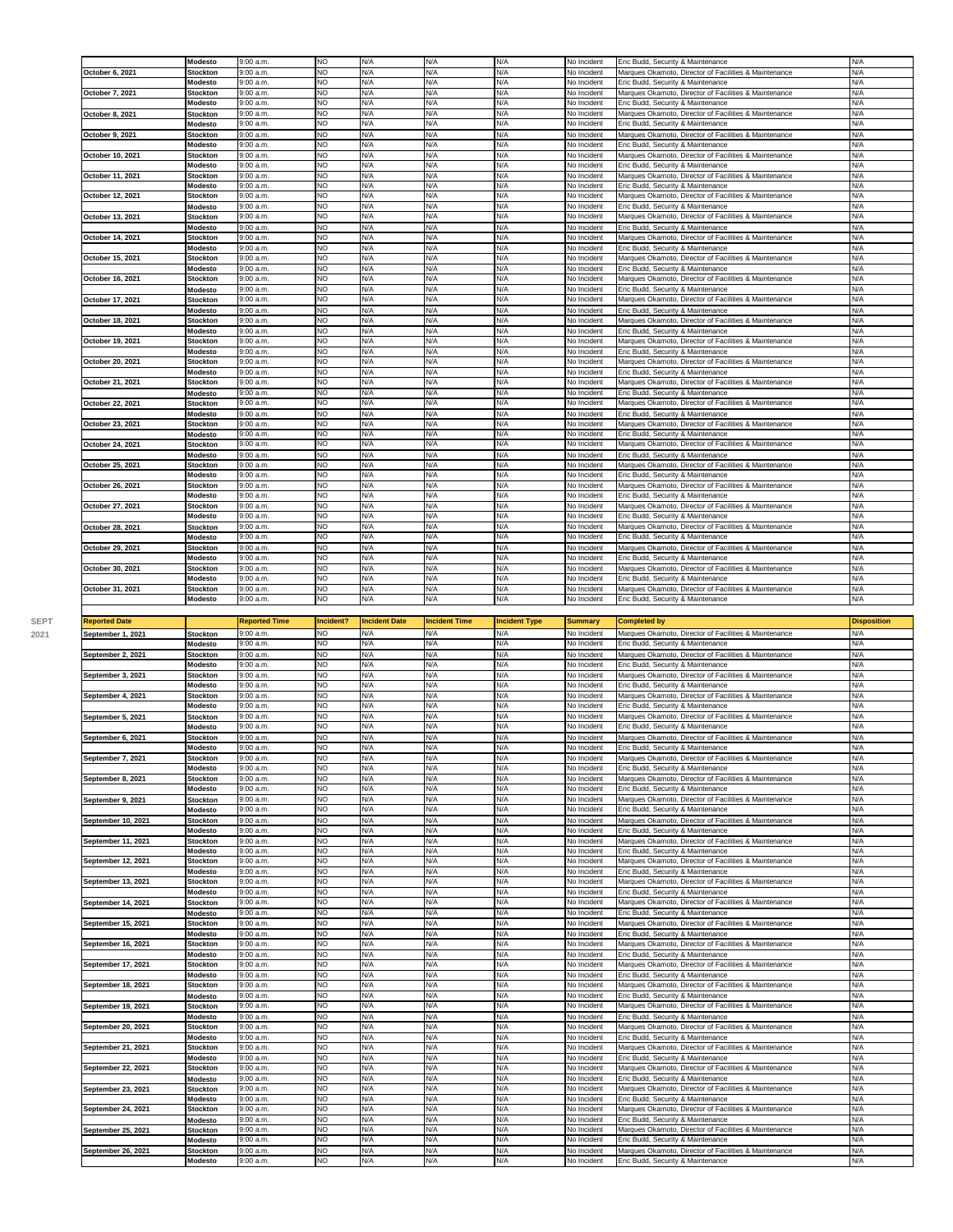|                  | Modesto                    | 9:00a.m.              | <b>NO</b>              | N/A        | N/A        | N/A        | No Incident                | Eric Budd, Security & Maintenance                     | N/A        |
|------------------|----------------------------|-----------------------|------------------------|------------|------------|------------|----------------------------|-------------------------------------------------------|------------|
| October 6, 2021  | <b>Stockton</b>            | 9:00a.m.              | N <sub>O</sub>         | N/A        | N/A        | N/A        | No Incident                | Marques Okamoto, Director of Facilities & Maintenance | N/A        |
|                  | <b>Modesto</b>             | 9:00 a.m.             | NO.                    | N/A        | N/A        | N/A        |                            | Eric Budd, Security & Maintenance                     | N/A        |
|                  |                            |                       |                        |            |            |            | No Incident                |                                                       |            |
| October 7, 2021  | <b>Stockton</b><br>Modesto | 9:00 a.m.<br>9:00a.m. | <b>NO</b><br><b>NO</b> | N/A<br>N/A | N/A<br>N/A | N/A<br>N/A | No Incident<br>No Incident | Marques Okamoto, Director of Facilities & Maintenance | N/A<br>N/A |
|                  |                            |                       |                        |            |            |            |                            | Eric Budd, Security & Maintenance                     |            |
| October 8, 2021  | <b>Stockton</b>            | 9:00a.m.              | NO                     | N/A        | N/A        | N/A        | No Incident                | Marques Okamoto, Director of Facilities & Maintenance | N/A        |
|                  | <b>Modesto</b>             | 9:00 a.m.             | N <sub>O</sub>         | N/A        | N/A        | N/A        | No Incident                | Eric Budd, Security & Maintenance                     | N/A        |
| October 9, 2021  | <b>Stockton</b>            | 9:00 a.m.             | <b>NO</b>              | N/A        | N/A<br>N/A | N/A<br>N/A | No Incident                | Marques Okamoto, Director of Facilities & Maintenance | N/A<br>N/A |
|                  | Modesto                    | 9:00 a.m.             | <b>NO</b>              | N/A        |            |            | No Incident                | Eric Budd, Security & Maintenance                     |            |
| October 10, 2021 | <b>Stockton</b>            | 9:00a.m.              | <b>NO</b>              | N/A        | N/A        | N/A        | No Incident                | Marques Okamoto, Director of Facilities & Maintenance | N/A        |
|                  | Modesto                    | 9:00 a.m.             | <b>NO</b>              | N/A        | N/A        | N/A        | No Incident                | Eric Budd, Security & Maintenance                     | N/A        |
| October 11, 2021 | <b>Stockton</b>            | 9:00a.m.              | NO.                    | N/A        | N/A<br>N/A | N/A        | No Incident                | Marques Okamoto, Director of Facilities & Maintenance | N/A        |
|                  | Modesto                    | 9:00a.m.              | <b>NO</b>              | N/A<br>N/A | N/A        | N/A        | No Incident                | Eric Budd, Security & Maintenance                     | N/A        |
| October 12, 2021 | <b>Stockton</b>            | 9:00 a.m.             | <b>NO</b>              |            |            | N/A        | No Incident                | Marques Okamoto, Director of Facilities & Maintenance | N/A        |
|                  | <b>Modesto</b>             | 9:00 a.m.             | N <sub>O</sub>         | N/A        | N/A        | N/A        | No Incident                | Eric Budd, Security & Maintenance                     | N/A        |
| October 13, 2021 | <b>Stockton</b>            | 9:00a.m.              | NO.                    | N/A        | N/A        | N/A        | No Incident                | Marques Okamoto, Director of Facilities & Maintenance | N/A        |
|                  | Modesto                    | 9:00 a.m.             | NO.                    | N/A        | N/A        | N/A        | No Incident                | Eric Budd, Security & Maintenance                     | N/A        |
| October 14, 2021 | <b>Stockton</b>            | 9:00 a.m.             | <b>NO</b>              | N/A        | N/A        | N/A        | No Incident                | Marques Okamoto, Director of Facilities & Maintenance | N/A        |
|                  | Modesto                    | 9:00 a.m.             | <b>NO</b>              | N/A        | N/A        | N/A        | No Incident                | Eric Budd, Security & Maintenance                     | N/A        |
| October 15, 2021 | <b>Stockton</b>            | 9:00 a.m.             | <b>NO</b>              | N/A        | N/A        | N/A        | No Incident                | Marques Okamoto, Director of Facilities & Maintenance | N/A        |
|                  | Modesto                    | 9:00 a.m.             | N <sub>O</sub>         | N/A        | N/A        | N/A        | No Incident                | Eric Budd, Security & Maintenance                     | N/A        |
| October 16, 2021 | <b>Stockton</b>            | 9:00 a.m.             | NO                     | N/A        | N/A        | N/A        | No Incident                | Marques Okamoto, Director of Facilities & Maintenance | N/A        |
|                  | Modesto                    | 9:00 a.m.             | <b>NO</b>              | N/A        | N/A        | N/A        | No Incident                | Eric Budd, Security & Maintenance                     | N/A        |
| October 17, 2021 | <b>Stockton</b>            | 9:00 a.m.             | NO                     | N/A        | N/A        | N/A        | No Incident                | Marques Okamoto, Director of Facilities & Maintenance | N/A        |
|                  | Modesto                    | 9:00 a.m.             | N <sub>O</sub>         | N/A        | N/A        | N/A        | No Incident                | Eric Budd, Security & Maintenance                     | N/A        |
| October 18, 2021 | <b>Stockton</b>            | 9:00 a.m.             | NO                     | N/A        | N/A        | N/A        | No Incident                | Marques Okamoto, Director of Facilities & Maintenance | N/A        |
|                  | Modesto                    | 9:00 a.m.             | <b>NO</b>              | N/A        | N/A        | N/A        | No Incident                | Eric Budd, Security & Maintenance                     | N/A        |
| October 19, 2021 | <b>Stockton</b>            | 9:00a.m.              | NO.                    | N/A        | N/A        | N/A        | No Incident                | Marques Okamoto, Director of Facilities & Maintenance | N/A        |
|                  | Modesto                    | 9:00 a.m.             | <b>NO</b>              | N/A        | N/A        | N/A        | No Incident                | Eric Budd, Security & Maintenance                     | N/A        |
| October 20, 2021 | <b>Stockton</b>            | 9:00 a.m.             | NO                     | N/A        | N/A        | N/A        | No Incident                | Marques Okamoto, Director of Facilities & Maintenance | N/A        |
|                  | Modesto                    | 9:00 a.m.             | N <sub>O</sub>         | N/A        | N/A        | N/A        | No Incident                | Eric Budd, Security & Maintenance                     | N/A        |
| October 21, 2021 | <b>Stockton</b>            | 9:00a.m.              | NO.                    | N/A        | N/A        | N/A        | No Incident                | Marques Okamoto, Director of Facilities & Maintenance | N/A        |
|                  | Modesto                    | 9:00 a.m.             | NO                     | N/A        | N/A        | N/A        | No Incident                | Eric Budd, Security & Maintenance                     | N/A        |
| October 22, 2021 | <b>Stockton</b>            | 9:00 a.m.             | NO                     | N/A        | N/A        | N/A        | No Incident                | Marques Okamoto, Director of Facilities & Maintenance | N/A        |
|                  | Modesto                    | 9:00 a.m.             | NO                     | N/A        | N/A        | N/A        | No Incident                | Eric Budd, Security & Maintenance                     | N/A        |
| October 23, 2021 | <b>Stockton</b>            | 9:00 a.m.             | <b>NO</b>              | N/A        | N/A        | N/A        | No Incident                | Marques Okamoto, Director of Facilities & Maintenance | N/A        |
|                  | Modesto                    | 9:00 a.m.             | <b>NO</b>              | N/A        | N/A        | N/A        | No Incident                | Eric Budd, Security & Maintenance                     | N/A        |
| October 24, 2021 | <b>Stockton</b>            | 9:00a.m.              | NO                     | N/A        | N/A        | N/A        | No Incident                | Marques Okamoto, Director of Facilities & Maintenance | N/A        |
|                  | Modesto                    | 9:00 a.m.             | <b>NO</b>              | N/A        | N/A        | N/A        | No Incident                | Eric Budd, Security & Maintenance                     | N/A        |
| October 25, 2021 | <b>Stockton</b>            | 9:00 a.m.             | NO                     | N/A        | N/A        | N/A        | No Incident                | Marques Okamoto, Director of Facilities & Maintenance | N/A        |
|                  | Modesto                    | 9:00 a.m.             | NO                     | N/A        | N/A        | N/A        | No Incident                | Eric Budd, Security & Maintenance                     | N/A        |
| October 26, 2021 | <b>Stockton</b>            | 9:00a.m.              | <b>NO</b>              | N/A        | N/A        | N/A        | No Incident                | Marques Okamoto, Director of Facilities & Maintenance | N/A        |
|                  | Modesto                    | 9:00 a.m.             | <b>NO</b>              | N/A        | N/A        | N/A        | No Incident                | Eric Budd, Security & Maintenance                     | N/A        |
| October 27, 2021 | <b>Stockton</b>            | 9:00a.m.              | N <sub>O</sub>         | N/A        | N/A        | N/A        | No Incident                | Marques Okamoto, Director of Facilities & Maintenance | N/A        |
|                  | Modesto                    | 9:00a.m.              | NO.                    | N/A        | N/A        | N/A        | No Incident                | Eric Budd, Security & Maintenance                     | N/A        |
| October 28, 2021 | <b>Stockton</b>            | 9:00a.m.              | <b>NO</b>              | N/A        | N/A        | N/A        | No Incident                | Marques Okamoto, Director of Facilities & Maintenance | N/A        |
|                  | Modesto                    | 9:00 a.m.             | <b>NO</b>              | N/A        | N/A        | N/A        | No Incident                | Eric Budd, Security & Maintenance                     | N/A        |
| October 29, 2021 | <b>Stockton</b>            | 9:00 a.m.             | NO.                    | N/A        | N/A        | N/A        | No Incident                | Marques Okamoto, Director of Facilities & Maintenance | N/A        |
|                  | Modesto                    | 9:00 a.m.             | <b>NO</b>              | N/A        | N/A        | N/A        | No Incident                | Eric Budd, Security & Maintenance                     | N/A        |
| October 30, 2021 | <b>Stockton</b>            | 9:00a.m.              | <b>NO</b>              | N/A        | N/A        | N/A        | No Incident                | Marques Okamoto, Director of Facilities & Maintenance | N/A        |
|                  | <b>Modesto</b>             | 9:00 a.m.             | N <sub>O</sub>         | N/A        | N/A        | N/A        | No Incident                | Eric Budd, Security & Maintenance                     | N/A        |
| October 31, 2021 | <b>Stockton</b>            | 9:00 a.m.             | <b>NO</b>              | N/A        | N/A        | N/A        | No Incident                | Marques Okamoto, Director of Facilities & Maintenance | N/A        |
|                  | Modesto                    | 9:00 a.m.             | <b>NO</b>              | N/A        | N/A        | N/A        | No Incident                | Eric Budd, Security & Maintenance                     | N/A        |
|                  |                            |                       |                        |            |            |            |                            |                                                       |            |

|                      | <b>MORGSTO</b>             | 5.00 a.00            | IVU              | N/T                  | N                    |                      |                | Fine Dudd, Security or Maintenance                                                         |                    |
|----------------------|----------------------------|----------------------|------------------|----------------------|----------------------|----------------------|----------------|--------------------------------------------------------------------------------------------|--------------------|
| <b>Reported Date</b> |                            | <b>Reported Time</b> | Incident?        | <b>Incident Date</b> | <b>Incident Time</b> | <b>Incident Type</b> | <b>Summary</b> | <b>Completed by</b>                                                                        | <b>Disposition</b> |
| September 1, 2021    | <b>Stockton</b>            | 9:00a.m.             | <b>NO</b>        | N/A                  | N/A                  | N/A                  | No Incident    | Marques Okamoto, Director of Facilities & Maintenance                                      | N/A                |
|                      | Modesto                    | 9:00 a.m.            | <b>NO</b>        | N/A                  | N/A                  | N/A                  | No Incident    | Eric Budd, Security & Maintenance                                                          | N/A                |
| September 2, 2021    | <b>Stockton</b>            | 9:00 a.m.            | <b>NO</b>        | N/A                  | N/A                  | N/A                  | No Incident    | Marques Okamoto, Director of Facilities & Maintenance                                      | N/A                |
|                      | Modesto                    | 9:00 a.m.            | <b>NO</b>        | N/A                  | N/A                  | N/A                  | No Incident    | Eric Budd, Security & Maintenance                                                          | N/A                |
| September 3, 2021    | <b>Stockton</b>            | 9:00 a.m.            | <b>NO</b>        | N/A                  | N/A                  | N/A                  | No Incident    | Marques Okamoto, Director of Facilities & Maintenance                                      | N/A                |
|                      | Modesto                    | 9:00 a.m.            | <b>NO</b>        | N/A                  | N/A                  | N/A                  | No Incident    | Eric Budd, Security & Maintenance                                                          | N/A                |
| September 4, 2021    |                            | 9:00a.m              | NO.              | N/A                  | N/A                  | N/A                  | No Incident    | Marques Okamoto, Director of Facilities & Maintenance                                      | N/A                |
|                      | <b>Stockton</b><br>Modesto | 9:00 a.m.            | <b>NO</b>        | N/A                  | N/A                  | N/A                  | No Incident    | Eric Budd, Security & Maintenance                                                          | N/A                |
|                      |                            | 9:00a.m.             | <b>NO</b>        | N/A                  | N/A                  | N/A                  | No Incident    |                                                                                            | N/A                |
| September 5, 2021    | <b>Stockton</b><br>Modesto | 9:00 a.m.            | NO.              | N/A                  | N/A                  | N/A                  | No Incident    | Marques Okamoto, Director of Facilities & Maintenance<br>Eric Budd, Security & Maintenance | N/A                |
|                      |                            |                      |                  |                      |                      |                      |                |                                                                                            |                    |
| September 6, 2021    | <b>Stockton</b>            | 9:00a.m              | <b>NO</b><br>NO. | N/A<br>N/A           | N/A<br>N/A           | N/A<br>N/A           | No Incident    | Marques Okamoto, Director of Facilities & Maintenance                                      | N/A<br>N/A         |
|                      | Modesto                    | 9:00 a.m.            |                  |                      |                      |                      | No Incident    | Eric Budd, Security & Maintenance                                                          |                    |
| September 7, 2021    | <b>Stockton</b>            | 9:00 a.m.            | <b>NO</b>        | N/A                  | N/A                  | N/A                  | No Incident    | Marques Okamoto, Director of Facilities & Maintenance                                      | N/A                |
|                      | Modesto                    | 9:00a.m.             | <b>NO</b>        | N/A                  | N/A                  | N/A                  | No Incident    | Eric Budd, Security & Maintenance                                                          | N/A                |
| September 8, 2021    | <b>Stockton</b>            | 9:00 a.m.            | <b>NO</b>        | N/A                  | N/A                  | N/A                  | No Incident    | Marques Okamoto, Director of Facilities & Maintenance                                      | N/A                |
|                      | Modesto                    | 9:00 a.m.            | <b>NO</b>        | N/A                  | N/A                  | N/A                  | No Incident    | Eric Budd, Security & Maintenance                                                          | N/A                |
| September 9, 2021    | <b>Stockton</b>            | 9:00 a.m.            | <b>NO</b>        | N/A                  | N/A                  | N/A                  | No Incident    | Marques Okamoto, Director of Facilities & Maintenance                                      | N/A                |
|                      | Modesto                    | 9:00 a.m.            | <b>NO</b>        | N/A                  | N/A                  | N/A                  | No Incident    | Eric Budd, Security & Maintenance                                                          | N/A                |
| September 10, 2021   | <b>Stockton</b>            | 9:00 a.m.            | <b>NO</b>        | N/A                  | N/A                  | N/A                  | No Incident    | Marques Okamoto, Director of Facilities & Maintenance                                      | N/A                |
|                      | Modesto                    | 9:00 a.m.            | <b>NO</b>        | N/A                  | N/A                  | N/A                  | No Incident    | Eric Budd, Security & Maintenance                                                          | N/A                |
| September 11, 2021   | <b>Stockton</b>            | 9:00 a.m.            | <b>NO</b>        | N/A                  | N/A                  | N/A                  | No Incident    | Marques Okamoto, Director of Facilities & Maintenance                                      | N/A                |
|                      | Modesto                    | 9:00 a.m.            | NO               | N/A                  | N/A                  | N/A                  | No Incident    | Eric Budd, Security & Maintenance                                                          | N/A                |
| September 12, 2021   | <b>Stockton</b>            | 9:00 a.m.            | <b>NO</b>        | N/A                  | N/A                  | N/A                  | No Incident    | Marques Okamoto, Director of Facilities & Maintenance                                      | N/A                |
|                      | Modesto                    | 9:00 a.m.            | <b>NO</b>        | N/A                  | N/A                  | N/A                  | No Incident    | Eric Budd, Security & Maintenance                                                          | N/A                |
| September 13, 2021   | <b>Stockton</b>            | 9:00 a.m.            | <b>NO</b>        | N/A                  | N/A                  | N/A                  | No Incident    | Marques Okamoto, Director of Facilities & Maintenance                                      | N/A                |
|                      | Modesto                    | 9:00 a.m.            | <b>NO</b>        | N/A                  | N/A                  | N/A                  | No Incident    | Eric Budd, Security & Maintenance                                                          | N/A                |
| September 14, 2021   | <b>Stockton</b>            | 9:00 a.m.            | <b>NO</b>        | N/A                  | N/A                  | N/A                  | No Incident    | Marques Okamoto, Director of Facilities & Maintenance                                      | N/A                |
|                      | Modesto                    | 9:00 a.m.            | <b>NO</b>        | N/A                  | N/A                  | N/A                  | No Incident    | Eric Budd, Security & Maintenance                                                          | N/A                |
| September 15, 2021   | Stockton                   | 9:00 a.m.            | <b>NO</b>        | N/A                  | N/A                  | N/A                  | No Incident    | Marques Okamoto, Director of Facilities & Maintenance                                      | N/A                |
|                      | Modesto                    | 9:00 a.m.            | <b>NO</b>        | N/A                  | N/A                  | N/A                  | No Incident    | Eric Budd, Security & Maintenance                                                          | N/A                |
| September 16, 2021   | <b>Stockton</b>            | 9:00 a.m.            | <b>NO</b>        | N/A                  | N/A                  | N/A                  | No Incident    | Marques Okamoto, Director of Facilities & Maintenance                                      | N/A                |
|                      | Modesto                    | 9:00a.m.             | <b>NO</b>        | N/A                  | N/A                  | N/A                  | No Incident    | Eric Budd, Security & Maintenance                                                          | N/A                |
| September 17, 2021   | <b>Stockton</b>            | 9:00 a.m.            | <b>NO</b>        | N/A                  | N/A                  | N/A                  | No Incident    | Marques Okamoto, Director of Facilities & Maintenance                                      | N/A                |
|                      | Modesto                    | 9:00a.m.             | <b>NO</b>        | N/A                  | N/A                  | N/A                  | No Incident    | Eric Budd, Security & Maintenance                                                          | N/A                |
| September 18, 2021   | <b>Stockton</b>            | 9:00a.m.             | NO.              | N/A                  | N/A                  | N/A                  | No Incident    | Marques Okamoto, Director of Facilities & Maintenance                                      | N/A                |
|                      | Modesto                    | 9:00 a.m.            | <b>NO</b>        | N/A                  | N/A                  | N/A                  | No Incident    | Eric Budd, Security & Maintenance                                                          | N/A                |
| September 19, 2021   | <b>Stockton</b>            | 9:00 a.m.            | NO.              | N/A                  | N/A                  | N/A                  | No Incident    | Marques Okamoto, Director of Facilities & Maintenance                                      | N/A                |
|                      | Modesto                    | 9:00 a.m.            | <b>NO</b>        | N/A                  | N/A                  | N/A                  | No Incident    | Eric Budd, Security & Maintenance                                                          | N/A                |
| September 20, 2021   | <b>Stockton</b>            | 9:00a.m.             | <b>NO</b>        | N/A                  | N/A                  | N/A                  | No Incident    | Marques Okamoto, Director of Facilities & Maintenance                                      | N/A                |
|                      | Modesto                    | 9:00 a.m.            | <b>NO</b>        | N/A                  | N/A                  | N/A                  | No Incident    | Eric Budd, Security & Maintenance                                                          | N/A                |
| September 21, 2021   | <b>Stockton</b>            | 9:00 a.m.            | <b>NO</b>        | N/A                  | N/A                  | N/A                  | No Incident    | Marques Okamoto, Director of Facilities & Maintenance                                      | N/A                |
|                      | Modesto                    | 9:00 a.m.            | <b>NO</b>        | N/A                  | N/A                  | N/A                  | No Incident    | Eric Budd, Security & Maintenance                                                          | N/A                |
| September 22, 2021   | <b>Stockton</b>            | 9:00 a.m.            | <b>NO</b>        | N/A                  | N/A                  | N/A                  | No Incident    | Marques Okamoto, Director of Facilities & Maintenance                                      | N/A                |
|                      | Modesto                    | 9:00 a.m.            | <b>NO</b>        | N/A                  | N/A                  | N/A                  | No Incident    | Eric Budd, Security & Maintenance                                                          | N/A                |
| September 23, 2021   | <b>Stockton</b>            | 9:00 a.m.            | <b>NO</b>        | N/A                  | N/A                  | N/A                  | No Incident    | Marques Okamoto, Director of Facilities & Maintenance                                      | N/A                |
|                      | Modesto                    | 9:00 a.m.            | <b>NO</b>        | N/A                  | N/A                  | N/A                  | No Incident    | Eric Budd, Security & Maintenance                                                          | N/A                |
| September 24, 2021   | Stockton                   | 9:00 a.m.            | <b>NO</b>        | N/A                  | N/A                  | N/A                  | No Incident    | Marques Okamoto, Director of Facilities & Maintenance                                      | N/A                |
|                      | Modesto                    | 9:00 a.m.            | <b>NO</b>        | N/A                  | N/A                  | N/A                  | No Incident    | Eric Budd, Security & Maintenance                                                          | N/A                |
| September 25, 2021   | <b>Stockton</b>            | 9:00 a.m.            | <b>NO</b>        | N/A                  | N/A                  | N/A                  | No Incident    | Marques Okamoto, Director of Facilities & Maintenance                                      | N/A                |
|                      | Modesto                    | 9:00 a.m.            | <b>NO</b>        | N/A                  | N/A                  | N/A                  | No Incident    | Eric Budd, Security & Maintenance                                                          | N/A                |
| September 26, 2021   | <b>Stockton</b>            | 9:00 a.m.            | <b>NO</b>        | N/A                  | N/A                  | N/A                  | No Incident    | Marques Okamoto, Director of Facilities & Maintenance                                      | N/A                |
|                      |                            |                      |                  |                      |                      |                      |                |                                                                                            |                    |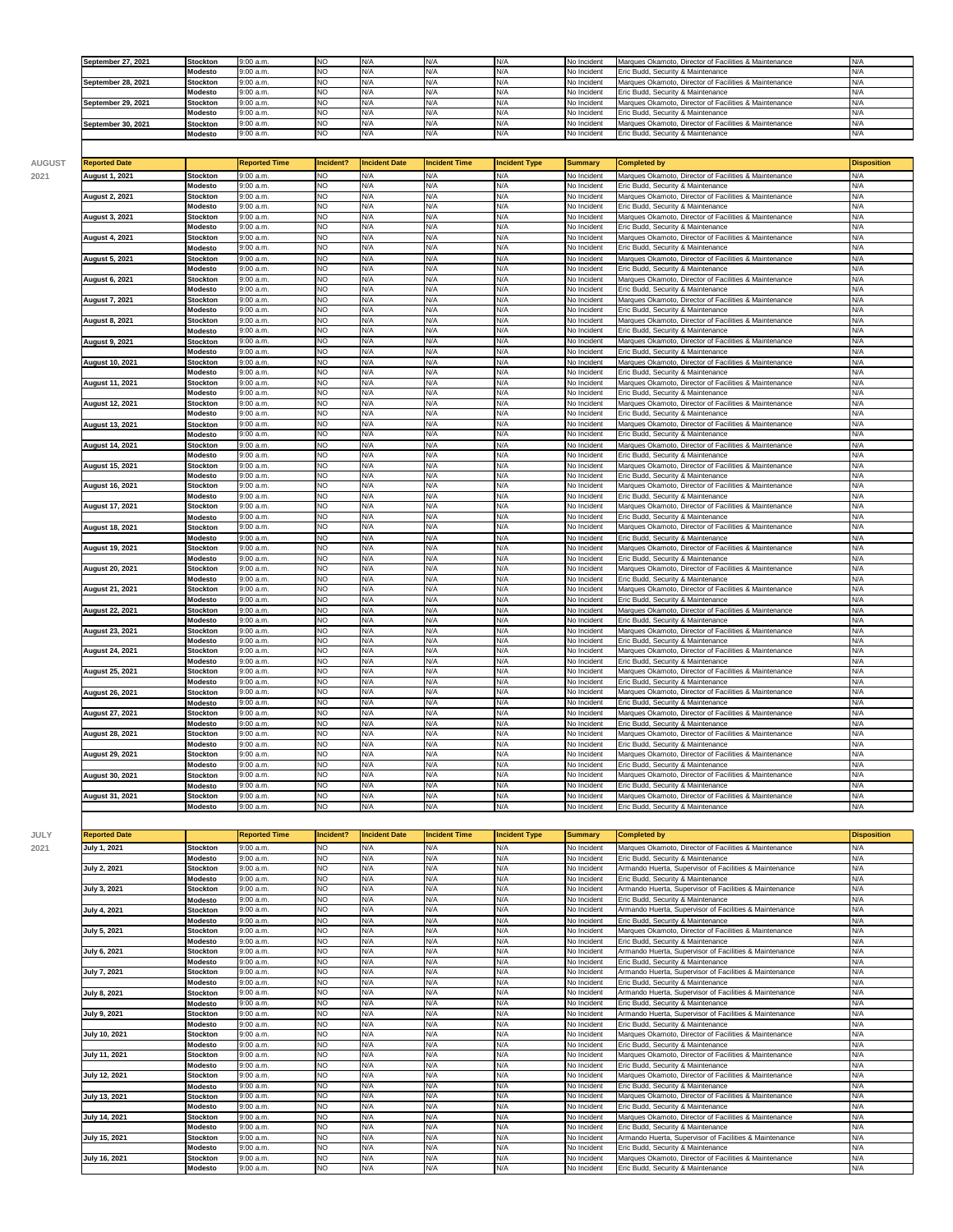| September 27, 2021 | <b>Stockton</b> | 9:00 a.m. | <b>INO</b> | N/A  |  | No Incident | Marques Okamoto, Director of Facilities & Maintenance | N/A         |
|--------------------|-----------------|-----------|------------|------|--|-------------|-------------------------------------------------------|-------------|
|                    | <b>Modesto</b>  | 9:00 a.m. | <b>INO</b> | IN/A |  | No Incident | Eric Budd, Security & Maintenance                     | N/A         |
| September 28, 2021 | <b>Stockton</b> | 9:00 a.m. | <b>NO</b>  | N/A  |  | No Incident | Marques Okamoto, Director of Facilities & Maintenance | N/A         |
|                    | <b>Modesto</b>  | 9:00 a.m. | <b>INO</b> | N/A  |  | No Incident | Eric Budd, Security & Maintenance                     | N/A         |
| September 29, 2021 | <b>Stockton</b> | 9:00 a.m. | <b>NO</b>  | IN/A |  | No Incident | Marques Okamoto, Director of Facilities & Maintenance | <b>IN/A</b> |
|                    | <b>Modesto</b>  | 9:00 a.m. | <b>NO</b>  | N/A  |  | No Incident | Eric Budd, Security & Maintenance                     | N/A         |
| September 30, 2021 | <b>Stockton</b> | 9:00 a.m. | <b>NO</b>  | N/A  |  | No Incident | Marques Okamoto, Director of Facilities & Maintenance | N/A         |
|                    | <b>Modesto</b>  | 9:00 a.m. | <b>INO</b> | N/A  |  | No Incident | Eric Budd, Security & Maintenance                     | N/A         |
|                    |                 |           |            |      |  |             |                                                       |             |

| <b>Reported Date</b>   |                            | <b>Reported Time</b>  | Incident? | <b>Incident Date</b> | <b>Incident Time</b> | <b>Incident Type</b> | <b>Summary</b>             | Completed by                                                                               | <b>Disposition</b> |
|------------------------|----------------------------|-----------------------|-----------|----------------------|----------------------|----------------------|----------------------------|--------------------------------------------------------------------------------------------|--------------------|
| August 1, 2021         | <b>Stockton</b>            | 9:00 a.m.             | <b>NO</b> | N/A                  | N/A                  | N/A                  | No Incident                | Marques Okamoto, Director of Facilities & Maintenance                                      | N/A                |
|                        | Modesto                    | 9:00 a.m.             | NO.       | N/A                  | N/A                  | N/A                  | No Incident                | Eric Budd, Security & Maintenance                                                          | N/A                |
| <b>August 2, 2021</b>  | <b>Stockton</b>            | 9:00 a.m.             | <b>NO</b> | N/A                  | N/A                  | N/A                  | No Incident                | Marques Okamoto, Director of Facilities & Maintenance                                      | N/A                |
|                        | Modesto                    | 9:00 a.m.             | <b>NO</b> | N/A                  | N/A                  | N/A                  | No Incident                | Eric Budd, Security & Maintenance                                                          | N/A                |
| August 3, 2021         | <b>Stockton</b>            | 9:00 a.m.             | <b>NO</b> | N/A                  | N/A                  | N/A                  | No Incident                | Marques Okamoto, Director of Facilities & Maintenance                                      | N/A                |
|                        | Modesto                    | 9:00 a.m.             | <b>NO</b> | N/A                  | N/A                  | N/A                  | No Incident                | Eric Budd, Security & Maintenance                                                          | N/A                |
| August 4, 2021         | <b>Stockton</b>            | 9:00 a.m.             | <b>NO</b> | N/A                  | N/A                  | N/A                  | No Incident                | Marques Okamoto, Director of Facilities & Maintenance                                      | N/A                |
|                        | Modesto                    | 9:00 a.m.             | NO.       | N/A                  | N/A                  | N/A                  | No Incident                | Eric Budd, Security & Maintenance                                                          | N/A                |
| August 5, 2021         | <b>Stockton</b>            | 9:00 a.m.             | <b>NO</b> | N/A                  | N/A                  | N/A                  | No Incident                | Marques Okamoto, Director of Facilities & Maintenance                                      | N/A                |
|                        | Modesto                    | 9:00 a.m.             | <b>NO</b> | N/A                  | N/A                  | N/A                  | No Incident                | Eric Budd, Security & Maintenance                                                          | N/A                |
| <b>August 6, 2021</b>  | <b>Stockton</b>            | 9:00 a.m              | <b>NO</b> | N/A                  | N/A                  | N/A                  | No Incident                | Marques Okamoto, Director of Facilities & Maintenance                                      | N/A                |
|                        | Modesto                    | 9:00 a.m.             | NO.       | N/A                  | N/A                  | N/A                  | No Incident                | Eric Budd, Security & Maintenance                                                          | N/A                |
| August 7, 2021         | <b>Stockton</b>            | 9:00 a.m.             | NO.       | N/A                  | N/A                  | N/A                  | No Incident                | Marques Okamoto, Director of Facilities & Maintenance                                      | N/A                |
|                        | Modesto                    | 9:00 a.m.             | <b>NO</b> | N/A                  | N/A                  | N/A                  | No Incident                | Eric Budd, Security & Maintenance                                                          | N/A                |
| August 8, 2021         | <b>Stockton</b>            | 9:00a.m.              | <b>NO</b> | N/A                  | N/A                  | N/A                  | No Incident                | Marques Okamoto, Director of Facilities & Maintenance                                      | N/A                |
|                        | Modesto                    | 9:00 a.m.             | NO.       | N/A                  | N/A                  | N/A                  | No Incident                | Eric Budd, Security & Maintenance                                                          | N/A                |
| <b>August 9, 2021</b>  | <b>Stockton</b>            | 9:00 a.m.             | <b>NO</b> | N/A                  | N/A                  | N/A                  | No Incident                | Marques Okamoto, Director of Facilities & Maintenance                                      | N/A                |
|                        | Modesto                    | 9:00 a.m.             | <b>NO</b> | N/A                  | N/A                  | N/A                  | No Incident                | Eric Budd, Security & Maintenance                                                          | N/A                |
| <b>August 10, 2021</b> | <b>Stockton</b>            | 9:00 a.m.             | <b>NO</b> | N/A                  | N/A                  | N/A                  | No Incident                | Marques Okamoto, Director of Facilities & Maintenance                                      | N/A                |
|                        | Modesto                    | 9:00 a.m.             | <b>NO</b> | N/A                  | N/A                  | N/A                  | No Incident                | Eric Budd, Security & Maintenance                                                          | N/A                |
| August 11, 2021        | Stockton                   | 9:00 a.m.             | NO.       | N/A                  | N/A                  | N/A                  | No Incident                | Marques Okamoto, Director of Facilities & Maintenance                                      | N/A                |
|                        | Modesto                    | 9:00 a.m.             | <b>NO</b> | N/A                  | N/A                  | N/A                  | No Incident                | Eric Budd, Security & Maintenance                                                          | N/A                |
| August 12, 2021        | <b>Stockton</b>            | 9:00 a.m.             | <b>NO</b> | N/A                  | N/A                  | N/A                  | No Incident                | Marques Okamoto, Director of Facilities & Maintenance                                      | N/A                |
|                        | Modesto                    | 9:00 a.m.             | NO        | N/A                  | N/A                  | N/A                  | No Incident                | Eric Budd, Security & Maintenance                                                          | N/A                |
| August 13, 2021        | Stockton                   | 9:00 a.m.             | <b>NO</b> | N/A                  | N/A                  | N/A                  | No Incident                | Marques Okamoto, Director of Facilities & Maintenance                                      | N/A                |
|                        | Modesto                    | 9:00 a.m.             | <b>NO</b> | N/A                  | N/A                  | N/A                  | No Incident                | Eric Budd, Security & Maintenance                                                          | N/A                |
| <b>August 14, 2021</b> | <b>Stockton</b>            | 9:00 a.m.             | <b>NO</b> | N/A                  | N/A                  | N/A                  | No Incident                | Marques Okamoto, Director of Facilities & Maintenance                                      | N/A                |
|                        | Modesto                    | 9:00 a.m.             | <b>NO</b> | N/A                  | N/A                  | N/A                  | No Incident                | Eric Budd, Security & Maintenance                                                          | N/A                |
| August 15, 2021        | <b>Stockton</b>            | 9:00 a.m.             | <b>NO</b> | N/A                  | N/A                  | N/A                  | No Incident                | Marques Okamoto, Director of Facilities & Maintenance                                      | N/A                |
|                        | <b>Modesto</b>             | 9:00a.m               | <b>NO</b> | N/A                  | N/A                  | N/A                  | No Incident                | Eric Budd, Security & Maintenance                                                          | N/A                |
| August 16, 2021        | <b>Stockton</b>            | 9:00 a.m.             | <b>NO</b> | N/A                  | N/A                  | N/A                  | No Incident                | Marques Okamoto, Director of Facilities & Maintenance                                      | N/A                |
|                        | Modesto                    | 9:00 a.m.             | NO.       | N/A                  | N/A                  | N/A                  | No Incident                | Eric Budd, Security & Maintenance                                                          | N/A                |
| August 17, 2021        | <b>Stockton</b>            | 9:00 a.m.             | <b>NO</b> | N/A                  | N/A                  | N/A                  | No Incident                | Marques Okamoto, Director of Facilities & Maintenance                                      | N/A                |
|                        | Modesto                    | 9:00a.m.              | NO.       | N/A                  | N/A                  | N/A                  | No Incident                | Eric Budd, Security & Maintenance                                                          | N/A                |
| August 18, 2021        | <b>Stockton</b>            | 9:00 a.m.             | <b>NO</b> | N/A                  | N/A                  | N/A                  | No Incident                | Marques Okamoto, Director of Facilities & Maintenance                                      | N/A                |
|                        | Modesto                    | 9:00 a.m.             | <b>NO</b> | N/A                  | N/A                  | N/A                  | No Incident                | Eric Budd, Security & Maintenance                                                          | N/A                |
| August 19, 2021        | Stockton                   | 9:00 a.m.             | <b>NO</b> | N/A                  | N/A                  | N/A                  | No Incident                | Marques Okamoto, Director of Facilities & Maintenance                                      | N/A                |
|                        | Modesto                    | 9:00a.m               | <b>NO</b> | N/A                  | N/A                  | N/A                  | No Incident                | Eric Budd, Security & Maintenance                                                          | N/A                |
| August 20, 2021        | <b>Stockton</b>            | 9:00 a.m.             | <b>NO</b> | N/A                  | N/A                  | N/A                  | No Incident                | Marques Okamoto, Director of Facilities & Maintenance                                      | N/A                |
|                        | Modesto                    | 9:00 a.m.             | NO.       | N/A                  | N/A                  | N/A                  | No Incident                | Eric Budd, Security & Maintenance                                                          | N/A                |
| <b>August 21, 2021</b> | Stockton                   | 9:00 a.m.             | <b>NO</b> | N/A                  | N/A                  | N/A                  | No Incident                | Marques Okamoto, Director of Facilities & Maintenance                                      | N/A                |
|                        | Modesto                    | 9:00a.m.              | NO.       | N/A                  | N/A                  | N/A                  | No Incident                | Eric Budd, Security & Maintenance                                                          | N/A                |
| <b>August 22, 2021</b> | <b>Stockton</b>            | 9:00 a.m              | <b>NO</b> | N/A                  | N/A                  | N/A                  | No Incident                | Marques Okamoto, Director of Facilities & Maintenance                                      | N/A                |
|                        | Modesto                    | 9:00 a.m.             | NO.       | N/A                  | N/A                  | N/A                  | No Incident                | Eric Budd, Security & Maintenance                                                          | N/A                |
| August 23, 2021        | <b>Stockton</b>            | 9:00 a.m.             | NO.       | N/A                  | N/A                  | N/A                  | No Incident                | Marques Okamoto, Director of Facilities & Maintenance                                      | N/A                |
|                        | Modesto                    | 9:00 a.m              | <b>NO</b> | N/A                  | N/A                  | N/A                  | No Incident                | Eric Budd, Security & Maintenance                                                          | N/A                |
| August 24, 2021        | Stockton                   | 9:00 a.m.             | <b>NO</b> | N/A                  | N/A                  | N/A                  | No Incident                | Marques Okamoto, Director of Facilities & Maintenance                                      | N/A                |
|                        | Modesto                    | 9:00 a.m.             | NO.       | N/A                  | N/A                  | N/A                  | No Incident                | Eric Budd, Security & Maintenance                                                          | N/A                |
| August 25, 2021        | <b>Stockton</b>            | 9:00 a.m.             | <b>NO</b> | N/A                  | N/A                  | N/A                  | No Incident                | Marques Okamoto, Director of Facilities & Maintenance                                      | N/A                |
|                        | Modesto                    | 9:00 a.m.             | NO.       | N/A                  | N/A                  | N/A                  | No Incident                | Eric Budd, Security & Maintenance                                                          | N/A                |
| <b>August 26, 2021</b> | <b>Stockton</b>            | 9:00 a.m              | NO.       | N/A                  | N/A                  | N/A                  | No Incident                | Marques Okamoto, Director of Facilities & Maintenance                                      | N/A                |
|                        | Modesto                    | $9:00$ a.m.           | NO        | N/A                  | N/A                  | N/A                  | No Incident                | Eric Budd, Security & Maintenance                                                          | N/A                |
| August 27, 2021        | <b>Stockton</b>            | 9:00 a.m.             | <b>NO</b> | N/A                  | N/A                  | N/A                  | No Incident                | Marques Okamoto, Director of Facilities & Maintenance                                      | N/A                |
|                        | Modesto                    | 9:00 a.m              | <b>NO</b> | N/A                  | N/A                  | N/A                  | No Incident                | Eric Budd, Security & Maintenance                                                          | N/A                |
| <b>August 28, 2021</b> | <b>Stockton</b>            | 9:00 a.m.             | <b>NO</b> | N/A                  | N/A                  | N/A                  | No Incident                | Marques Okamoto, Director of Facilities & Maintenance                                      | N/A                |
|                        |                            | 9:00 a.m.             | <b>NO</b> | N/A                  | N/A                  | N/A                  |                            |                                                                                            | N/A                |
| August 29, 2021        | Modesto<br><b>Stockton</b> | 9:00 a.m.             | <b>NO</b> | N/A                  | N/A                  | N/A                  | No Incident<br>No Incident | Eric Budd, Security & Maintenance<br>Marques Okamoto, Director of Facilities & Maintenance | N/A                |
|                        |                            |                       | NO.       | N/A                  | N/A                  | N/A                  |                            |                                                                                            | N/A                |
|                        | Modesto                    | 9:00 a.m.             | NO        | N/A                  | N/A                  | N/A                  | No Incident                | Eric Budd, Security & Maintenance                                                          | N/A                |
| August 30, 2021        | <b>Stockton</b>            | 9:00 a.m              | NO.       | N/A                  |                      |                      | No Incident                | Marques Okamoto, Director of Facilities & Maintenance                                      |                    |
|                        | Modesto<br><b>Stockton</b> | 9:00 a.m.<br>9:00a.m. | NO.       | N/A                  | N/A<br>N/A           | N/A<br>N/A           | No Incident<br>No Incident | Eric Budd, Security & Maintenance                                                          | N/A<br>N/A         |
| August 31, 2021        |                            |                       |           |                      |                      |                      |                            | Marques Okamoto, Director of Facilities & Maintenance                                      |                    |
|                        | Modesto                    | 9:00 a.m              | <b>NO</b> | N/A                  | N/A                  | N/A                  | No Incident                | Eric Budd, Security & Maintenance                                                          | N/A                |

| <b>Reported Date</b> |                 | <b>Reported Time</b> | Incident? | <b>Incident Date</b> | <b>Incident Time</b> | <b>Incident Type</b> | <b>Summary</b> | <b>Completed by</b>                                    | <b>Disposition</b> |
|----------------------|-----------------|----------------------|-----------|----------------------|----------------------|----------------------|----------------|--------------------------------------------------------|--------------------|
| July 1, 2021         | <b>Stockton</b> | 9:00a.m.             | <b>NO</b> | N/A                  | N/A                  | N/A                  | No Incident    | Marques Okamoto, Director of Facilities & Maintenance  | N/A                |
|                      | Modesto         | 9:00 a.m.            | <b>NO</b> | N/A                  | N/A                  | N/A                  | No Incident    | Eric Budd, Security & Maintenance                      | N/A                |
| July 2, 2021         | <b>Stockton</b> | 9:00 a.m.            | NO.       | N/A                  | N/A                  | N/A                  | No Incident    | Armando Huerta, Supervisor of Facilities & Maintenance | N/A                |
|                      | <b>Modesto</b>  | 9:00 a.m.            | NO        | N/A                  | N/A                  | N/A                  | No Incident    | Eric Budd, Security & Maintenance                      | N/A                |
| July 3, 2021         | <b>Stockton</b> | 9:00 a.m.            | NO.       | N/A                  | N/A                  | N/A                  | No Incident    | Armando Huerta, Supervisor of Facilities & Maintenance | N/A                |
|                      | <b>Modesto</b>  | 9:00 a.m.            | <b>NO</b> | N/A                  | N/A                  | N/A                  | No Incident    | Eric Budd, Security & Maintenance                      | N/A                |
| July 4, 2021         | <b>Stockton</b> | 9:00 a.m.            | <b>NO</b> | N/A                  | N/A                  | N/A                  | No Incident    | Armando Huerta, Supervisor of Facilities & Maintenance | N/A                |
|                      | <b>Modesto</b>  | 9:00 a.m.            | <b>NO</b> | N/A                  | N/A                  | N/A                  | No Incident    | Eric Budd, Security & Maintenance                      | N/A                |
| July 5, 2021         | <b>Stockton</b> | 9:00 a.m.            | <b>NO</b> | N/A                  | N/A                  | N/A                  | No Incident    | Marques Okamoto, Director of Facilities & Maintenance  | N/A                |
|                      | <b>Modesto</b>  | 9:00 a.m.            | <b>NO</b> | N/A                  | N/A                  | N/A                  | No Incident    | Eric Budd, Security & Maintenance                      | N/A                |
| July 6, 2021         | <b>Stockton</b> | 9:00 a.m.            | NO        | N/A                  | N/A                  | N/A                  | No Incident    | Armando Huerta, Supervisor of Facilities & Maintenance | N/A                |
|                      | <b>Modesto</b>  | 9:00 a.m.            | <b>NO</b> | N/A                  | N/A                  | N/A                  | No Incident    | Eric Budd, Security & Maintenance                      | N/A                |
| <b>July 7, 2021</b>  | <b>Stockton</b> | 9:00 a.m.            | <b>NO</b> | N/A                  | N/A                  | N/A                  | No Incident    | Armando Huerta, Supervisor of Facilities & Maintenance | N/A                |
|                      | <b>Modesto</b>  | 9:00 a.m.            | NO.       | N/A                  | N/A                  | N/A                  | No Incident    | Eric Budd, Security & Maintenance                      | N/A                |
| <b>July 8, 2021</b>  | <b>Stockton</b> | 9:00 a.m.            | <b>NO</b> | N/A                  | N/A                  | N/A                  | No Incident    | Armando Huerta, Supervisor of Facilities & Maintenance | N/A                |
|                      | Modesto         | 9:00 a.m.            | <b>NO</b> | N/A                  | N/A                  | N/A                  | No Incident    | Eric Budd, Security & Maintenance                      | N/A                |
| July 9, 2021         | <b>Stockton</b> | 9:00 a.m.            | <b>NO</b> | N/A                  | N/A                  | N/A                  | No Incident    | Armando Huerta, Supervisor of Facilities & Maintenance | N/A                |
|                      | <b>Modesto</b>  | 9:00 a.m.            | Ю         | N/A                  | N/A                  | N/A                  | No Incident    | Eric Budd, Security & Maintenance                      | N/A                |
| July 10, 2021        | Stockton        | 9:00 a.m.            | NO.       | N/A                  | N/A                  | N/A                  | No Incident    | Marques Okamoto, Director of Facilities & Maintenance  | N/A                |
|                      | <b>Modesto</b>  | 9:00 a.m.            | <b>NO</b> | N/A                  | N/A                  | N/A                  | No Incident    | Eric Budd, Security & Maintenance                      | N/A                |
| July 11, 2021        | <b>Stockton</b> | 9:00 a.m.            | NO.       | N/A                  | N/A                  | N/A                  | No Incident    | Marques Okamoto, Director of Facilities & Maintenance  | N/A                |
|                      | <b>Modesto</b>  | 9:00 a.m.            | <b>NO</b> | N/A                  | N/A                  | N/A                  | No Incident    | Eric Budd, Security & Maintenance                      | N/A                |
| July 12, 2021        | <b>Stockton</b> | 9:00 a.m.            | <b>NO</b> | N/A                  | N/A                  | N/A                  | No Incident    | Marques Okamoto, Director of Facilities & Maintenance  | N/A                |
|                      | <b>Modesto</b>  | 9:00 a.m.            | <b>NO</b> | N/A                  | N/A                  | N/A                  | No Incident    | Eric Budd, Security & Maintenance                      | N/A                |
| July 13, 2021        | <b>Stockton</b> | 9:00 a.m.            | <b>NO</b> | N/A                  | N/A                  | N/A                  | No Incident    | Marques Okamoto, Director of Facilities & Maintenance  | N/A                |
|                      | Modesto         | 9:00 a.m.            | NO        | N/A                  | N/A                  | N/A                  | No Incident    | Eric Budd, Security & Maintenance                      | N/A                |
| July 14, 2021        | <b>Stockton</b> | 9:00 a.m.            | Ю         | N/A                  | N/A                  | N/A                  | No Incident    | Marques Okamoto, Director of Facilities & Maintenance  | N/A                |
|                      | <b>Modesto</b>  | 9:00 a.m.            | <b>NO</b> | N/A                  | N/A                  | N/A                  | No Incident    | Eric Budd, Security & Maintenance                      | N/A                |
| July 15, 2021        | <b>Stockton</b> | 9:00 a.m.            | <b>NO</b> | N/A                  | N/A                  | N/A                  | No Incident    | Armando Huerta, Supervisor of Facilities & Maintenance | N/A                |
|                      | Modesto         | 9:00 a.m.            | NO        | N/A                  | N/A                  | N/A                  | No Incident    | Eric Budd, Security & Maintenance                      | N/A                |
| July 16, 2021        | <b>Stockton</b> | 9:00 a.m.            | NO.       | N/A                  | N/A                  | N/A                  | No Incident    | Marques Okamoto, Director of Facilities & Maintenance  | N/A                |
|                      | <b>Modesto</b>  | 9:00 a.m.            | NO        | N/A                  | N/A                  | N/A                  | No Incident    | Eric Budd, Security & Maintenance                      | N/A                |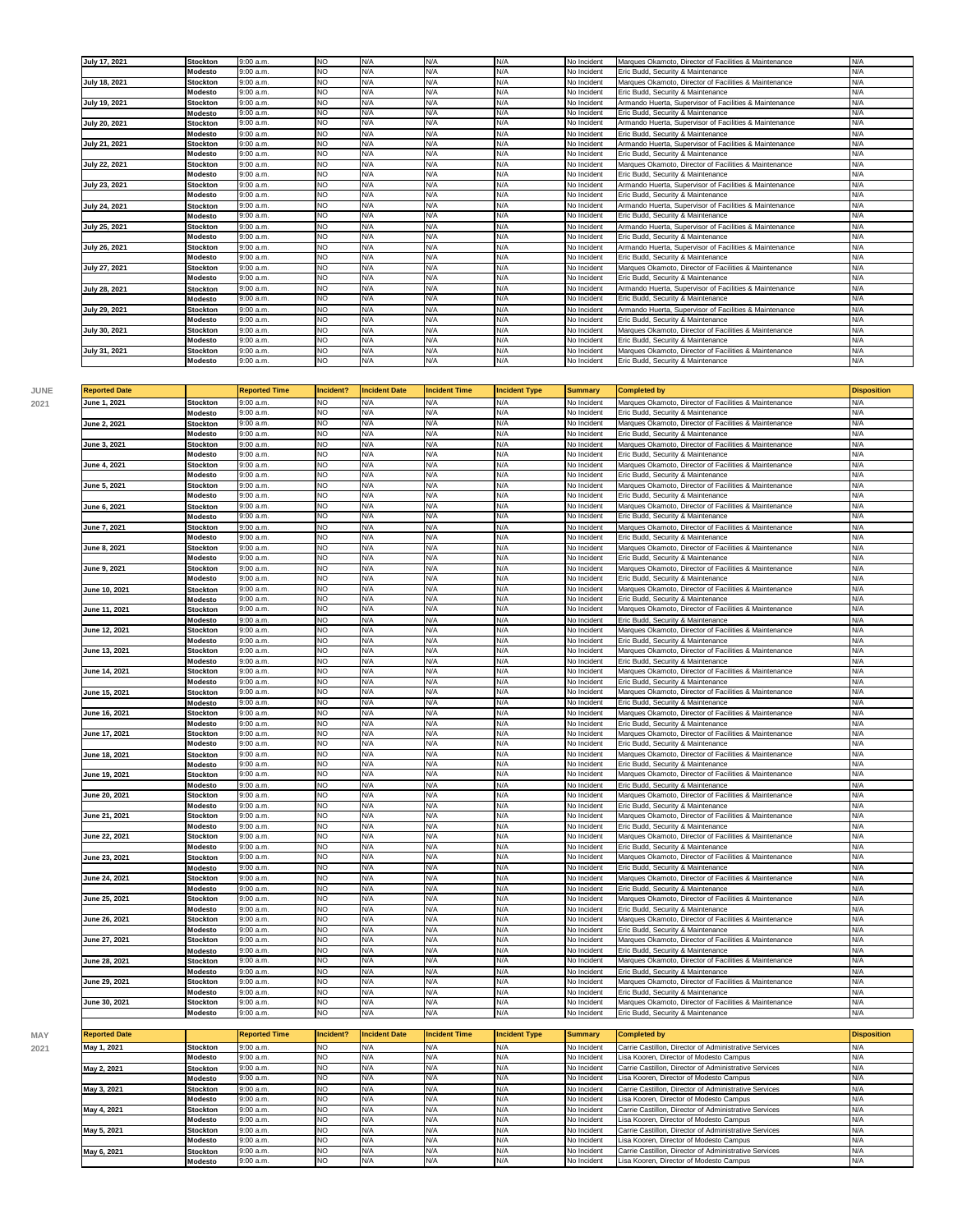| <b>July 17, 2021</b> | <b>Stockton</b> | 9:00 a.m. | <b>NO</b> | N/A | N/A | N/A | No Incident | Marques Okamoto, Director of Facilities & Maintenance  | N/A |
|----------------------|-----------------|-----------|-----------|-----|-----|-----|-------------|--------------------------------------------------------|-----|
|                      | Modesto         | 9:00 a.m. | <b>NO</b> | N/A | N/A | N/A | No Incident | Eric Budd, Security & Maintenance                      | N/A |
| <b>July 18, 2021</b> | <b>Stockton</b> | 9:00 a.m. | <b>NO</b> | N/A | N/A | N/A | No Incident | Marques Okamoto, Director of Facilities & Maintenance  | N/A |
|                      | Modesto         | 9:00 a.m. | <b>NO</b> | N/A | N/A | N/A | No Incident | Eric Budd, Security & Maintenance                      | N/A |
| July 19, 2021        | <b>Stockton</b> | 9:00 a.m. | <b>NO</b> | N/A | N/A | N/A | No Incident | Armando Huerta, Supervisor of Facilities & Maintenance | N/A |
|                      | Modesto         | 9:00 a.m. | <b>NO</b> | N/A | N/A | N/A | No Incident | Eric Budd, Security & Maintenance                      | N/A |
| <b>July 20, 2021</b> | <b>Stockton</b> | 9:00 a.m. | <b>NO</b> | N/A | N/A | N/A | No Incident | Armando Huerta, Supervisor of Facilities & Maintenance | N/A |
|                      | Modesto         | 9:00 a.m. | <b>NO</b> | N/A | N/A | N/A | No Incident | Eric Budd, Security & Maintenance                      | N/A |
| July 21, 2021        | <b>Stockton</b> | 9:00a.m.  | <b>NO</b> | N/A | N/A | N/A | No Incident | Armando Huerta, Supervisor of Facilities & Maintenance | N/A |
|                      | Modesto         | 9:00 a.m. | <b>NO</b> | N/A | N/A | N/A | No Incident | Eric Budd, Security & Maintenance                      | N/A |
| <b>July 22, 2021</b> | <b>Stockton</b> | 9:00a.m.  | <b>NO</b> | N/A | N/A | N/A | No Incident | Marques Okamoto, Director of Facilities & Maintenance  | N/A |
|                      | Modesto         | 9:00 a.m. | <b>NO</b> | N/A | N/A | N/A | No Incident | Eric Budd, Security & Maintenance                      | N/A |
| July 23, 2021        | <b>Stockton</b> | 9:00 a.m. | <b>NO</b> | N/A | N/A | N/A | No Incident | Armando Huerta, Supervisor of Facilities & Maintenance | N/A |
|                      | Modesto         | 9:00 a.m. | <b>NO</b> | N/A | N/A | N/A | No Incident | Eric Budd, Security & Maintenance                      | N/A |
| <b>July 24, 2021</b> | <b>Stockton</b> | 9:00a.m.  | <b>NO</b> | N/A | N/A | N/A | No Incident | Armando Huerta, Supervisor of Facilities & Maintenance | N/A |
|                      | Modesto         | 9:00 a.m. | <b>NO</b> | N/A | N/A | N/A | No Incident | Eric Budd, Security & Maintenance                      | N/A |
| July 25, 2021        | <b>Stockton</b> | 9:00a.m.  | <b>NO</b> | N/A | N/A | N/A | No Incident | Armando Huerta, Supervisor of Facilities & Maintenance | N/A |
|                      | Modesto         | 9:00 a.m. | <b>NO</b> | N/A | N/A | N/A | No Incident | Eric Budd, Security & Maintenance                      | N/A |
| <b>July 26, 2021</b> | <b>Stockton</b> | 9:00 a.m. | <b>NO</b> | N/A | N/A | N/A | No Incident | Armando Huerta, Supervisor of Facilities & Maintenance | N/A |
|                      | Modesto         | 9:00 a.m. | <b>NO</b> | N/A | N/A | N/A | No Incident | Eric Budd, Security & Maintenance                      | N/A |
| July 27, 2021        | <b>Stockton</b> | 9:00a.m.  | <b>NO</b> | N/A | N/A | N/A | No Incident | Marques Okamoto, Director of Facilities & Maintenance  | N/A |
|                      | Modesto         | 9:00 a.m. | <b>NO</b> | N/A | N/A | N/A | No Incident | Eric Budd, Security & Maintenance                      | N/A |
| <b>July 28, 2021</b> | <b>Stockton</b> | 9:00 a.m. | <b>NO</b> | N/A | N/A | N/A | No Incident | Armando Huerta, Supervisor of Facilities & Maintenance | N/A |
|                      | Modesto         | 9:00a.m.  | <b>NO</b> | N/A | N/A | N/A | No Incident | Eric Budd, Security & Maintenance                      | N/A |
| July 29, 2021        | <b>Stockton</b> | 9:00a.m.  | <b>NO</b> | N/A | N/A | N/A | No Incident | Armando Huerta, Supervisor of Facilities & Maintenance | N/A |
|                      | Modesto         | 9:00 a.m. | <b>NO</b> | N/A | N/A | N/A | No Incident | Eric Budd, Security & Maintenance                      | N/A |
| July 30, 2021        | <b>Stockton</b> | 9:00 a.m. | <b>NO</b> | N/A | N/A | N/A | No Incident | Marques Okamoto, Director of Facilities & Maintenance  | N/A |
|                      | Modesto         | 9:00 a.m. | <b>NO</b> | N/A | N/A | N/A | No Incident | Eric Budd, Security & Maintenance                      | N/A |
| July 31, 2021        | <b>Stockton</b> | 9:00a.m.  | <b>NO</b> | N/A | N/A | N/A | No Incident | Marques Okamoto, Director of Facilities & Maintenance  | N/A |
|                      | Modesto         | 9:00 a.m. | <b>NO</b> | N/A | N/A | N/A | No Incident | Eric Budd, Security & Maintenance                      | N/A |

| <b>Reported Date</b> |                                   | Reported Time          | Incident?              | <b>Incident Date</b> | <b>Incident Time</b> | <b>Incident Type</b> | Summary                    | Completed by                                                                               | <b>Disposition</b> |
|----------------------|-----------------------------------|------------------------|------------------------|----------------------|----------------------|----------------------|----------------------------|--------------------------------------------------------------------------------------------|--------------------|
| June 1, 2021         | <b>Stockton</b>                   | 9:00 a.m.              | NO                     | N/A                  | N/A                  | N/A                  | No Incident                | Marques Okamoto, Director of Facilities & Maintenance                                      | N/A                |
|                      | Modesto                           | 9:00 a.m.              | <b>NO</b>              | N/A                  | N/A                  | N/A                  | No Incident                | Eric Budd, Security & Maintenance                                                          | N/A                |
| June 2, 2021         | <b>Stockton</b>                   | 9:00 a.m.              | <b>NO</b>              | N/A                  | N/A                  | N/A                  | No Incident                | Marques Okamoto, Director of Facilities & Maintenance                                      | N/A                |
|                      | Modesto                           | 9:00 a.m.              | NO.                    | N/A                  | N/A                  | N/A                  | No Incident                | Eric Budd, Security & Maintenance                                                          | N/A                |
| June 3, 2021         | <b>Stockton</b>                   | 9:00 a.m               | <b>NO</b>              | N/A                  | N/A                  | N/A                  | No Incident                | Marques Okamoto, Director of Facilities & Maintenance                                      | N/A                |
|                      | Modesto                           | 9:00 a.m.              | N <sub>O</sub>         | N/A                  | N/A                  | N/A                  | No Incident                | Eric Budd, Security & Maintenance                                                          | N/A                |
| June 4, 2021         | <b>Stockton</b>                   | 9:00 a.m.              | <b>NO</b>              | N/A                  | N/A                  | N/A                  | No Incident                | Marques Okamoto, Director of Facilities & Maintenance                                      | N/A                |
|                      | Modesto                           | 9:00 a.m.              | <b>NO</b>              | N/A                  | N/A                  | N/A                  | No Incident                | Eric Budd, Security & Maintenance                                                          | N/A                |
| June 5, 2021         | <b>Stockton</b>                   | 9:00 a.m.              | NO                     | N/A                  | N/A                  | N/A                  | No Incident                | Marques Okamoto, Director of Facilities & Maintenance                                      | N/A                |
|                      | Modesto                           | 9:00 a.m.              | <b>NO</b>              | N/A                  | N/A                  | N/A                  | No Incident                | Eric Budd, Security & Maintenance                                                          | N/A                |
| June 6, 2021         | <b>Stockton</b>                   | 9:00a.m.               | <b>NO</b>              | N/A                  | N/A                  | N/A                  | No Incident                | Marques Okamoto, Director of Facilities & Maintenance                                      | N/A                |
|                      | Modesto                           | 9:00 a.m.              | <b>NO</b>              | N/A                  | N/A                  | N/A                  | No Incident                | Eric Budd, Security & Maintenance                                                          | N/A                |
| June 7, 2021         | <b>Stockton</b>                   | 9:00 a.m.              | <b>NO</b>              | N/A                  | N/A                  | N/A                  | No Incident                | Marques Okamoto, Director of Facilities & Maintenance                                      | N/A                |
|                      | Modesto                           | 9:00 a.m.              | NO                     | N/A                  | N/A                  | N/A                  | No Incident                | Eric Budd, Security & Maintenance                                                          | N/A                |
| June 8, 2021         | <b>Stockton</b>                   | 9:00 a.m.              | N <sub>O</sub>         | N/A                  | N/A                  | N/A                  | No Incident                | Marques Okamoto, Director of Facilities & Maintenance                                      | N/A                |
|                      | Modesto                           | 9:00a.m.               | NO.                    | N/A                  | N/A                  | N/A                  | No Incident                | Eric Budd, Security & Maintenance                                                          | N/A                |
| June 9, 2021         | <b>Stockton</b>                   | 9:00 a.m.              | <b>NO</b>              | N/A                  | N/A                  | N/A                  | No Incident                | Marques Okamoto, Director of Facilities & Maintenance                                      | N/A                |
|                      | Modesto                           | 9:00 a.m.              | <b>NO</b>              | N/A                  | N/A                  | N/A                  | No Incident                | Eric Budd, Security & Maintenance                                                          | N/A                |
| June 10, 2021        | <b>Stockton</b>                   | 9:00a.m                | <b>NO</b>              | N/A                  | N/A                  | N/A                  | No Incident                | Marques Okamoto, Director of Facilities & Maintenance                                      | N/A                |
|                      | Modesto                           | 9:00 a.m.              | N <sub>O</sub>         | N/A                  | N/A                  | N/A                  | No Incident                | Eric Budd, Security & Maintenance                                                          | N/A                |
| June 11, 2021        | <b>Stockton</b>                   | 9:00 a.m.              | NO                     | N/A                  | N/A                  | N/A                  | No Incident                | Marques Okamoto, Director of Facilities & Maintenance                                      | N/A                |
|                      |                                   | 9:00a.m.               | <b>NO</b>              | N/A                  | N/A                  | N/A                  | No Incident                | Eric Budd, Security & Maintenance                                                          | N/A                |
|                      | Modesto                           |                        | <b>NO</b>              | N/A                  | N/A                  | N/A                  |                            | Marques Okamoto, Director of Facilities & Maintenance                                      | N/A                |
| June 12, 2021        | <b>Stockton</b>                   | 9:00 a.m.              |                        |                      |                      |                      | No Incident                |                                                                                            |                    |
|                      | Modesto                           | 9:00 a.m.              | <b>NO</b>              | N/A                  | N/A                  | N/A                  | No Incident                | Eric Budd, Security & Maintenance                                                          | N/A                |
| June 13, 2021        | <b>Stockton</b>                   | 9:00a.m.               | <b>NO</b>              | N/A                  | N/A                  | N/A                  | No Incident                | Marques Okamoto, Director of Facilities & Maintenance                                      | N/A                |
|                      | Modesto                           | 9:00 a.m.              | <b>NO</b>              | N/A                  | N/A                  | N/A                  | No Incident                | Eric Budd, Security & Maintenance                                                          | N/A                |
| June 14, 2021        | <b>Stockton</b>                   | 9:00 a.m.              | <b>NO</b>              | N/A                  | N/A                  | N/A                  | No Incident                | Marques Okamoto, Director of Facilities & Maintenance                                      | N/A                |
|                      | Modesto                           | 9:00 a.m.              | NO                     | N/A                  | N/A                  | N/A                  | No Incident                | Eric Budd, Security & Maintenance                                                          | N/A                |
| June 15, 2021        | Stockton                          | 9:00 a.m.              | <b>NO</b>              | N/A                  | N/A                  | N/A                  | No Incident                | Marques Okamoto, Director of Facilities & Maintenance                                      | N/A                |
|                      | Modesto                           | 9:00a.m.               | NO.                    | N/A                  | N/A                  | N/A                  | No Incident                | Eric Budd, Security & Maintenance                                                          | N/A                |
| June 16, 2021        | <b>Stockton</b>                   | 9:00 a.m.              | <b>NO</b>              | N/A                  | N/A                  | N/A                  | No Incident                | Marques Okamoto, Director of Facilities & Maintenance                                      | N/A                |
|                      | Modesto                           | 9:00 a.m.              | <b>NO</b>              | N/A                  | N/A                  | N/A                  | No Incident                | Eric Budd, Security & Maintenance                                                          | N/A                |
| June 17, 2021        | <b>Stockton</b>                   | 9:00 a.m.              | NO                     | N/A                  | N/A                  | N/A                  | No Incident                | Marques Okamoto, Director of Facilities & Maintenance                                      | N/A                |
|                      | Modesto                           | 9:00 a.m.              | <b>NO</b>              | N/A                  | N/A                  | N/A                  | No Incident                | Eric Budd, Security & Maintenance                                                          | N/A                |
| June 18, 2021        | <b>Stockton</b>                   | 9:00a.m                | NO                     | N/A                  | N/A                  | N/A                  | No Incident                | Marques Okamoto, Director of Facilities & Maintenance                                      | N/A                |
|                      | Modesto                           | 9:00 a.m.              | <b>NO</b>              | N/A                  | N/A                  | N/A                  | No Incident                | Eric Budd, Security & Maintenance                                                          | N/A                |
| June 19, 2021        | <b>Stockton</b>                   | 9:00 a.m.              | <b>NO</b>              | N/A                  | N/A                  | N/A                  | No Incident                | Marques Okamoto, Director of Facilities & Maintenance                                      | N/A                |
|                      | <b>Modesto</b>                    | 9:00 a.m.              | <b>NO</b>              | N/A                  | N/A                  | N/A                  | No Incident                | Eric Budd, Security & Maintenance                                                          | N/A                |
| June 20, 2021        | <b>Stockton</b>                   | 9:00 a.m.              | <b>NO</b>              | N/A                  | N/A                  | N/A                  | No Incident                | Marques Okamoto, Director of Facilities & Maintenance                                      | N/A                |
|                      | Modesto                           | 9:00 a.m.              | <b>NO</b>              | N/A                  | N/A                  | N/A                  | No Incident                | Eric Budd, Security & Maintenance                                                          | N/A                |
| June 21, 2021        | <b>Stockton</b>                   | 9:00 a.m.              | <b>NO</b>              | N/A                  | N/A                  | N/A                  | No Incident                | Marques Okamoto, Director of Facilities & Maintenance                                      | N/A                |
|                      | Modesto                           | 9:00a.m.               | NO.                    | N/A                  | N/A                  | N/A                  | No Incident                | Eric Budd, Security & Maintenance                                                          | N/A                |
| June 22, 2021        | <b>Stockton</b>                   | 9:00 a.m.              | <b>NO</b>              | N/A                  | N/A                  | N/A                  | No Incident                | Marques Okamoto, Director of Facilities & Maintenance                                      | N/A                |
|                      | Modesto                           | 9:00a.m.               | NO.                    | N/A                  | N/A                  | N/A                  | No Incident                | Eric Budd, Security & Maintenance                                                          | N/A                |
| June 23, 2021        | <b>Stockton</b>                   | 9:00 a.m.              | NO                     | N/A                  | N/A                  | N/A                  | No Incident                | Marques Okamoto, Director of Facilities & Maintenance                                      | N/A                |
|                      | Modesto                           | 9:00 a.m.              | <b>NO</b>              | N/A                  | N/A                  | N/A                  | No Incident                | Eric Budd, Security & Maintenance                                                          | N/A                |
| June 24, 2021        | <b>Stockton</b>                   | 9:00a.m.               | NO.                    | N/A                  | N/A                  | N/A                  | No Incident                | Marques Okamoto, Director of Facilities & Maintenance                                      | N/A                |
|                      | Modesto                           | 9:00 a.m.              | <b>NO</b>              | N/A                  | N/A                  | N/A                  | No Incident                | Eric Budd, Security & Maintenance                                                          | N/A                |
| June 25, 2021        | <b>Stockton</b>                   | 9:00 a.m.              | NO.                    | N/A                  | N/A                  | N/A                  | No Incident                | Marques Okamoto, Director of Facilities & Maintenance                                      | N/A                |
|                      | Modesto                           | 9:00a.m.               | <b>NO</b>              | N/A                  | N/A                  | N/A                  | No Incident                | Eric Budd, Security & Maintenance                                                          | N/A                |
| June 26, 2021        | <b>Stockton</b>                   | 9:00 a.m.              | <b>NO</b>              | N/A                  | N/A                  | N/A                  | No Incident                | Marques Okamoto, Director of Facilities & Maintenance                                      | N/A                |
|                      | Modesto                           | 9:00 a.m               | <b>NO</b>              | N/A                  | N/A                  | N/A                  | No Incident                | Eric Budd, Security & Maintenance                                                          | N/A                |
|                      |                                   | 9:00 a.m.              | <b>NO</b>              | N/A                  | N/A                  | N/A                  | No Incident                | Marques Okamoto, Director of Facilities & Maintenance                                      | N/A                |
|                      |                                   |                        |                        |                      |                      | N/A                  | No Incident                | Eric Budd, Security & Maintenance                                                          | N/A                |
| June 27, 2021        | <b>Stockton</b>                   |                        |                        |                      |                      |                      |                            |                                                                                            |                    |
|                      | Modesto                           | 9:00 a.m.              | <b>NO</b>              | N/A                  | N/A                  |                      |                            |                                                                                            |                    |
| June 28, 2021        | <b>Stockton</b>                   | 9:00 a.m.              | <b>NO</b>              | N/A                  | N/A                  | N/A                  | No Incident                | Marques Okamoto, Director of Facilities & Maintenance                                      | N/A                |
|                      | Modesto                           | 9:00 a.m.              | NO                     | N/A                  | N/A                  | N/A                  | No Incident                | Eric Budd, Security & Maintenance                                                          | N/A                |
| June 29, 2021        | <b>Stockton</b>                   | 9:00 a.m.              | <b>NO</b>              | N/A                  | N/A                  | N/A                  | No Incident                | Marques Okamoto, Director of Facilities & Maintenance                                      | N/A                |
|                      | Modesto                           | 9:00 a.m.              | NO                     | N/A                  | N/A                  | N/A                  | No Incident                | Eric Budd, Security & Maintenance                                                          | N/A                |
| June 30, 2021        | <b>Stockton</b><br><b>Modesto</b> | 9:00 a.m.<br>9:00 a.m. | <b>NO</b><br><b>NO</b> | N/A<br>N/A           | N/A<br>N/A           | N/A<br>N/A           | No Incident<br>No Incident | Marques Okamoto, Director of Facilities & Maintenance<br>Eric Budd, Security & Maintenance | N/A<br>N/A         |

| <b>Reported Date</b> |                 | <b>Reported Time</b> | Incident? | <b>Incident Date</b> | <b>Incident Time</b> | <b>Incident Type</b> | Summary     | Completed by                                          | <b>Disposition</b> |
|----------------------|-----------------|----------------------|-----------|----------------------|----------------------|----------------------|-------------|-------------------------------------------------------|--------------------|
| May 1, 2021          | Stockton        | 9:00 a.m.            | <b>NO</b> | N/A                  | N/A                  | N/A                  | No Incident | Carrie Castillon, Director of Administrative Services | N/A                |
|                      | Modesto         | 9:00 a.m.            | <b>NO</b> | N/A                  |                      |                      | No Incident | Lisa Kooren, Director of Modesto Campus               |                    |
| May 2, 2021          | <b>Stockton</b> | 9:00 a.m.            | <b>NO</b> | N/A                  |                      |                      | No Incident | Carrie Castillon, Director of Administrative Services |                    |
|                      | Modesto         | 9:00 a.m.            | <b>NO</b> | N/A                  |                      |                      | No Incident | Lisa Kooren, Director of Modesto Campus               |                    |
| May 3, 2021          | <b>Stockton</b> | 9:00 a.m.            | <b>NO</b> | N/A                  |                      |                      | No Incident | Carrie Castillon, Director of Administrative Services | N/A                |
|                      | Modesto         | 9:00 a.m.            | <b>NO</b> | N/A                  |                      | N/A                  | No Incident | Lisa Kooren, Director of Modesto Campus               | N/A                |
| May 4, 2021          | <b>Stockton</b> | 9:00 a.m.            | <b>NO</b> | N/A                  | N/F                  | N/A                  | No Incident | Carrie Castillon, Director of Administrative Services |                    |
|                      | Modesto         | 9:00 a.m.            | <b>NO</b> | N/A                  |                      | N/A                  | No Incident | Lisa Kooren, Director of Modesto Campus               | N/A                |
| May 5, 2021          | Stockton        | 9:00 a.m.            | <b>NO</b> | N/A                  |                      | N/A                  | No Incident | Carrie Castillon, Director of Administrative Services | N/A                |
|                      | Modesto         | 9:00 a.m.            | <b>NO</b> | N/A                  |                      |                      | No Incident | Lisa Kooren, Director of Modesto Campus               |                    |
| May 6, 2021          | <b>Stockton</b> | 9:00a.m.             | <b>NO</b> | N/A                  |                      |                      | No Incident | Carrie Castillon, Director of Administrative Services |                    |
|                      | Modesto         | 9:00 a.m.            | <b>NO</b> | N/A                  | N/A                  | N/A                  | No Incident | Lisa Kooren, Director of Modesto Campus               | N/A                |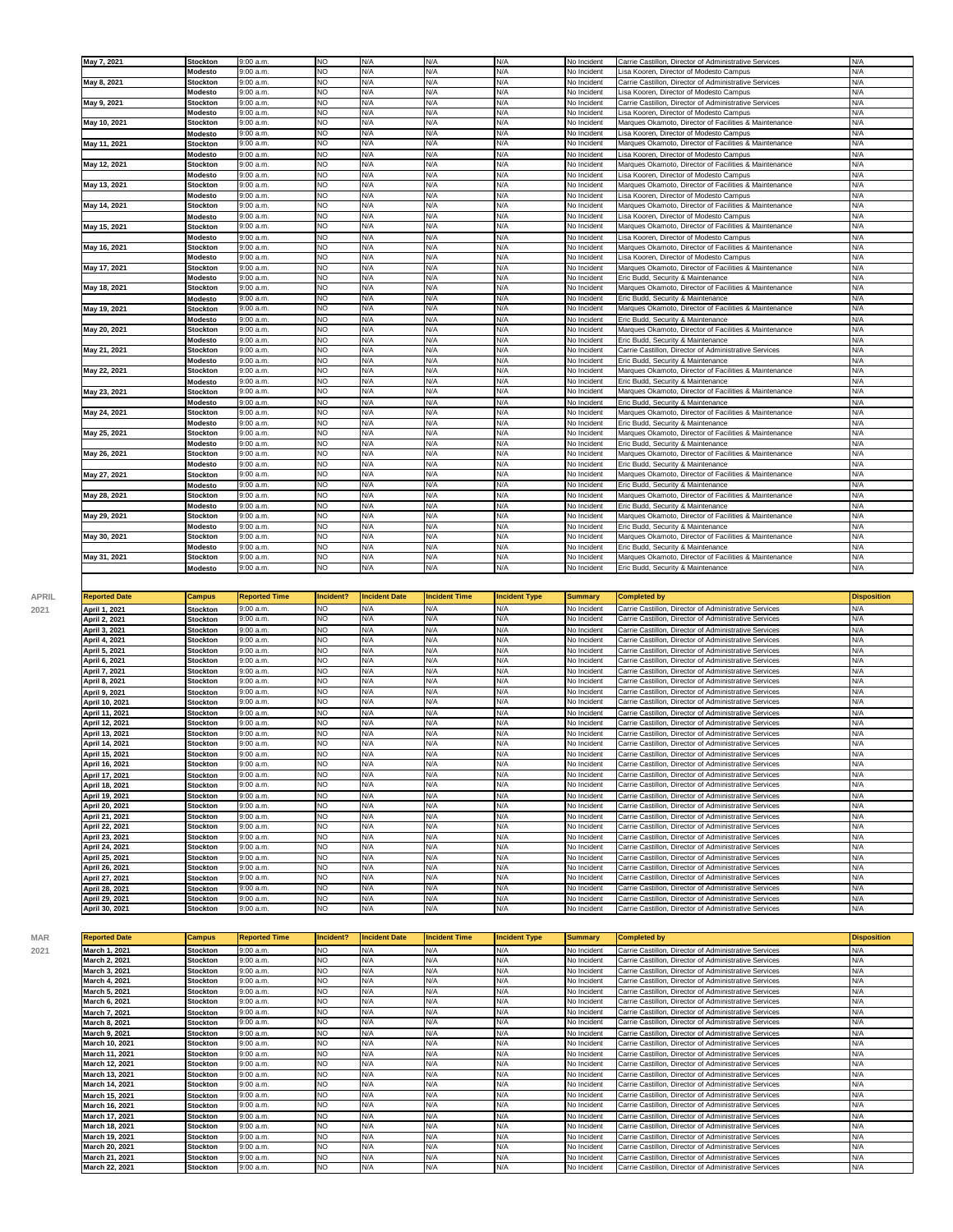| May 7, 2021  | <b>Stockton</b>            | 9:00a.m                | <b>NO</b>              | N/A        | N/A        | N/A        | No Incident                | Carrie Castillon, Director of Administrative Services                                      | N/A        |
|--------------|----------------------------|------------------------|------------------------|------------|------------|------------|----------------------------|--------------------------------------------------------------------------------------------|------------|
|              | Modesto                    | 9:00 a.m.              | NO                     | N/A        | N/A        | N/A        | No Incident                | Lisa Kooren, Director of Modesto Campus                                                    | N/A        |
| May 8, 2021  | <b>Stockton</b>            | 9:00 a.m.              | <b>NO</b>              | N/A        | N/A        | N/A        | No Incident                | Carrie Castillon, Director of Administrative Services                                      | N/A        |
|              | Modesto                    | 9:00 a.m.              | NO                     | N/A        | N/A        | N/A        | No Incident                | Lisa Kooren, Director of Modesto Campus                                                    | N/A        |
| May 9, 2021  | <b>Stockton</b>            | 9:00 a.m.              | NO                     | N/A        | N/A        | N/A        | No Incident                | Carrie Castillon, Director of Administrative Services                                      | N/A        |
|              | Modesto                    | 9:00 a.m.              | <b>NO</b>              | N/A        | N/A        | N/A        | No Incident                | Lisa Kooren, Director of Modesto Campus                                                    | N/A        |
| May 10, 2021 | Stockton                   | 9:00 a.m.              | NO                     | N/A        | N/A        | N/A        | No Incident                | Marques Okamoto, Director of Facilities & Maintenance                                      | N/A        |
|              | Modesto                    | 9:00 a.m.              | <b>NO</b>              | N/A        | N/A        | N/A        | No Incident                | Lisa Kooren, Director of Modesto Campus                                                    | N/A        |
| May 11, 2021 | Stockton                   | 9:00 a.m.              | <b>NO</b>              | N/A        | N/A        | N/A        | No Incident                | Marques Okamoto, Director of Facilities & Maintenance                                      | N/A        |
|              | Modesto                    | 9:00 a.m.              | NO                     | N/A        | N/A        | N/A        | No Incident                | Lisa Kooren, Director of Modesto Campus                                                    | N/A        |
| May 12, 2021 | Stockton                   | 9:00 a.m.              | NO                     | N/A        | N/A        | N/A        | No Incident                | Marques Okamoto, Director of Facilities & Maintenance                                      | N/A        |
|              | Modesto                    | 9:00 a.m.              | <b>NO</b>              | N/A        | N/A        | N/A        | No Incident                | Lisa Kooren, Director of Modesto Campus                                                    | N/A        |
| May 13, 2021 | Stockton                   | 9:00 a.m.              | NO                     | N/A        | N/A        | N/A        | No Incident                | Marques Okamoto, Director of Facilities & Maintenance                                      | N/A        |
|              | Modesto                    | 9:00 a.m.              | <b>NO</b>              | N/A        | N/A        | N/A        | No Incident                | Lisa Kooren, Director of Modesto Campus                                                    | N/A        |
| May 14, 2021 | <b>Stockton</b>            | 9:00a.m                | NO                     | N/A        | N/A        | N/A        | No Incident                | Marques Okamoto, Director of Facilities & Maintenance                                      | N/A        |
|              | Modesto                    | 9:00 a.m.              | <b>NO</b>              | N/A        | N/A        | N/A        | No Incident                | Lisa Kooren, Director of Modesto Campus                                                    | N/A        |
| May 15, 2021 | <b>Stockton</b>            | 9:00 a.m.              | NO                     | N/A        | N/A        | N/A        | No Incident                | Marques Okamoto, Director of Facilities & Maintenance                                      | N/A        |
|              | Modesto                    | 9:00 a.m.              | NO                     | N/A        | N/A        | N/A        | No Incident                | Lisa Kooren. Director of Modesto Campus                                                    | N/A        |
| May 16, 2021 | <b>Stockton</b>            | 9:00 a.m.              | NO                     | N/A        | N/A        | N/A        | No Incident                | Marques Okamoto, Director of Facilities & Maintenance                                      | N/A        |
|              | Modesto                    | 9:00 a.m               | <b>NO</b>              | N/A        | N/A        | N/A        | No Incident                | Lisa Kooren, Director of Modesto Campus                                                    | N/A        |
| May 17, 2021 | <b>Stockton</b>            | 9:00 a.m.              | <b>NO</b>              | N/A        | N/A        | N/A        | No Incident                | Marques Okamoto, Director of Facilities & Maintenance                                      | N/A        |
|              | Modesto                    | 9:00 a.m.              | <b>NO</b>              | N/A        | N/A        | N/A        | No Incident                | Eric Budd, Security & Maintenance                                                          | N/A        |
| May 18, 2021 | <b>Stockton</b>            | 9:00 a.m.              | NO                     | N/A        | N/A        | N/A        | No Incident                | Marques Okamoto, Director of Facilities & Maintenance                                      | N/A        |
|              | Modesto                    | 9:00 a.m.              | <b>NO</b>              | N/A        | N/A        | N/A        | No Incident                | Eric Budd, Security & Maintenance                                                          | N/A        |
| May 19, 2021 | <b>Stockton</b>            | 9:00 a.m.              | NO                     | N/A        | N/A        | N/A        | No Incident                | Marques Okamoto, Director of Facilities & Maintenance                                      | N/A        |
|              | Modesto                    | 9:00 a.m.              | <b>NO</b>              | N/A        | N/A        | N/A        | No Incident                | Eric Budd, Security & Maintenance                                                          | N/A        |
| May 20, 2021 | <b>Stockton</b>            | 9:00 a.m.              | NO                     | N/A        | N/A        | N/A        | No Incident                | Marques Okamoto, Director of Facilities & Maintenance                                      | N/A        |
|              | Modesto                    | 9:00 a.m.              | <b>NO</b>              | N/A        | N/A        | N/A        | No Incident                | Eric Budd, Security & Maintenance                                                          | N/A        |
| May 21, 2021 | <b>Stockton</b>            | 9:00a.m                | NO                     | N/A        | N/A        | N/A        | No Incident                | Carrie Castillon, Director of Administrative Services                                      | N/A        |
|              | <b>Modesto</b>             | 9:00a.m                | NO                     | N/A        | N/A        | N/A        | No Incident                | Eric Budd, Security & Maintenance                                                          | N/A        |
| May 22, 2021 | Stockton                   | 9:00 a.m.              | <b>NO</b>              | N/A        | N/A        | N/A        | No Incident                | Marques Okamoto, Director of Facilities & Maintenance                                      | N/A        |
|              | <b>Modesto</b>             | 9:00a.m                | NO                     | N/A        | N/A        | N/A        | No Incident                | Eric Budd, Security & Maintenance                                                          | N/A        |
| May 23, 2021 | Stockton                   | 9:00 a.m.              | <b>NO</b>              | N/A        | N/A        | N/A        | No Incident                | Marques Okamoto, Director of Facilities & Maintenance                                      | N/A        |
|              | <b>Modesto</b>             | 9:00 a.m.              | <b>NO</b><br>NO        | N/A        | N/A<br>N/A | N/A        | No Incident                | Eric Budd, Security & Maintenance                                                          | N/A        |
| May 24, 2021 | Stockton                   | 9:00 a.m.              |                        | N/A        |            | N/A        | No Incident                | Marques Okamoto, Director of Facilities & Maintenance                                      | N/A        |
|              | Modesto<br>Stockton        | 9:00 a.m.              | <b>NO</b><br><b>NO</b> | N/A<br>N/A | N/A<br>N/A | N/A<br>N/A | No Incident                | Eric Budd, Security & Maintenance                                                          | N/A<br>N/A |
| May 25, 2021 |                            | 9:00 a.m.<br>9:00 a.m. | NO                     | N/A        | N/A        | N/A        | No Incident<br>No Incident | Marques Okamoto, Director of Facilities & Maintenance<br>Eric Budd, Security & Maintenance | N/A        |
|              | Modesto<br>Stockton        | 9:00 a.m.              | NO                     | N/A        | N/A        | N/A        | No Incident                | Marques Okamoto, Director of Facilities & Maintenance                                      | N/A        |
| May 26, 2021 | Modesto                    | 9:00 a.m.              | <b>NO</b>              | N/A        | N/A        | N/A        | No Incident                | Eric Budd, Security & Maintenance                                                          | N/A        |
| May 27, 2021 | <b>Stockton</b>            | 9:00 a.m.              | NO                     | N/A        | N/A        | N/A        | No Incident                | Marques Okamoto, Director of Facilities & Maintenance                                      | N/A        |
|              |                            | 9:00 a.m.              | NO                     | N/A        | N/A        | N/A        | No Incident                | Eric Budd, Security & Maintenance                                                          | N/A        |
| May 28, 2021 | Modesto<br><b>Stockton</b> | 9:00 a.m.              | NO                     | N/A        | N/A        | N/A        | No Incident                | Marques Okamoto, Director of Facilities & Maintenance                                      | N/A        |
|              | Modesto                    | 9:00 a.m.              | NO                     | N/A        | N/A        | N/A        | No Incident                | Eric Budd, Security & Maintenance                                                          | N/A        |
| May 29, 2021 | <b>Stockton</b>            | 9:00 a.m.              | NO                     | N/A        | N/A        | N/A        | No Incident                | Marques Okamoto, Director of Facilities & Maintenance                                      | N/A        |
|              | Modesto                    | 9:00a.m                | NO.                    | N/A        | N/A        | N/A        | No Incident                | Eric Budd, Security & Maintenance                                                          | N/A        |
| May 30, 2021 | <b>Stockton</b>            | 9:00 a.m.              | <b>NO</b>              | N/A        | N/A        | N/A        | No Incident                | Marques Okamoto, Director of Facilities & Maintenance                                      | N/A        |
|              | Modesto                    | 9:00 a.m.              | N <sub>O</sub>         | N/A        | N/A        | N/A        | No Incident                | Eric Budd, Security & Maintenance                                                          | N/A        |
| May 31, 2021 | <b>Stockton</b>            | 9:00 a.m.              | <b>NO</b>              | N/A        | N/A        | N/A        | No Incident                | Marques Okamoto, Director of Facilities & Maintenance                                      | N/A        |
|              | Modesto                    | 9:00 a.m.              | NO.                    | N/A        | N/A        | N/A        | No Incident                | Eric Budd, Security & Maintenance                                                          | N/A        |
|              |                            |                        |                        |            |            |            |                            |                                                                                            |            |

| <b>Reported Date</b> | <b>Campus</b>   | <b>Reported Time</b> | Incident? | <b>Incident Date</b> | <b>Incident Time</b> | <b>Incident Type</b> | <b>Summary</b> | <b>Completed by</b>                                   | <b>Disposition</b> |
|----------------------|-----------------|----------------------|-----------|----------------------|----------------------|----------------------|----------------|-------------------------------------------------------|--------------------|
| April 1, 2021        | <b>Stockton</b> | 9:00 a.m.            | NO.       | N/A                  | N/A                  | N/A                  | No Incident    | Carrie Castillon, Director of Administrative Services | N/A                |
| April 2, 2021        | <b>Stockton</b> | 9:00 a.m.            | <b>NO</b> | N/A                  | N/A                  | N/A                  | No Incident    | Carrie Castillon, Director of Administrative Services | N/A                |
| April 3, 2021        | <b>Stockton</b> | 9:00a.m.             | <b>NO</b> | N/A                  | N/A                  | N/A                  | No Incident    | Carrie Castillon, Director of Administrative Services | N/A                |
| April 4, 2021        | <b>Stockton</b> | 9:00a.m.             | <b>NO</b> | N/A                  | N/A                  | N/A                  | No Incident    | Carrie Castillon, Director of Administrative Services | N/A                |
| April 5, 2021        | <b>Stockton</b> | 9:00 a.m.            | <b>NO</b> | N/A                  | N/A                  | N/A                  | No Incident    | Carrie Castillon, Director of Administrative Services | N/A                |
| April 6, 2021        | <b>Stockton</b> | 9:00 a.m.            | <b>NO</b> | N/A                  | N/A                  | N/A                  | No Incident    | Carrie Castillon, Director of Administrative Services | N/A                |
| April 7, 2021        | <b>Stockton</b> | 9:00a.m.             | <b>NO</b> | N/A                  | N/A                  | N/A                  | No Incident    | Carrie Castillon, Director of Administrative Services | N/A                |
| April 8, 2021        | <b>Stockton</b> | 9:00a.m.             | <b>NO</b> | N/A                  | N/A                  | N/A                  | No Incident    | Carrie Castillon, Director of Administrative Services | N/A                |
| April 9, 2021        | <b>Stockton</b> | 9:00a.m.             | <b>NO</b> | N/A                  | N/A                  | N/A                  | No Incident    | Carrie Castillon. Director of Administrative Services | N/A                |
| April 10, 2021       | <b>Stockton</b> | 9:00 a.m.            | <b>NO</b> | N/A                  | N/A                  | N/A                  | No Incident    | Carrie Castillon, Director of Administrative Services | N/A                |
| April 11, 2021       | <b>Stockton</b> | 9:00 a.m.            | NO        | N/A                  | N/A                  | N/A                  | No Incident    | Carrie Castillon, Director of Administrative Services | N/A                |
| April 12, 2021       | <b>Stockton</b> | 9:00 a.m.            | Ю         | N/A                  | N/A                  | N/A                  | No Incident    | Carrie Castillon, Director of Administrative Services | N/A                |
| April 13, 2021       | <b>Stockton</b> | 9:00 a.m.            | <b>NO</b> | N/A                  | N/A                  | N/A                  | No Incident    | Carrie Castillon, Director of Administrative Services | N/A                |
| April 14, 2021       | <b>Stockton</b> | 9:00 a.m.            | <b>NO</b> | N/A                  | N/A                  | N/A                  | No Incident    | Carrie Castillon, Director of Administrative Services | N/A                |
| April 15, 2021       | <b>Stockton</b> | 9:00a.m.             | <b>NO</b> | N/A                  | N/A                  | N/A                  | No Incident    | Carrie Castillon, Director of Administrative Services | N/A                |
| April 16, 2021       | <b>Stockton</b> | 9:00 a.m.            | <b>NO</b> | N/A                  | N/A                  | N/A                  | No Incident    | Carrie Castillon, Director of Administrative Services | N/A                |
| April 17, 2021       | <b>Stockton</b> | 9:00 a.m.            | <b>NO</b> | N/A                  | N/A                  | N/A                  | No Incident    | Carrie Castillon, Director of Administrative Services | N/A                |
| April 18, 2021       | <b>Stockton</b> | 9:00 a.m.            | <b>NO</b> | N/A                  | N/A                  | N/A                  | No Incident    | Carrie Castillon, Director of Administrative Services | N/A                |
| April 19, 2021       | <b>Stockton</b> | 9:00a.m.             | <b>NO</b> | N/A                  | N/A                  | N/A                  | No Incident    | Carrie Castillon, Director of Administrative Services | N/A                |
| April 20, 2021       | <b>Stockton</b> | 9:00 a.m.            | <b>NO</b> | N/A                  | N/A                  | N/A                  | No Incident    | Carrie Castillon, Director of Administrative Services | N/A                |
| April 21, 2021       | <b>Stockton</b> | 9:00 a.m.            | <b>NO</b> | N/A                  | N/A                  | N/A                  | No Inciden     | Carrie Castillon. Director of Administrative Services | N/A                |
| April 22, 2021       | <b>Stockton</b> | 9:00 a.m.            | <b>NO</b> | N/A                  | N/A                  | N/A                  | No Incident    | Carrie Castillon, Director of Administrative Services | N/A                |
| April 23, 2021       | <b>Stockton</b> | 9:00 a.m.            | <b>NO</b> | N/A                  | N/A                  | N/A                  | No Incident    | Carrie Castillon, Director of Administrative Services | N/A                |
| April 24, 2021       | <b>Stockton</b> | 9:00 a.m.            | <b>NO</b> | N/A                  | N/A                  | N/A                  | No Incident    | Carrie Castillon, Director of Administrative Services | N/A                |
| April 25, 2021       | <b>Stockton</b> | 9:00 a.m.            | <b>NO</b> | N/A                  | N/A                  | N/A                  | No Incident    | Carrie Castillon, Director of Administrative Services | N/A                |
| April 26, 2021       | Stockton        | 9:00 a.m.            | <b>NO</b> | N/A                  | N/A                  | N/A                  | No Incident    | Carrie Castillon, Director of Administrative Services | N/A                |
| April 27, 2021       | <b>Stockton</b> | 9:00 a.m.            | <b>NO</b> | N/A                  | N/A                  | N/A                  | No Incident    | Carrie Castillon, Director of Administrative Services | N/A                |
| April 28, 2021       | <b>Stockton</b> | 9:00 a.m.            | <b>NO</b> | N/A                  | N/A                  | N/A                  | No Incident    | Carrie Castillon, Director of Administrative Services | N/A                |
| April 29, 2021       | <b>Stockton</b> | 9:00 a.m.            | <b>NO</b> | N/A                  | N/A                  | N/A                  | No Incident    | Carrie Castillon, Director of Administrative Services | N/A                |
| April 30, 2021       | <b>Stockton</b> | 9:00 a.m.            | <b>NO</b> | N/A                  | N/A                  | N/A                  | No Incident    | Carrie Castillon, Director of Administrative Services | N/A                |

| <b>Reported Date</b> | <b>Campus</b>   | <b>Reported Time</b> | Incident?      | <b>Incident Date</b> | <b>Incident Time</b> | <b>Incident Type</b> | <b>Summary</b> | <b>Completed by</b>                                   | <b>Disposition</b> |
|----------------------|-----------------|----------------------|----------------|----------------------|----------------------|----------------------|----------------|-------------------------------------------------------|--------------------|
| March 1, 2021        | <b>Stockton</b> | 9:00 a.m.            | <b>NO</b>      | N/A                  | N/A                  | N/A                  | No Incident    | Carrie Castillon, Director of Administrative Services | N/A                |
| March 2, 2021        | <b>Stockton</b> | 9:00 a.m.            | <b>NO</b>      | N/A                  | N/A                  | N/A                  | No Incident    | Carrie Castillon, Director of Administrative Services | N/A                |
| March 3, 2021        | Stockton        | 9:00 a.m.            | <b>NO</b>      | N/A                  | N/A                  | N/A                  | No Incident    | Carrie Castillon, Director of Administrative Services | N/A                |
| March 4, 2021        | <b>Stockton</b> | 9:00 a.m.            | <b>NO</b>      | N/A                  | N/A                  | N/A                  | No Incident    | Carrie Castillon, Director of Administrative Services | N/A                |
| March 5, 2021        | <b>Stockton</b> | 9:00 a.m.            | <b>NO</b>      | N/A                  | N/A                  | N/A                  | No Incident    | Carrie Castillon. Director of Administrative Services | N/A                |
| March 6, 2021        | <b>Stockton</b> | 9:00 a.m.            | <b>NO</b>      | N/A                  | N/A                  | N/A                  | No Incident    | Carrie Castillon, Director of Administrative Services | N/A                |
| March 7, 2021        | <b>Stockton</b> | 9:00 a.m.            | <b>NO</b>      | N/A                  | N/A                  | N/A                  | No Incident    | Carrie Castillon, Director of Administrative Services | N/A                |
| March 8, 2021        | Stockton        | 9:00 a.m.            | <b>NO</b>      | N/A                  | N/A                  | N/A                  | No Incident    | Carrie Castillon, Director of Administrative Services | N/A                |
| March 9, 2021        | <b>Stockton</b> | 9:00 a.m.            | <b>NO</b>      | N/A                  | N/A                  | N/A                  | No Incident    | Carrie Castillon, Director of Administrative Services | N/A                |
| March 10, 2021       | Stockton        | 9:00 a.m.            | NO             | N/A                  | N/A                  | N/A                  | No Incident    | Carrie Castillon, Director of Administrative Services | N/A                |
| March 11, 2021       | <b>Stockton</b> | 9:00 a.m.            | <b>NO</b>      | N/A                  | N/A                  | N/A                  | No Incident    | Carrie Castillon, Director of Administrative Services | N/A                |
| March 12, 2021       | <b>Stockton</b> | 9:00 a.m.            | <b>NO</b>      | N/A                  | N/A                  | N/A                  | No Incident    | Carrie Castillon, Director of Administrative Services | N/A                |
| March 13, 2021       | <b>Stockton</b> | 9:00 a.m.            | <b>NO</b>      | N/A                  | N/A                  | N/A                  | No Incident    | Carrie Castillon, Director of Administrative Services | N/A                |
| March 14, 2021       | <b>Stockton</b> | 9:00 a.m.            | <b>NO</b>      | N/A                  | N/A                  | N/A                  | No Incident    | Carrie Castillon, Director of Administrative Services | N/A                |
| March 15, 2021       | <b>Stockton</b> | 9:00 a.m.            | N <sub>O</sub> | N/A                  | N/A                  | N/A                  | No Incident    | Carrie Castillon, Director of Administrative Services | N/A                |
| March 16, 2021       | <b>Stockton</b> | 9:00 a.m.            | <b>NO</b>      | N/A                  | N/A                  | N/A                  | No Incident    | Carrie Castillon, Director of Administrative Services | N/A                |
| March 17, 2021       | <b>Stockton</b> | 9:00 a.m.            | <b>NO</b>      | N/A                  | N/A                  | N/A                  | No Incident    | Carrie Castillon, Director of Administrative Services | N/A                |
| March 18, 2021       | <b>Stockton</b> | 9:00 a.m.            | <b>NO</b>      | N/A                  | N/A                  | N/A                  | No Incident    | Carrie Castillon, Director of Administrative Services | N/A                |
| March 19, 2021       | <b>Stockton</b> | 9:00 a.m.            | <b>NO</b>      | N/A                  | N/A                  | N/A                  | No Incident    | Carrie Castillon. Director of Administrative Services | N/A                |
| March 20, 2021       | <b>Stockton</b> | 9:00a.m.             | <b>NO</b>      | N/A                  | N/A                  | N/A                  | No Incident    | Carrie Castillon, Director of Administrative Services | N/A                |
| March 21, 2021       | <b>Stockton</b> | 9:00 a.m.            | <b>NO</b>      | N/A                  | N/A                  | N/A                  | No Incident    | Carrie Castillon, Director of Administrative Services | N/A                |
| March 22, 2021       | <b>Stockton</b> | 9:00 a.m.            | <b>NO</b>      | N/A                  | N/A                  | N/A                  | No Incident    | Carrie Castillon, Director of Administrative Services | N/A                |